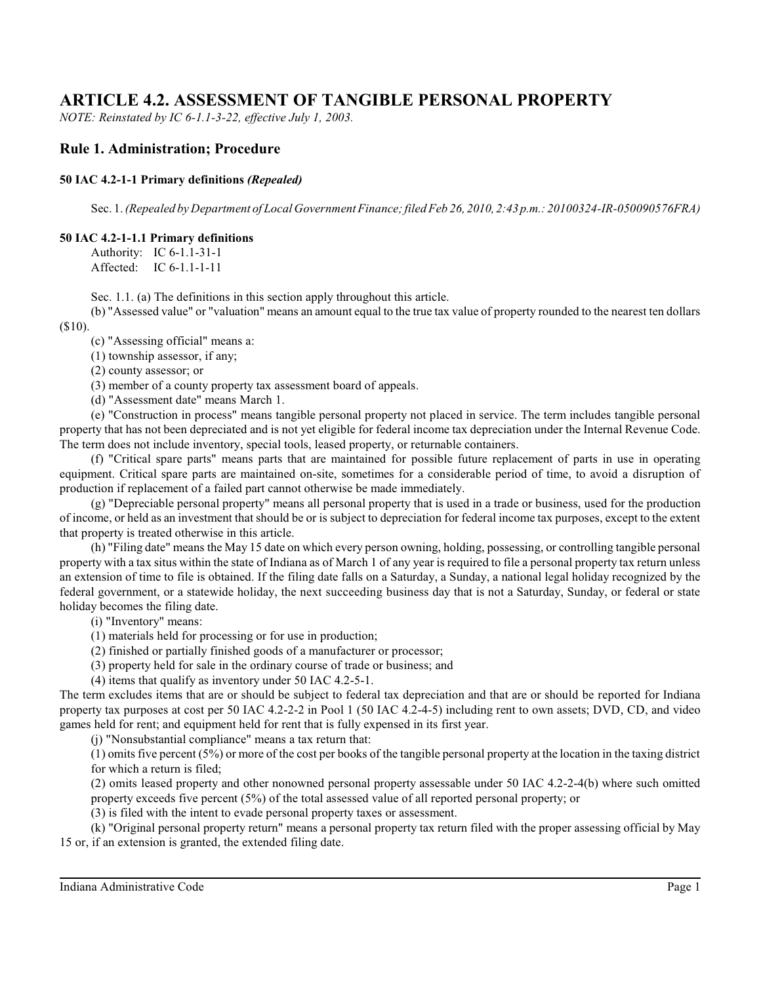# **ARTICLE 4.2. ASSESSMENT OF TANGIBLE PERSONAL PROPERTY**

*NOTE: Reinstated by IC 6-1.1-3-22, effective July 1, 2003.*

# **Rule 1. Administration; Procedure**

## **50 IAC 4.2-1-1 Primary definitions** *(Repealed)*

Sec. 1. *(Repealed by Department of Local Government Finance;filed Feb 26, 2010, 2:43 p.m.: 20100324-IR-050090576FRA)*

## **50 IAC 4.2-1-1.1 Primary definitions**

Authority: IC 6-1.1-31-1 Affected: IC 6-1.1-1-11

Sec. 1.1. (a) The definitions in this section apply throughout this article.

(b) "Assessed value" or "valuation" means an amount equal to the true tax value of property rounded to the nearest ten dollars (\$10).

(c) "Assessing official" means a:

(1) township assessor, if any;

(2) county assessor; or

(3) member of a county property tax assessment board of appeals.

(d) "Assessment date" means March 1.

(e) "Construction in process" means tangible personal property not placed in service. The term includes tangible personal property that has not been depreciated and is not yet eligible for federal income tax depreciation under the Internal Revenue Code. The term does not include inventory, special tools, leased property, or returnable containers.

(f) "Critical spare parts" means parts that are maintained for possible future replacement of parts in use in operating equipment. Critical spare parts are maintained on-site, sometimes for a considerable period of time, to avoid a disruption of production if replacement of a failed part cannot otherwise be made immediately.

(g) "Depreciable personal property" means all personal property that is used in a trade or business, used for the production of income, or held as an investment that should be or is subject to depreciation for federal income tax purposes, except to the extent that property is treated otherwise in this article.

(h) "Filing date" means the May 15 date on which every person owning, holding, possessing, or controlling tangible personal property with a tax situs within the state of Indiana as of March 1 of any year is required to file a personal property tax return unless an extension of time to file is obtained. If the filing date falls on a Saturday, a Sunday, a national legal holiday recognized by the federal government, or a statewide holiday, the next succeeding business day that is not a Saturday, Sunday, or federal or state holiday becomes the filing date.

(i) "Inventory" means:

- (1) materials held for processing or for use in production;
- (2) finished or partially finished goods of a manufacturer or processor;

(3) property held for sale in the ordinary course of trade or business; and

(4) items that qualify as inventory under 50 IAC 4.2-5-1.

The term excludes items that are or should be subject to federal tax depreciation and that are or should be reported for Indiana property tax purposes at cost per 50 IAC 4.2-2-2 in Pool 1 (50 IAC 4.2-4-5) including rent to own assets; DVD, CD, and video games held for rent; and equipment held for rent that is fully expensed in its first year.

(j) "Nonsubstantial compliance" means a tax return that:

(1) omits five percent (5%) or more of the cost per books of the tangible personal property at the location in the taxing district for which a return is filed;

(2) omits leased property and other nonowned personal property assessable under 50 IAC 4.2-2-4(b) where such omitted property exceeds five percent (5%) of the total assessed value of all reported personal property; or

(3) is filed with the intent to evade personal property taxes or assessment.

(k) "Original personal property return" means a personal property tax return filed with the proper assessing official by May 15 or, if an extension is granted, the extended filing date.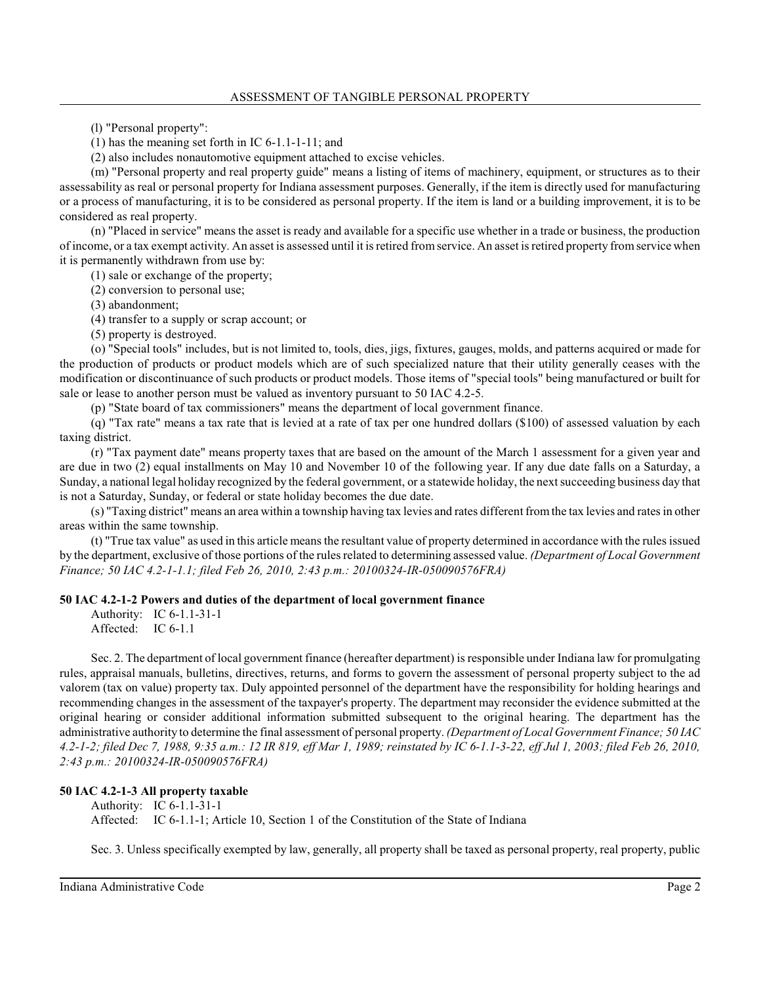(l) "Personal property":

(1) has the meaning set forth in IC 6-1.1-1-11; and

(2) also includes nonautomotive equipment attached to excise vehicles.

(m) "Personal property and real property guide" means a listing of items of machinery, equipment, or structures as to their assessability as real or personal property for Indiana assessment purposes. Generally, if the item is directly used for manufacturing or a process of manufacturing, it is to be considered as personal property. If the item is land or a building improvement, it is to be considered as real property.

(n) "Placed in service" means the asset is ready and available for a specific use whether in a trade or business, the production of income, or a tax exempt activity. An asset is assessed until it is retired fromservice. An asset is retired property fromservice when it is permanently withdrawn from use by:

(1) sale or exchange of the property;

(2) conversion to personal use;

(3) abandonment;

(4) transfer to a supply or scrap account; or

(5) property is destroyed.

(o) "Special tools" includes, but is not limited to, tools, dies, jigs, fixtures, gauges, molds, and patterns acquired or made for the production of products or product models which are of such specialized nature that their utility generally ceases with the modification or discontinuance of such products or product models. Those items of "special tools" being manufactured or built for sale or lease to another person must be valued as inventory pursuant to 50 IAC 4.2-5.

(p) "State board of tax commissioners" means the department of local government finance.

(q) "Tax rate" means a tax rate that is levied at a rate of tax per one hundred dollars (\$100) of assessed valuation by each taxing district.

(r) "Tax payment date" means property taxes that are based on the amount of the March 1 assessment for a given year and are due in two (2) equal installments on May 10 and November 10 of the following year. If any due date falls on a Saturday, a Sunday, a national legal holiday recognized by the federal government, or a statewide holiday, the next succeeding business day that is not a Saturday, Sunday, or federal or state holiday becomes the due date.

(s) "Taxing district" means an area within a township having tax levies and rates different fromthe tax levies and ratesin other areas within the same township.

(t) "True tax value" as used in this article means the resultant value of property determined in accordance with the rules issued by the department, exclusive of those portions of the rules related to determining assessed value. *(Department of Local Government Finance; 50 IAC 4.2-1-1.1; filed Feb 26, 2010, 2:43 p.m.: 20100324-IR-050090576FRA)*

## **50 IAC 4.2-1-2 Powers and duties of the department of local government finance**

Authority: IC 6-1.1-31-1 Affected: IC 6-1.1

Sec. 2. The department of local government finance (hereafter department) is responsible under Indiana law for promulgating rules, appraisal manuals, bulletins, directives, returns, and forms to govern the assessment of personal property subject to the ad valorem (tax on value) property tax. Duly appointed personnel of the department have the responsibility for holding hearings and recommending changes in the assessment of the taxpayer's property. The department may reconsider the evidence submitted at the original hearing or consider additional information submitted subsequent to the original hearing. The department has the administrative authority to determine the final assessment of personal property. *(Department of Local Government Finance; 50 IAC 4.2-1-2; filed Dec 7, 1988, 9:35 a.m.: 12 IR 819, eff Mar 1, 1989; reinstated by IC 6-1.1-3-22, eff Jul 1, 2003; filed Feb 26, 2010, 2:43 p.m.: 20100324-IR-050090576FRA)*

## **50 IAC 4.2-1-3 All property taxable**

Authority: IC 6-1.1-31-1 Affected: IC 6-1.1-1; Article 10, Section 1 of the Constitution of the State of Indiana

Sec. 3. Unless specifically exempted by law, generally, all property shall be taxed as personal property, real property, public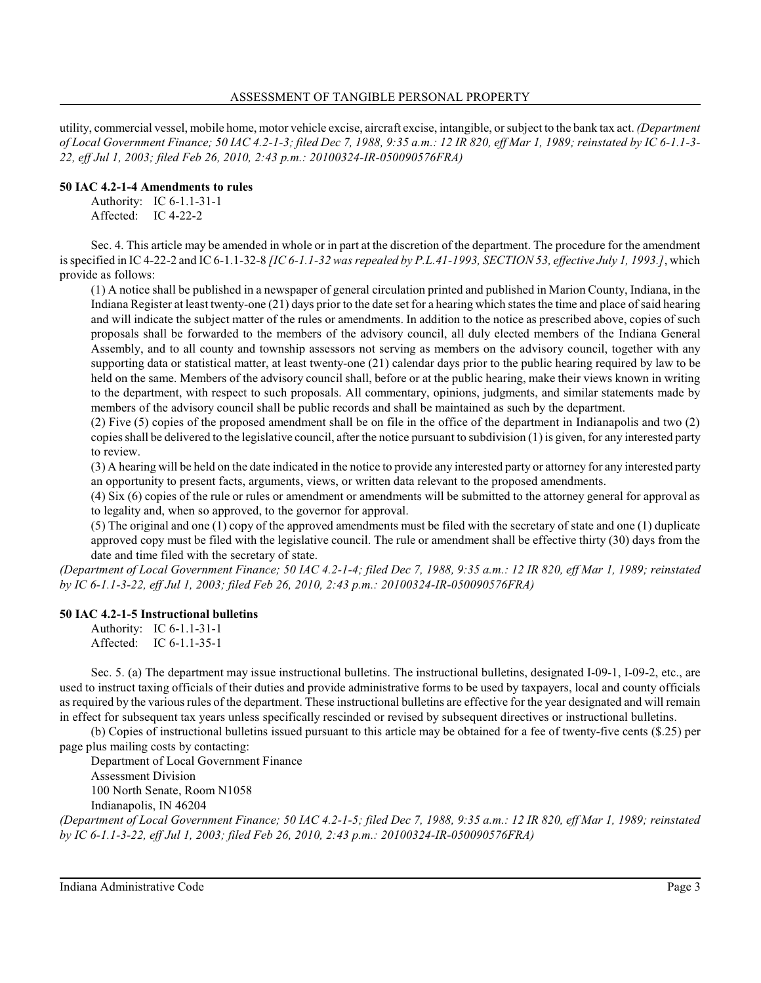utility, commercial vessel, mobile home, motor vehicle excise, aircraft excise, intangible, orsubject to the bank tax act. *(Department of Local Government Finance; 50 IAC 4.2-1-3; filed Dec 7, 1988, 9:35 a.m.: 12 IR 820, eff Mar 1, 1989; reinstated by IC 6-1.1-3- 22, eff Jul 1, 2003; filed Feb 26, 2010, 2:43 p.m.: 20100324-IR-050090576FRA)*

### **50 IAC 4.2-1-4 Amendments to rules**

Authority: IC 6-1.1-31-1 Affected: IC 4-22-2

Sec. 4. This article may be amended in whole or in part at the discretion of the department. The procedure for the amendment is specified in IC 4-22-2 and IC 6-1.1-32-8 *[IC 6-1.1-32 was repealed by P.L.41-1993, SECTION 53, effective July 1, 1993.]*, which provide as follows:

(1) A notice shall be published in a newspaper of general circulation printed and published in Marion County, Indiana, in the Indiana Register at least twenty-one (21) days prior to the date set for a hearing which states the time and place of said hearing and will indicate the subject matter of the rules or amendments. In addition to the notice as prescribed above, copies of such proposals shall be forwarded to the members of the advisory council, all duly elected members of the Indiana General Assembly, and to all county and township assessors not serving as members on the advisory council, together with any supporting data or statistical matter, at least twenty-one (21) calendar days prior to the public hearing required by law to be held on the same. Members of the advisory council shall, before or at the public hearing, make their views known in writing to the department, with respect to such proposals. All commentary, opinions, judgments, and similar statements made by members of the advisory council shall be public records and shall be maintained as such by the department.

(2) Five (5) copies of the proposed amendment shall be on file in the office of the department in Indianapolis and two (2) copies shall be delivered to the legislative council, after the notice pursuant to subdivision (1) is given, for any interested party to review.

(3) A hearing will be held on the date indicated in the notice to provide any interested party or attorney for any interested party an opportunity to present facts, arguments, views, or written data relevant to the proposed amendments.

(4) Six (6) copies of the rule or rules or amendment or amendments will be submitted to the attorney general for approval as to legality and, when so approved, to the governor for approval.

(5) The original and one (1) copy of the approved amendments must be filed with the secretary of state and one (1) duplicate approved copy must be filed with the legislative council. The rule or amendment shall be effective thirty (30) days from the date and time filed with the secretary of state.

*(Department of Local Government Finance; 50 IAC 4.2-1-4; filed Dec 7, 1988, 9:35 a.m.: 12 IR 820, eff Mar 1, 1989; reinstated by IC 6-1.1-3-22, eff Jul 1, 2003; filed Feb 26, 2010, 2:43 p.m.: 20100324-IR-050090576FRA)*

### **50 IAC 4.2-1-5 Instructional bulletins**

Authority: IC 6-1.1-31-1 Affected: IC 6-1.1-35-1

Sec. 5. (a) The department may issue instructional bulletins. The instructional bulletins, designated I-09-1, I-09-2, etc., are used to instruct taxing officials of their duties and provide administrative forms to be used by taxpayers, local and county officials as required by the various rules of the department. These instructional bulletins are effective for the year designated and will remain in effect for subsequent tax years unless specifically rescinded or revised by subsequent directives or instructional bulletins.

(b) Copies of instructional bulletins issued pursuant to this article may be obtained for a fee of twenty-five cents (\$.25) per page plus mailing costs by contacting:

Department of Local Government Finance Assessment Division

100 North Senate, Room N1058

Indianapolis, IN 46204

*(Department of Local Government Finance; 50 IAC 4.2-1-5; filed Dec 7, 1988, 9:35 a.m.: 12 IR 820, eff Mar 1, 1989; reinstated by IC 6-1.1-3-22, eff Jul 1, 2003; filed Feb 26, 2010, 2:43 p.m.: 20100324-IR-050090576FRA)*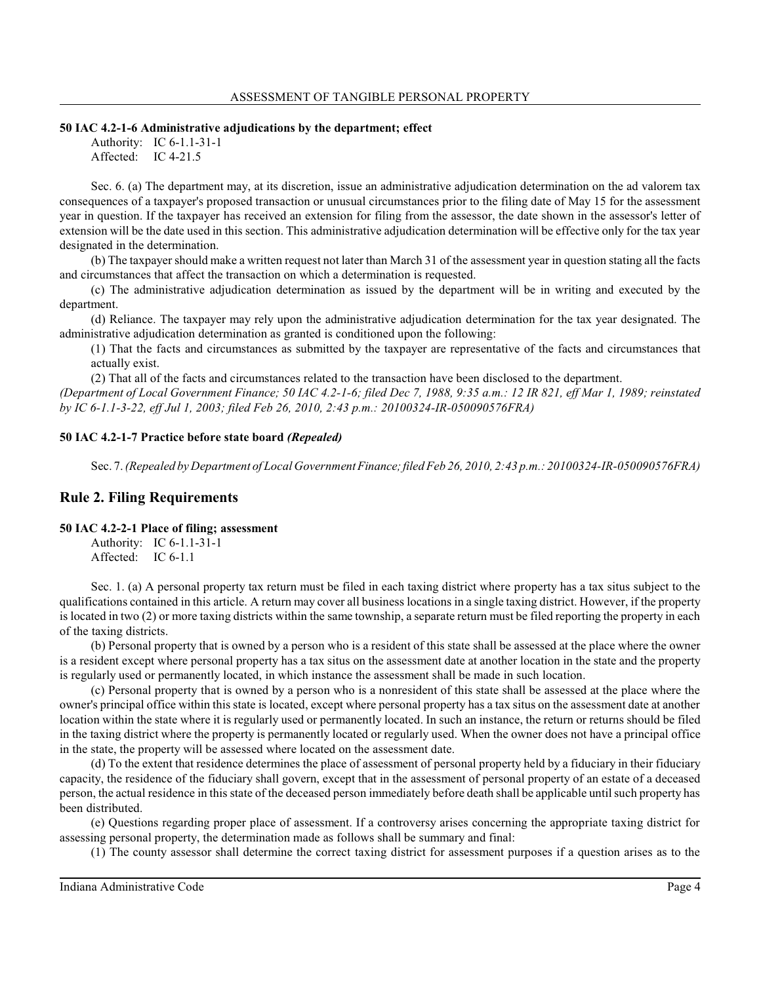## **50 IAC 4.2-1-6 Administrative adjudications by the department; effect**

Authority: IC 6-1.1-31-1 Affected: IC 4-21.5

Sec. 6. (a) The department may, at its discretion, issue an administrative adjudication determination on the ad valorem tax consequences of a taxpayer's proposed transaction or unusual circumstances prior to the filing date of May 15 for the assessment year in question. If the taxpayer has received an extension for filing from the assessor, the date shown in the assessor's letter of extension will be the date used in this section. This administrative adjudication determination will be effective only for the tax year designated in the determination.

(b) The taxpayer should make a written request not later than March 31 of the assessment year in question stating all the facts and circumstances that affect the transaction on which a determination is requested.

(c) The administrative adjudication determination as issued by the department will be in writing and executed by the department.

(d) Reliance. The taxpayer may rely upon the administrative adjudication determination for the tax year designated. The administrative adjudication determination as granted is conditioned upon the following:

(1) That the facts and circumstances as submitted by the taxpayer are representative of the facts and circumstances that actually exist.

(2) That all of the facts and circumstances related to the transaction have been disclosed to the department. *(Department of Local Government Finance; 50 IAC 4.2-1-6; filed Dec 7, 1988, 9:35 a.m.: 12 IR 821, eff Mar 1, 1989; reinstated by IC 6-1.1-3-22, eff Jul 1, 2003; filed Feb 26, 2010, 2:43 p.m.: 20100324-IR-050090576FRA)*

### **50 IAC 4.2-1-7 Practice before state board** *(Repealed)*

Sec. 7. *(Repealed by Department of Local GovernmentFinance; filed Feb 26, 2010, 2:43 p.m.: 20100324-IR-050090576FRA)*

## **Rule 2. Filing Requirements**

#### **50 IAC 4.2-2-1 Place of filing; assessment**

Authority: IC 6-1.1-31-1 Affected: IC 6-1.1

Sec. 1. (a) A personal property tax return must be filed in each taxing district where property has a tax situs subject to the qualifications contained in this article. A return may cover all business locations in a single taxing district. However, if the property is located in two (2) or more taxing districts within the same township, a separate return must be filed reporting the property in each of the taxing districts.

(b) Personal property that is owned by a person who is a resident of this state shall be assessed at the place where the owner is a resident except where personal property has a tax situs on the assessment date at another location in the state and the property is regularly used or permanently located, in which instance the assessment shall be made in such location.

(c) Personal property that is owned by a person who is a nonresident of this state shall be assessed at the place where the owner's principal office within this state is located, except where personal property has a tax situs on the assessment date at another location within the state where it is regularly used or permanently located. In such an instance, the return or returns should be filed in the taxing district where the property is permanently located or regularly used. When the owner does not have a principal office in the state, the property will be assessed where located on the assessment date.

(d) To the extent that residence determines the place of assessment of personal property held by a fiduciary in their fiduciary capacity, the residence of the fiduciary shall govern, except that in the assessment of personal property of an estate of a deceased person, the actual residence in this state of the deceased person immediately before death shall be applicable until such property has been distributed.

(e) Questions regarding proper place of assessment. If a controversy arises concerning the appropriate taxing district for assessing personal property, the determination made as follows shall be summary and final:

(1) The county assessor shall determine the correct taxing district for assessment purposes if a question arises as to the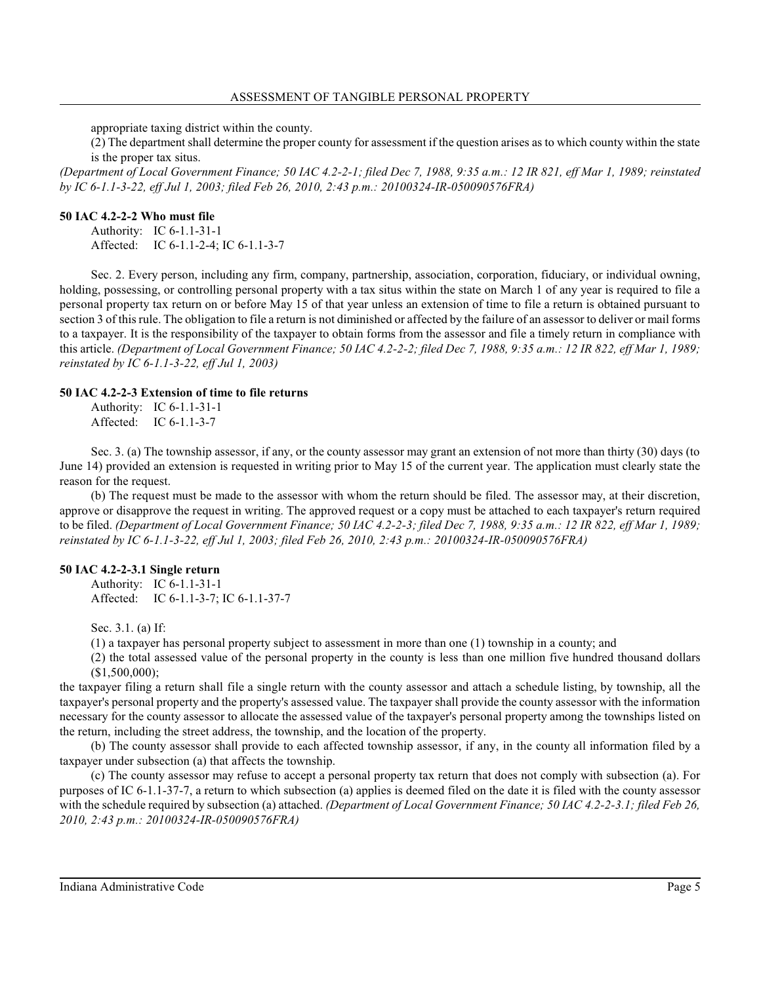appropriate taxing district within the county.

(2) The department shall determine the proper county for assessment if the question arises as to which county within the state is the proper tax situs.

*(Department of Local Government Finance; 50 IAC 4.2-2-1; filed Dec 7, 1988, 9:35 a.m.: 12 IR 821, eff Mar 1, 1989; reinstated by IC 6-1.1-3-22, eff Jul 1, 2003; filed Feb 26, 2010, 2:43 p.m.: 20100324-IR-050090576FRA)*

#### **50 IAC 4.2-2-2 Who must file**

Authority: IC 6-1.1-31-1 Affected: IC 6-1.1-2-4; IC 6-1.1-3-7

Sec. 2. Every person, including any firm, company, partnership, association, corporation, fiduciary, or individual owning, holding, possessing, or controlling personal property with a tax situs within the state on March 1 of any year is required to file a personal property tax return on or before May 15 of that year unless an extension of time to file a return is obtained pursuant to section 3 of thisrule. The obligation to file a return is not diminished or affected by the failure of an assessor to deliver or mail forms to a taxpayer. It is the responsibility of the taxpayer to obtain forms from the assessor and file a timely return in compliance with this article. *(Department of Local Government Finance; 50 IAC 4.2-2-2; filed Dec 7, 1988, 9:35 a.m.: 12 IR 822, eff Mar 1, 1989; reinstated by IC 6-1.1-3-22, eff Jul 1, 2003)*

### **50 IAC 4.2-2-3 Extension of time to file returns**

Authority: IC 6-1.1-31-1 Affected: IC 6-1.1-3-7

Sec. 3. (a) The township assessor, if any, or the county assessor may grant an extension of not more than thirty (30) days (to June 14) provided an extension is requested in writing prior to May 15 of the current year. The application must clearly state the reason for the request.

(b) The request must be made to the assessor with whom the return should be filed. The assessor may, at their discretion, approve or disapprove the request in writing. The approved request or a copy must be attached to each taxpayer's return required to be filed. *(Department of Local Government Finance; 50 IAC 4.2-2-3; filed Dec 7, 1988, 9:35 a.m.: 12 IR 822, eff Mar 1, 1989; reinstated by IC 6-1.1-3-22, eff Jul 1, 2003; filed Feb 26, 2010, 2:43 p.m.: 20100324-IR-050090576FRA)*

### **50 IAC 4.2-2-3.1 Single return**

Authority: IC 6-1.1-31-1 Affected: IC 6-1.1-3-7; IC 6-1.1-37-7

Sec. 3.1. (a) If:

(1) a taxpayer has personal property subject to assessment in more than one (1) township in a county; and

(2) the total assessed value of the personal property in the county is less than one million five hundred thousand dollars  $($1,500,000);$ 

the taxpayer filing a return shall file a single return with the county assessor and attach a schedule listing, by township, all the taxpayer's personal property and the property's assessed value. The taxpayer shall provide the county assessor with the information necessary for the county assessor to allocate the assessed value of the taxpayer's personal property among the townships listed on the return, including the street address, the township, and the location of the property.

(b) The county assessor shall provide to each affected township assessor, if any, in the county all information filed by a taxpayer under subsection (a) that affects the township.

(c) The county assessor may refuse to accept a personal property tax return that does not comply with subsection (a). For purposes of IC 6-1.1-37-7, a return to which subsection (a) applies is deemed filed on the date it is filed with the county assessor with the schedule required by subsection (a) attached. *(Department of Local Government Finance; 50 IAC 4.2-2-3.1; filed Feb 26, 2010, 2:43 p.m.: 20100324-IR-050090576FRA)*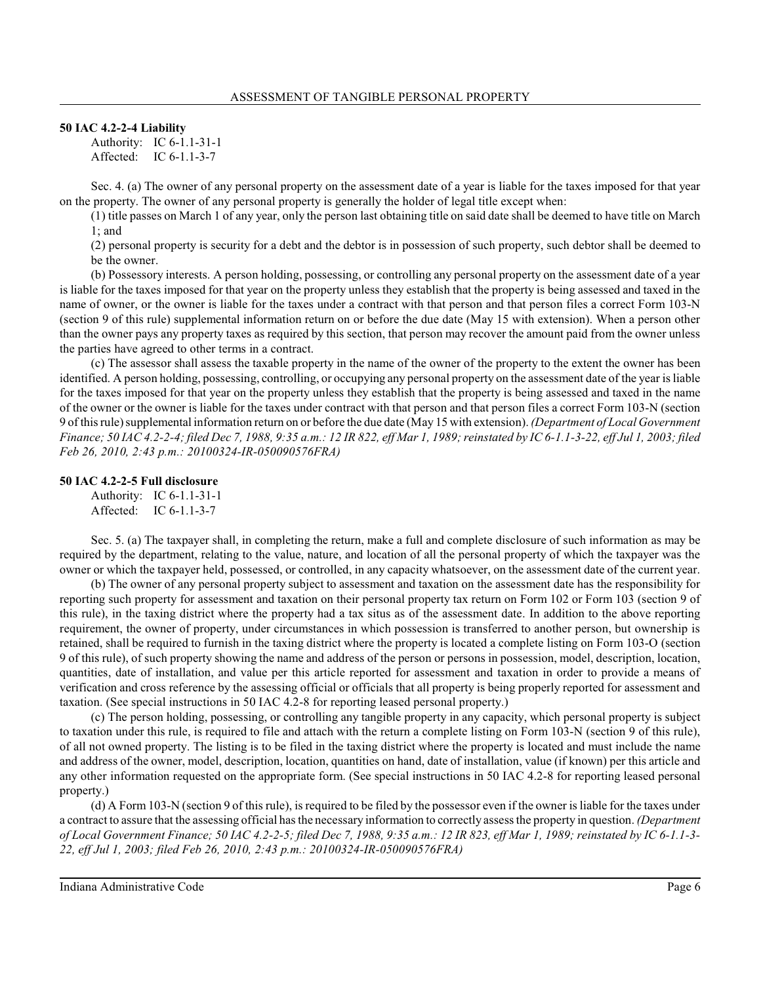## **50 IAC 4.2-2-4 Liability**

Authority: IC 6-1.1-31-1 Affected: IC 6-1.1-3-7

Sec. 4. (a) The owner of any personal property on the assessment date of a year is liable for the taxes imposed for that year on the property. The owner of any personal property is generally the holder of legal title except when:

(1) title passes on March 1 of any year, only the person last obtaining title on said date shall be deemed to have title on March 1; and

(2) personal property is security for a debt and the debtor is in possession of such property, such debtor shall be deemed to be the owner.

(b) Possessory interests. A person holding, possessing, or controlling any personal property on the assessment date of a year is liable for the taxes imposed for that year on the property unless they establish that the property is being assessed and taxed in the name of owner, or the owner is liable for the taxes under a contract with that person and that person files a correct Form 103-N (section 9 of this rule) supplemental information return on or before the due date (May 15 with extension). When a person other than the owner pays any property taxes as required by this section, that person may recover the amount paid from the owner unless the parties have agreed to other terms in a contract.

(c) The assessor shall assess the taxable property in the name of the owner of the property to the extent the owner has been identified. A person holding, possessing, controlling, or occupying any personal property on the assessment date of the year is liable for the taxes imposed for that year on the property unless they establish that the property is being assessed and taxed in the name of the owner or the owner is liable for the taxes under contract with that person and that person files a correct Form 103-N (section 9 of thisrule) supplemental information return on or before the due date (May 15 with extension). *(Department of Local Government Finance; 50 IAC 4.2-2-4; filed Dec 7, 1988, 9:35 a.m.: 12 IR 822, eff Mar 1, 1989; reinstated by IC 6-1.1-3-22, eff Jul 1, 2003; filed Feb 26, 2010, 2:43 p.m.: 20100324-IR-050090576FRA)*

## **50 IAC 4.2-2-5 Full disclosure**

Authority: IC 6-1.1-31-1 Affected: IC 6-1.1-3-7

Sec. 5. (a) The taxpayer shall, in completing the return, make a full and complete disclosure of such information as may be required by the department, relating to the value, nature, and location of all the personal property of which the taxpayer was the owner or which the taxpayer held, possessed, or controlled, in any capacity whatsoever, on the assessment date of the current year.

(b) The owner of any personal property subject to assessment and taxation on the assessment date has the responsibility for reporting such property for assessment and taxation on their personal property tax return on Form 102 or Form 103 (section 9 of this rule), in the taxing district where the property had a tax situs as of the assessment date. In addition to the above reporting requirement, the owner of property, under circumstances in which possession is transferred to another person, but ownership is retained, shall be required to furnish in the taxing district where the property is located a complete listing on Form 103-O (section 9 of this rule), of such property showing the name and address of the person or persons in possession, model, description, location, quantities, date of installation, and value per this article reported for assessment and taxation in order to provide a means of verification and cross reference by the assessing official or officials that all property is being properly reported for assessment and taxation. (See special instructions in 50 IAC 4.2-8 for reporting leased personal property.)

(c) The person holding, possessing, or controlling any tangible property in any capacity, which personal property is subject to taxation under this rule, is required to file and attach with the return a complete listing on Form 103-N (section 9 of this rule), of all not owned property. The listing is to be filed in the taxing district where the property is located and must include the name and address of the owner, model, description, location, quantities on hand, date of installation, value (if known) per this article and any other information requested on the appropriate form. (See special instructions in 50 IAC 4.2-8 for reporting leased personal property.)

(d) A Form 103-N (section 9 of this rule), is required to be filed by the possessor even if the owner is liable for the taxes under a contract to assure that the assessing official hasthe necessary information to correctly assessthe property in question. *(Department of Local Government Finance; 50 IAC 4.2-2-5; filed Dec 7, 1988, 9:35 a.m.: 12 IR 823, eff Mar 1, 1989; reinstated by IC 6-1.1-3- 22, eff Jul 1, 2003; filed Feb 26, 2010, 2:43 p.m.: 20100324-IR-050090576FRA)*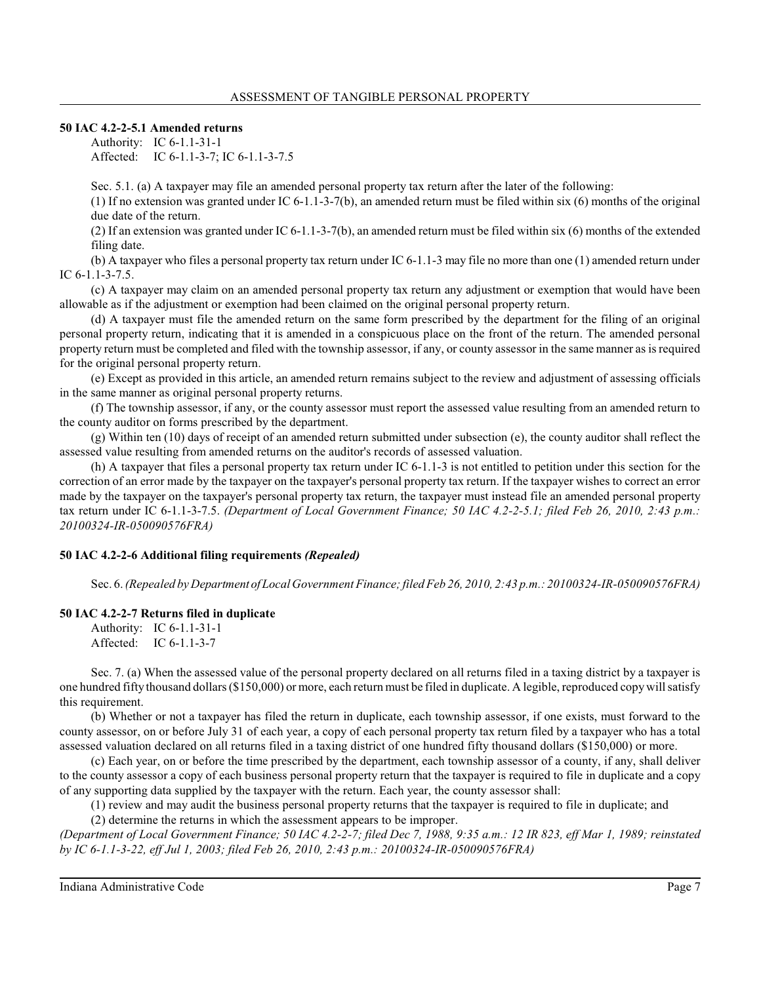**50 IAC 4.2-2-5.1 Amended returns**

Authority: IC 6-1.1-31-1 Affected: IC 6-1.1-3-7; IC 6-1.1-3-7.5

Sec. 5.1. (a) A taxpayer may file an amended personal property tax return after the later of the following:

(1) If no extension was granted under IC 6-1.1-3-7(b), an amended return must be filed within six (6) months of the original due date of the return.

(2) If an extension was granted under IC 6-1.1-3-7(b), an amended return must be filed within six (6) months of the extended filing date.

(b) A taxpayer who files a personal property tax return under IC 6-1.1-3 may file no more than one (1) amended return under IC 6-1.1-3-7.5.

(c) A taxpayer may claim on an amended personal property tax return any adjustment or exemption that would have been allowable as if the adjustment or exemption had been claimed on the original personal property return.

(d) A taxpayer must file the amended return on the same form prescribed by the department for the filing of an original personal property return, indicating that it is amended in a conspicuous place on the front of the return. The amended personal property return must be completed and filed with the township assessor, if any, or county assessor in the same manner asis required for the original personal property return.

(e) Except as provided in this article, an amended return remains subject to the review and adjustment of assessing officials in the same manner as original personal property returns.

(f) The township assessor, if any, or the county assessor must report the assessed value resulting from an amended return to the county auditor on forms prescribed by the department.

(g) Within ten (10) days of receipt of an amended return submitted under subsection (e), the county auditor shall reflect the assessed value resulting from amended returns on the auditor's records of assessed valuation.

(h) A taxpayer that files a personal property tax return under IC 6-1.1-3 is not entitled to petition under this section for the correction of an error made by the taxpayer on the taxpayer's personal property tax return. If the taxpayer wishes to correct an error made by the taxpayer on the taxpayer's personal property tax return, the taxpayer must instead file an amended personal property tax return under IC 6-1.1-3-7.5. *(Department of Local Government Finance; 50 IAC 4.2-2-5.1; filed Feb 26, 2010, 2:43 p.m.: 20100324-IR-050090576FRA)*

### **50 IAC 4.2-2-6 Additional filing requirements** *(Repealed)*

Sec. 6. *(Repealed by Department ofLocal Government Finance;filed Feb 26, 2010, 2:43 p.m.: 20100324-IR-050090576FRA)*

### **50 IAC 4.2-2-7 Returns filed in duplicate**

Authority: IC 6-1.1-31-1 Affected: IC 6-1.1-3-7

Sec. 7. (a) When the assessed value of the personal property declared on all returns filed in a taxing district by a taxpayer is one hundred fifty thousand dollars(\$150,000) or more, each return must be filed in duplicate. A legible, reproduced copy will satisfy this requirement.

(b) Whether or not a taxpayer has filed the return in duplicate, each township assessor, if one exists, must forward to the county assessor, on or before July 31 of each year, a copy of each personal property tax return filed by a taxpayer who has a total assessed valuation declared on all returns filed in a taxing district of one hundred fifty thousand dollars (\$150,000) or more.

(c) Each year, on or before the time prescribed by the department, each township assessor of a county, if any, shall deliver to the county assessor a copy of each business personal property return that the taxpayer is required to file in duplicate and a copy of any supporting data supplied by the taxpayer with the return. Each year, the county assessor shall:

(1) review and may audit the business personal property returns that the taxpayer is required to file in duplicate; and

(2) determine the returns in which the assessment appears to be improper.

*(Department of Local Government Finance; 50 IAC 4.2-2-7; filed Dec 7, 1988, 9:35 a.m.: 12 IR 823, eff Mar 1, 1989; reinstated by IC 6-1.1-3-22, eff Jul 1, 2003; filed Feb 26, 2010, 2:43 p.m.: 20100324-IR-050090576FRA)*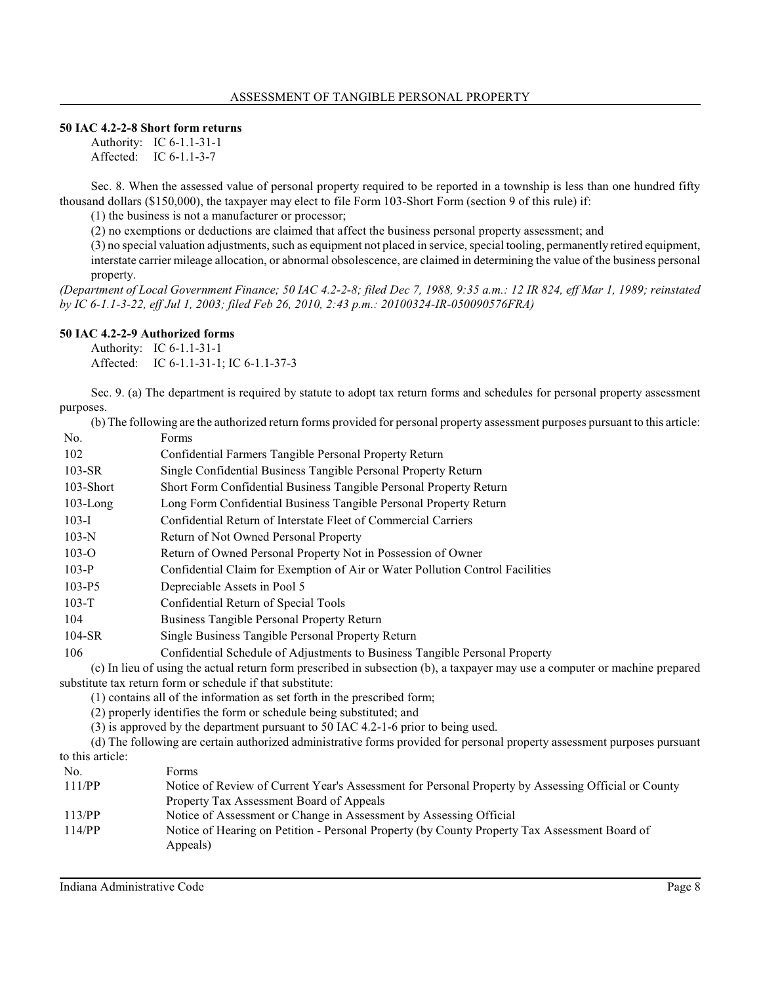### **50 IAC 4.2-2-8 Short form returns**

Authority: IC 6-1.1-31-1 Affected: IC 6-1.1-3-7

Sec. 8. When the assessed value of personal property required to be reported in a township is less than one hundred fifty thousand dollars (\$150,000), the taxpayer may elect to file Form 103-Short Form (section 9 of this rule) if:

(1) the business is not a manufacturer or processor;

(2) no exemptions or deductions are claimed that affect the business personal property assessment; and

(3) no special valuation adjustments, such as equipment not placed in service, special tooling, permanently retired equipment, interstate carrier mileage allocation, or abnormal obsolescence, are claimed in determining the value of the business personal property.

*(Department of Local Government Finance; 50 IAC 4.2-2-8; filed Dec 7, 1988, 9:35 a.m.: 12 IR 824, eff Mar 1, 1989; reinstated by IC 6-1.1-3-22, eff Jul 1, 2003; filed Feb 26, 2010, 2:43 p.m.: 20100324-IR-050090576FRA)*

### **50 IAC 4.2-2-9 Authorized forms**

Authority: IC 6-1.1-31-1 Affected: IC 6-1.1-31-1; IC 6-1.1-37-3

Sec. 9. (a) The department is required by statute to adopt tax return forms and schedules for personal property assessment purposes.

(b) The following are the authorized return forms provided for personal property assessment purposes pursuant to this article:

| No.         | Forms                                                                         |
|-------------|-------------------------------------------------------------------------------|
| 102         | Confidential Farmers Tangible Personal Property Return                        |
| $103-SR$    | Single Confidential Business Tangible Personal Property Return                |
| 103-Short   | Short Form Confidential Business Tangible Personal Property Return            |
| $103$ -Long | Long Form Confidential Business Tangible Personal Property Return             |
| $103-I$     | Confidential Return of Interstate Fleet of Commercial Carriers                |
| $103-N$     | Return of Not Owned Personal Property                                         |
| $103 - O$   | Return of Owned Personal Property Not in Possession of Owner                  |
| $103-P$     | Confidential Claim for Exemption of Air or Water Pollution Control Facilities |
| $103-P5$    | Depreciable Assets in Pool 5                                                  |
| $103 - T$   | Confidential Return of Special Tools                                          |
| 104         | Business Tangible Personal Property Return                                    |
| $104-SR$    | Single Business Tangible Personal Property Return                             |
| 106         | Confidential Schedule of Adjustments to Business Tangible Personal Property   |

(c) In lieu of using the actual return form prescribed in subsection (b), a taxpayer may use a computer or machine prepared substitute tax return form or schedule if that substitute:

(1) contains all of the information as set forth in the prescribed form;

(2) properly identifies the form or schedule being substituted; and

(3) is approved by the department pursuant to 50 IAC 4.2-1-6 prior to being used.

(d) The following are certain authorized administrative forms provided for personal property assessment purposes pursuant to this article:

| No.    | Forms                                                                                                     |
|--------|-----------------------------------------------------------------------------------------------------------|
| 111/PP | Notice of Review of Current Year's Assessment for Personal Property by Assessing Official or County       |
|        | Property Tax Assessment Board of Appeals                                                                  |
| 113/PP | Notice of Assessment or Change in Assessment by Assessing Official                                        |
| 114/PP | Notice of Hearing on Petition - Personal Property (by County Property Tax Assessment Board of<br>Appeals) |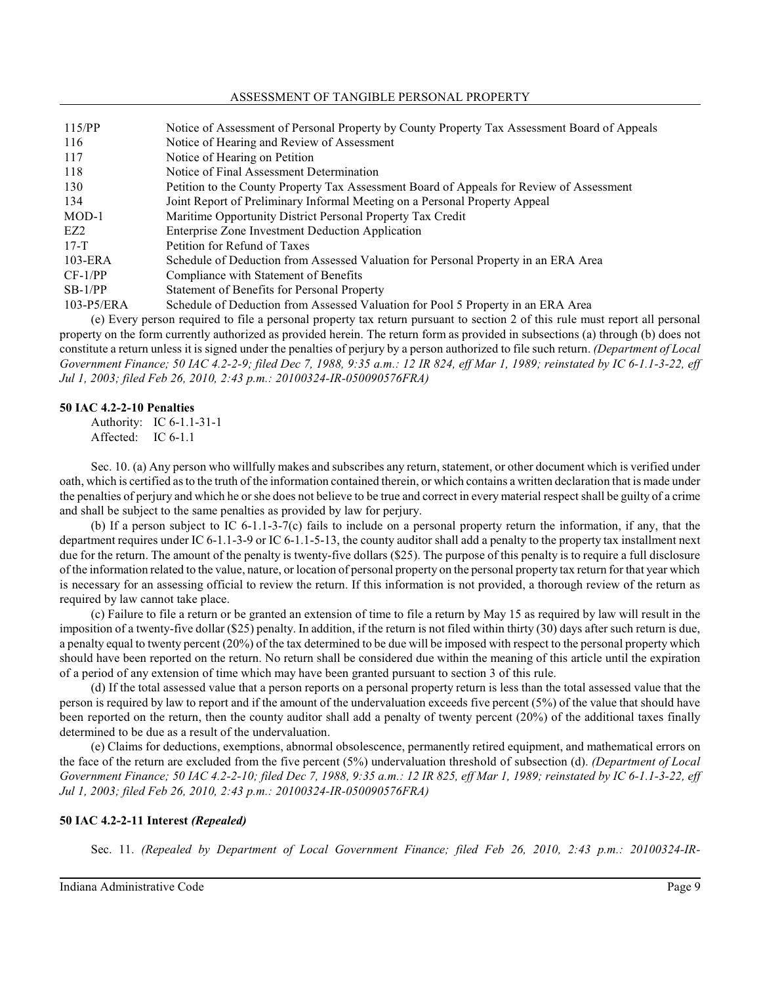#### ASSESSMENT OF TANGIBLE PERSONAL PROPERTY

| 115/PP     | Notice of Assessment of Personal Property by County Property Tax Assessment Board of Appeals |
|------------|----------------------------------------------------------------------------------------------|
| 116        | Notice of Hearing and Review of Assessment                                                   |
| 117        | Notice of Hearing on Petition                                                                |
| 118        | Notice of Final Assessment Determination                                                     |
| 130        | Petition to the County Property Tax Assessment Board of Appeals for Review of Assessment     |
| 134        | Joint Report of Preliminary Informal Meeting on a Personal Property Appeal                   |
| $MOD-1$    | Maritime Opportunity District Personal Property Tax Credit                                   |
| EZ2        | Enterprise Zone Investment Deduction Application                                             |
| $17-T$     | Petition for Refund of Taxes                                                                 |
| $103$ -ERA | Schedule of Deduction from Assessed Valuation for Personal Property in an ERA Area           |
| $CF-1/PP$  | Compliance with Statement of Benefits                                                        |
| $SB-1/PP$  | Statement of Benefits for Personal Property                                                  |
| 103-P5/ERA | Schedule of Deduction from Assessed Valuation for Pool 5 Property in an ERA Area             |

(e) Every person required to file a personal property tax return pursuant to section 2 of this rule must report all personal property on the form currently authorized as provided herein. The return form as provided in subsections (a) through (b) does not constitute a return unless it is signed under the penalties of perjury by a person authorized to file such return. *(Department of Local Government Finance; 50 IAC 4.2-2-9; filed Dec 7, 1988, 9:35 a.m.: 12 IR 824, eff Mar 1, 1989; reinstated by IC 6-1.1-3-22, eff Jul 1, 2003; filed Feb 26, 2010, 2:43 p.m.: 20100324-IR-050090576FRA)*

### **50 IAC 4.2-2-10 Penalties**

Authority: IC 6-1.1-31-1 Affected: IC 6-1.1

Sec. 10. (a) Any person who willfully makes and subscribes any return, statement, or other document which is verified under oath, which is certified asto the truth of the information contained therein, or which contains a written declaration that is made under the penalties of perjury and which he orshe does not believe to be true and correct in every material respect shall be guilty of a crime and shall be subject to the same penalties as provided by law for perjury.

(b) If a person subject to IC  $6-1.1-3-7(c)$  fails to include on a personal property return the information, if any, that the department requires under IC 6-1.1-3-9 or IC 6-1.1-5-13, the county auditor shall add a penalty to the property tax installment next due for the return. The amount of the penalty is twenty-five dollars (\$25). The purpose of this penalty is to require a full disclosure of the information related to the value, nature, or location of personal property on the personal property tax return for that year which is necessary for an assessing official to review the return. If this information is not provided, a thorough review of the return as required by law cannot take place.

(c) Failure to file a return or be granted an extension of time to file a return by May 15 as required by law will result in the imposition of a twenty-five dollar (\$25) penalty. In addition, if the return is not filed within thirty (30) days after such return is due, a penalty equal to twenty percent (20%) of the tax determined to be due will be imposed with respect to the personal property which should have been reported on the return. No return shall be considered due within the meaning of this article until the expiration of a period of any extension of time which may have been granted pursuant to section 3 of this rule.

(d) If the total assessed value that a person reports on a personal property return is less than the total assessed value that the person is required by law to report and if the amount of the undervaluation exceeds five percent (5%) of the value that should have been reported on the return, then the county auditor shall add a penalty of twenty percent (20%) of the additional taxes finally determined to be due as a result of the undervaluation.

(e) Claims for deductions, exemptions, abnormal obsolescence, permanently retired equipment, and mathematical errors on the face of the return are excluded from the five percent (5%) undervaluation threshold of subsection (d). *(Department of Local Government Finance; 50 IAC 4.2-2-10; filed Dec 7, 1988, 9:35 a.m.: 12 IR 825, eff Mar 1, 1989; reinstated by IC 6-1.1-3-22, eff Jul 1, 2003; filed Feb 26, 2010, 2:43 p.m.: 20100324-IR-050090576FRA)*

### **50 IAC 4.2-2-11 Interest** *(Repealed)*

Sec. 11. *(Repealed by Department of Local Government Finance; filed Feb 26, 2010, 2:43 p.m.: 20100324-IR-*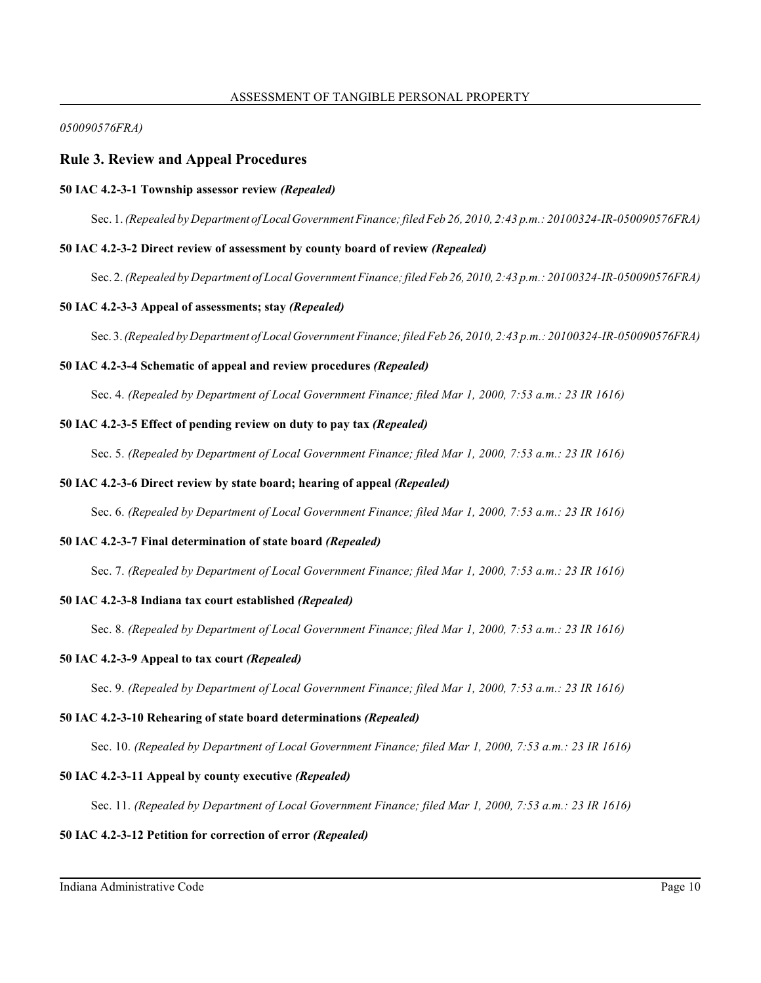### *050090576FRA)*

## **Rule 3. Review and Appeal Procedures**

## **50 IAC 4.2-3-1 Township assessor review** *(Repealed)*

Sec. 1. *(Repealed by Department ofLocalGovernment Finance;filed Feb 26, 2010, 2:43 p.m.: 20100324-IR-050090576FRA)*

## **50 IAC 4.2-3-2 Direct review of assessment by county board of review** *(Repealed)*

Sec. 2. *(Repealed by Department of Local Government Finance;filed Feb 26, 2010, 2:43 p.m.: 20100324-IR-050090576FRA)*

## **50 IAC 4.2-3-3 Appeal of assessments; stay** *(Repealed)*

Sec. 3.*(Repealed by Department of Local Government Finance;filed Feb 26, 2010, 2:43 p.m.: 20100324-IR-050090576FRA)*

## **50 IAC 4.2-3-4 Schematic of appeal and review procedures** *(Repealed)*

Sec. 4. *(Repealed by Department of Local Government Finance; filed Mar 1, 2000, 7:53 a.m.: 23 IR 1616)*

## **50 IAC 4.2-3-5 Effect of pending review on duty to pay tax** *(Repealed)*

Sec. 5. *(Repealed by Department of Local Government Finance; filed Mar 1, 2000, 7:53 a.m.: 23 IR 1616)*

## **50 IAC 4.2-3-6 Direct review by state board; hearing of appeal** *(Repealed)*

Sec. 6. *(Repealed by Department of Local Government Finance; filed Mar 1, 2000, 7:53 a.m.: 23 IR 1616)*

### **50 IAC 4.2-3-7 Final determination of state board** *(Repealed)*

Sec. 7. *(Repealed by Department of Local Government Finance; filed Mar 1, 2000, 7:53 a.m.: 23 IR 1616)*

### **50 IAC 4.2-3-8 Indiana tax court established** *(Repealed)*

Sec. 8. *(Repealed by Department of Local Government Finance; filed Mar 1, 2000, 7:53 a.m.: 23 IR 1616)*

### **50 IAC 4.2-3-9 Appeal to tax court** *(Repealed)*

Sec. 9. *(Repealed by Department of Local Government Finance; filed Mar 1, 2000, 7:53 a.m.: 23 IR 1616)*

## **50 IAC 4.2-3-10 Rehearing of state board determinations** *(Repealed)*

Sec. 10. *(Repealed by Department of Local Government Finance; filed Mar 1, 2000, 7:53 a.m.: 23 IR 1616)*

## **50 IAC 4.2-3-11 Appeal by county executive** *(Repealed)*

Sec. 11. *(Repealed by Department of Local Government Finance; filed Mar 1, 2000, 7:53 a.m.: 23 IR 1616)*

## **50 IAC 4.2-3-12 Petition for correction of error** *(Repealed)*

Indiana Administrative Code Page 10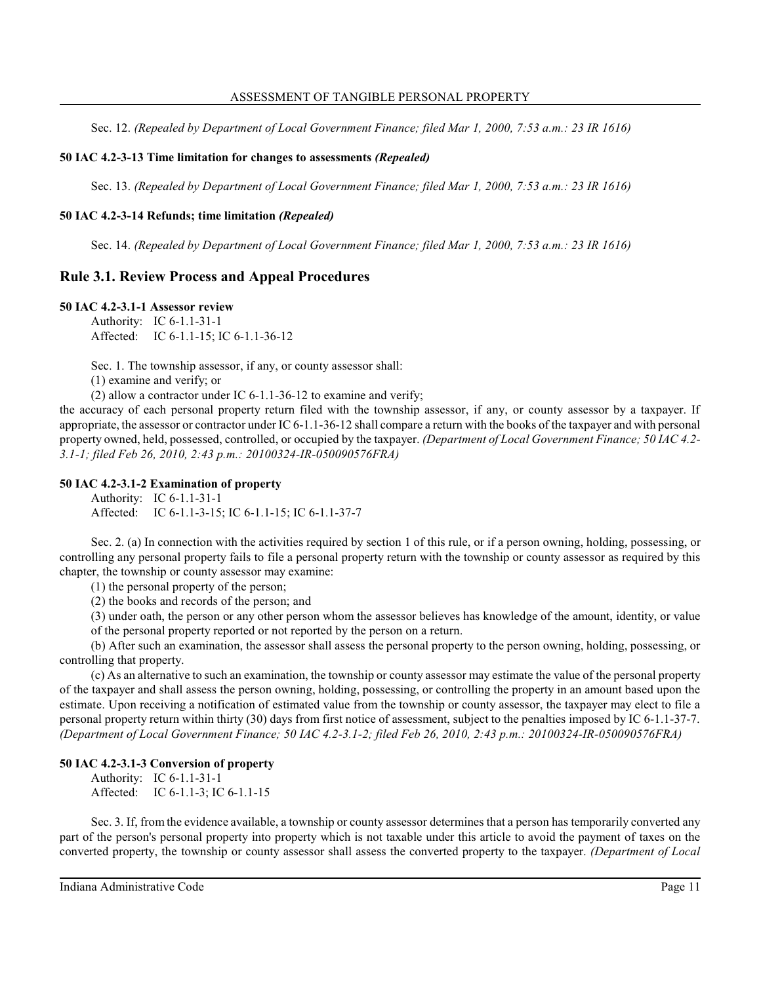Sec. 12. *(Repealed by Department of Local Government Finance; filed Mar 1, 2000, 7:53 a.m.: 23 IR 1616)*

### **50 IAC 4.2-3-13 Time limitation for changes to assessments** *(Repealed)*

Sec. 13. *(Repealed by Department of Local Government Finance; filed Mar 1, 2000, 7:53 a.m.: 23 IR 1616)*

#### **50 IAC 4.2-3-14 Refunds; time limitation** *(Repealed)*

Sec. 14. *(Repealed by Department of Local Government Finance; filed Mar 1, 2000, 7:53 a.m.: 23 IR 1616)*

## **Rule 3.1. Review Process and Appeal Procedures**

**50 IAC 4.2-3.1-1 Assessor review**

Authority: IC 6-1.1-31-1 Affected: IC 6-1.1-15; IC 6-1.1-36-12

Sec. 1. The township assessor, if any, or county assessor shall:

(1) examine and verify; or

(2) allow a contractor under IC 6-1.1-36-12 to examine and verify;

the accuracy of each personal property return filed with the township assessor, if any, or county assessor by a taxpayer. If appropriate, the assessor or contractor under IC 6-1.1-36-12 shall compare a return with the books of the taxpayer and with personal property owned, held, possessed, controlled, or occupied by the taxpayer. *(Department of Local Government Finance; 50 IAC 4.2- 3.1-1; filed Feb 26, 2010, 2:43 p.m.: 20100324-IR-050090576FRA)*

### **50 IAC 4.2-3.1-2 Examination of property**

Authority: IC 6-1.1-31-1 Affected: IC 6-1.1-3-15; IC 6-1.1-15; IC 6-1.1-37-7

Sec. 2. (a) In connection with the activities required by section 1 of this rule, or if a person owning, holding, possessing, or controlling any personal property fails to file a personal property return with the township or county assessor as required by this chapter, the township or county assessor may examine:

(1) the personal property of the person;

(2) the books and records of the person; and

(3) under oath, the person or any other person whom the assessor believes has knowledge of the amount, identity, or value

of the personal property reported or not reported by the person on a return.

(b) After such an examination, the assessor shall assess the personal property to the person owning, holding, possessing, or controlling that property.

(c) As an alternative to such an examination, the township or county assessor may estimate the value of the personal property of the taxpayer and shall assess the person owning, holding, possessing, or controlling the property in an amount based upon the estimate. Upon receiving a notification of estimated value from the township or county assessor, the taxpayer may elect to file a personal property return within thirty (30) days from first notice of assessment, subject to the penalties imposed by IC 6-1.1-37-7. *(Department of Local Government Finance; 50 IAC 4.2-3.1-2; filed Feb 26, 2010, 2:43 p.m.: 20100324-IR-050090576FRA)*

#### **50 IAC 4.2-3.1-3 Conversion of property**

Authority: IC 6-1.1-31-1 Affected: IC 6-1.1-3; IC 6-1.1-15

Sec. 3. If, from the evidence available, a township or county assessor determines that a person has temporarily converted any part of the person's personal property into property which is not taxable under this article to avoid the payment of taxes on the converted property, the township or county assessor shall assess the converted property to the taxpayer. *(Department of Local*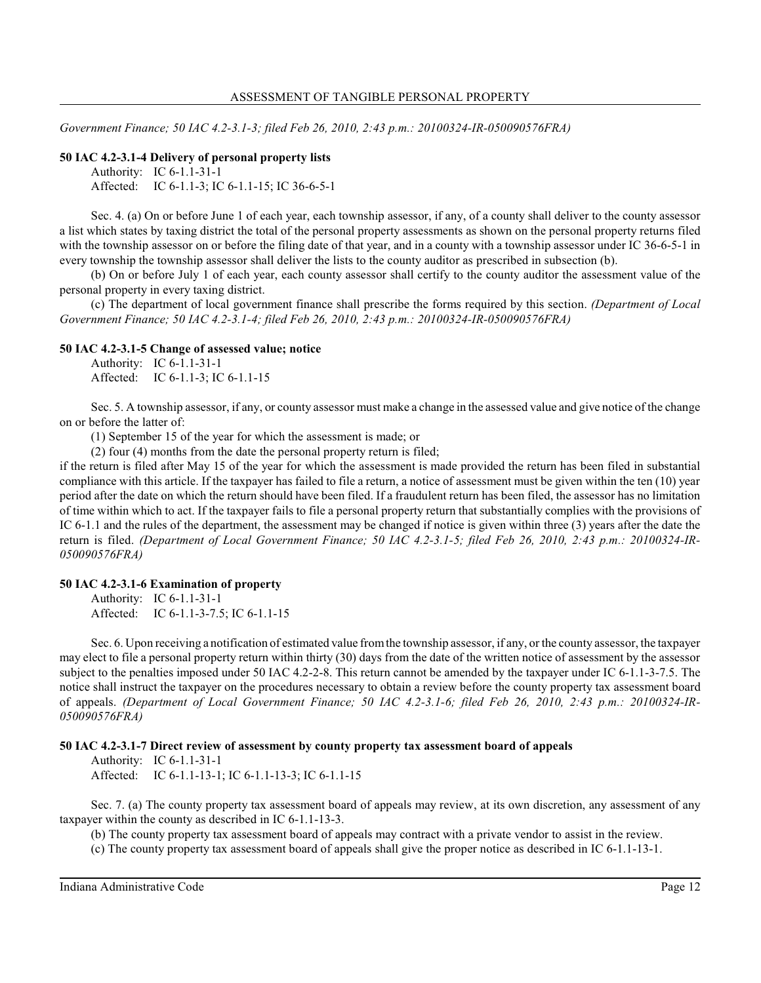*Government Finance; 50 IAC 4.2-3.1-3; filed Feb 26, 2010, 2:43 p.m.: 20100324-IR-050090576FRA)*

#### **50 IAC 4.2-3.1-4 Delivery of personal property lists**

Authority: IC 6-1.1-31-1 Affected: IC 6-1.1-3; IC 6-1.1-15; IC 36-6-5-1

Sec. 4. (a) On or before June 1 of each year, each township assessor, if any, of a county shall deliver to the county assessor a list which states by taxing district the total of the personal property assessments as shown on the personal property returns filed with the township assessor on or before the filing date of that year, and in a county with a township assessor under IC 36-6-5-1 in every township the township assessor shall deliver the lists to the county auditor as prescribed in subsection (b).

(b) On or before July 1 of each year, each county assessor shall certify to the county auditor the assessment value of the personal property in every taxing district.

(c) The department of local government finance shall prescribe the forms required by this section. *(Department of Local Government Finance; 50 IAC 4.2-3.1-4; filed Feb 26, 2010, 2:43 p.m.: 20100324-IR-050090576FRA)*

#### **50 IAC 4.2-3.1-5 Change of assessed value; notice**

Authority: IC 6-1.1-31-1 Affected: IC 6-1.1-3; IC 6-1.1-15

Sec. 5. A township assessor, if any, or county assessor must make a change in the assessed value and give notice of the change on or before the latter of:

(1) September 15 of the year for which the assessment is made; or

(2) four (4) months from the date the personal property return is filed;

if the return is filed after May 15 of the year for which the assessment is made provided the return has been filed in substantial compliance with this article. If the taxpayer has failed to file a return, a notice of assessment must be given within the ten (10) year period after the date on which the return should have been filed. If a fraudulent return has been filed, the assessor has no limitation of time within which to act. If the taxpayer fails to file a personal property return that substantially complies with the provisions of IC 6-1.1 and the rules of the department, the assessment may be changed if notice is given within three (3) years after the date the return is filed. *(Department of Local Government Finance; 50 IAC 4.2-3.1-5; filed Feb 26, 2010, 2:43 p.m.: 20100324-IR-050090576FRA)*

## **50 IAC 4.2-3.1-6 Examination of property**

Authority: IC 6-1.1-31-1 Affected: IC 6-1.1-3-7.5; IC 6-1.1-15

Sec. 6. Upon receiving a notification of estimated value fromthe township assessor, if any, or the county assessor, the taxpayer may elect to file a personal property return within thirty (30) days from the date of the written notice of assessment by the assessor subject to the penalties imposed under 50 IAC 4.2-2-8. This return cannot be amended by the taxpayer under IC 6-1.1-3-7.5. The notice shall instruct the taxpayer on the procedures necessary to obtain a review before the county property tax assessment board of appeals. *(Department of Local Government Finance; 50 IAC 4.2-3.1-6; filed Feb 26, 2010, 2:43 p.m.: 20100324-IR-050090576FRA)*

#### **50 IAC 4.2-3.1-7 Direct review of assessment by county property tax assessment board of appeals**

Authority: IC 6-1.1-31-1

Affected: IC 6-1.1-13-1; IC 6-1.1-13-3; IC 6-1.1-15

Sec. 7. (a) The county property tax assessment board of appeals may review, at its own discretion, any assessment of any taxpayer within the county as described in IC 6-1.1-13-3.

(b) The county property tax assessment board of appeals may contract with a private vendor to assist in the review.

(c) The county property tax assessment board of appeals shall give the proper notice as described in IC 6-1.1-13-1.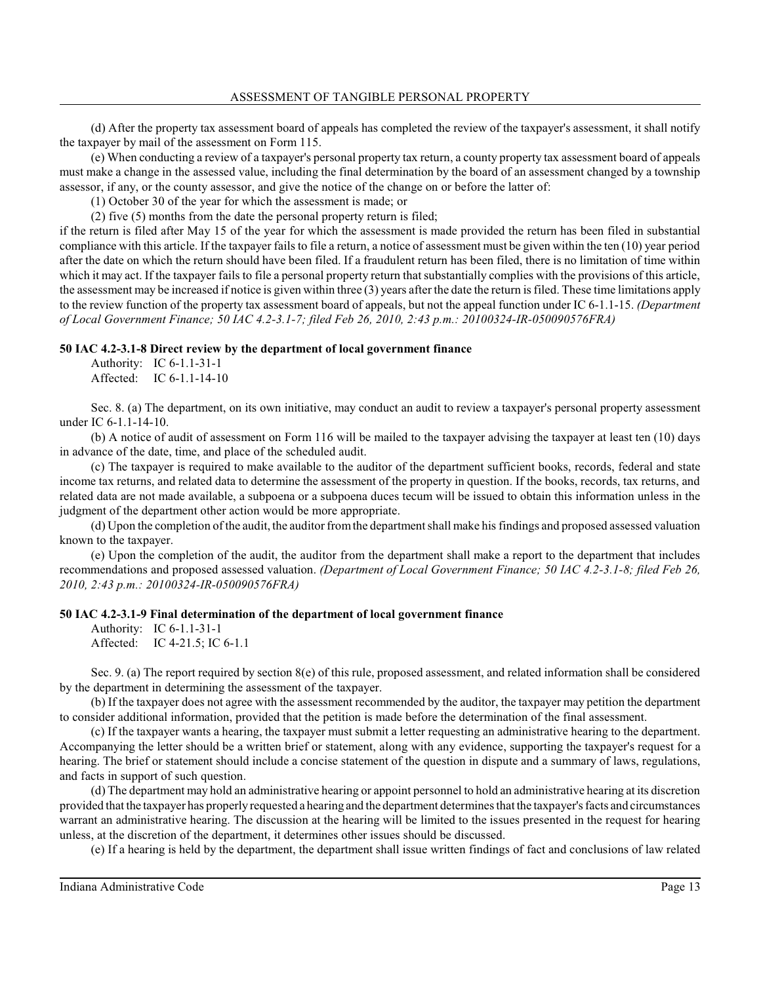(d) After the property tax assessment board of appeals has completed the review of the taxpayer's assessment, it shall notify the taxpayer by mail of the assessment on Form 115.

(e) When conducting a review of a taxpayer's personal property tax return, a county property tax assessment board of appeals must make a change in the assessed value, including the final determination by the board of an assessment changed by a township assessor, if any, or the county assessor, and give the notice of the change on or before the latter of:

(1) October 30 of the year for which the assessment is made; or

(2) five (5) months from the date the personal property return is filed;

if the return is filed after May 15 of the year for which the assessment is made provided the return has been filed in substantial compliance with this article. If the taxpayer fails to file a return, a notice of assessment must be given within the ten (10) year period after the date on which the return should have been filed. If a fraudulent return has been filed, there is no limitation of time within which it may act. If the taxpayer fails to file a personal property return that substantially complies with the provisions of this article, the assessment may be increased if notice is given within three (3) years after the date the return is filed. These time limitations apply to the review function of the property tax assessment board of appeals, but not the appeal function under IC 6-1.1-15. *(Department of Local Government Finance; 50 IAC 4.2-3.1-7; filed Feb 26, 2010, 2:43 p.m.: 20100324-IR-050090576FRA)*

### **50 IAC 4.2-3.1-8 Direct review by the department of local government finance**

Authority: IC 6-1.1-31-1 Affected: IC 6-1.1-14-10

Sec. 8. (a) The department, on its own initiative, may conduct an audit to review a taxpayer's personal property assessment under IC 6-1.1-14-10.

(b) A notice of audit of assessment on Form 116 will be mailed to the taxpayer advising the taxpayer at least ten (10) days in advance of the date, time, and place of the scheduled audit.

(c) The taxpayer is required to make available to the auditor of the department sufficient books, records, federal and state income tax returns, and related data to determine the assessment of the property in question. If the books, records, tax returns, and related data are not made available, a subpoena or a subpoena duces tecum will be issued to obtain this information unless in the judgment of the department other action would be more appropriate.

(d) Upon the completion of the audit, the auditor fromthe department shall make hisfindings and proposed assessed valuation known to the taxpayer.

(e) Upon the completion of the audit, the auditor from the department shall make a report to the department that includes recommendations and proposed assessed valuation. *(Department of Local Government Finance; 50 IAC 4.2-3.1-8; filed Feb 26, 2010, 2:43 p.m.: 20100324-IR-050090576FRA)*

### **50 IAC 4.2-3.1-9 Final determination of the department of local government finance**

Authority: IC 6-1.1-31-1 Affected: IC 4-21.5; IC 6-1.1

Sec. 9. (a) The report required by section 8(e) of this rule, proposed assessment, and related information shall be considered by the department in determining the assessment of the taxpayer.

(b) If the taxpayer does not agree with the assessment recommended by the auditor, the taxpayer may petition the department to consider additional information, provided that the petition is made before the determination of the final assessment.

(c) If the taxpayer wants a hearing, the taxpayer must submit a letter requesting an administrative hearing to the department. Accompanying the letter should be a written brief or statement, along with any evidence, supporting the taxpayer's request for a hearing. The brief or statement should include a concise statement of the question in dispute and a summary of laws, regulations, and facts in support of such question.

(d) The department may hold an administrative hearing or appoint personnel to hold an administrative hearing at its discretion provided that the taxpayer has properly requested a hearing and the department determinesthat the taxpayer's facts and circumstances warrant an administrative hearing. The discussion at the hearing will be limited to the issues presented in the request for hearing unless, at the discretion of the department, it determines other issues should be discussed.

(e) If a hearing is held by the department, the department shall issue written findings of fact and conclusions of law related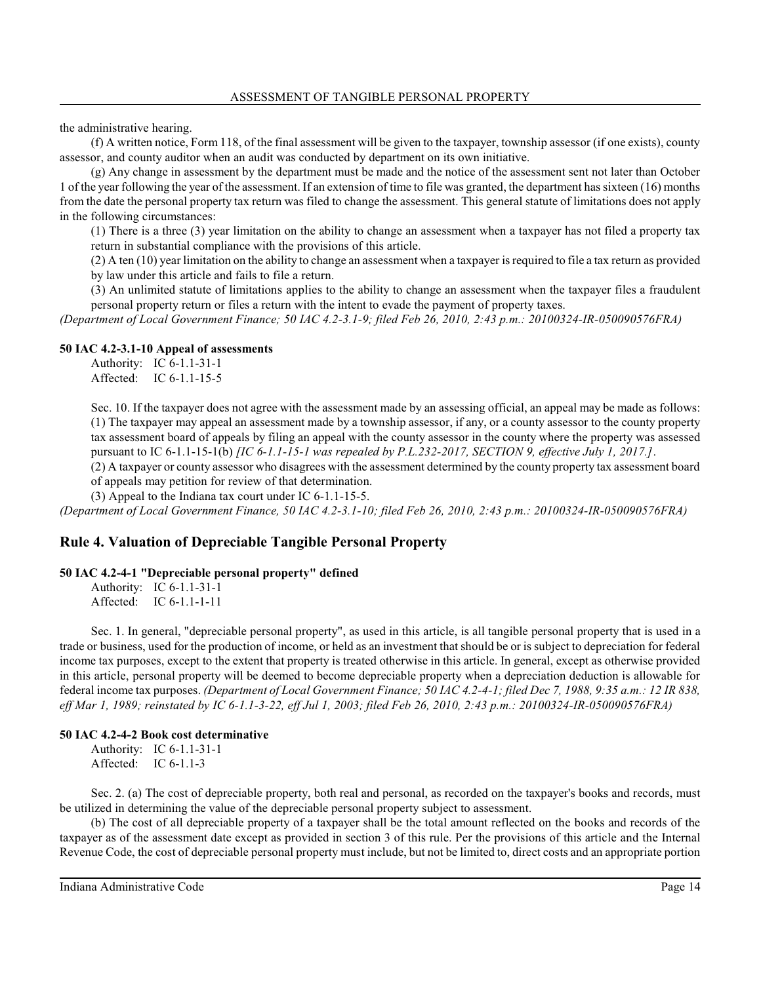the administrative hearing.

(f) A written notice, Form 118, of the final assessment will be given to the taxpayer, township assessor (if one exists), county assessor, and county auditor when an audit was conducted by department on its own initiative.

(g) Any change in assessment by the department must be made and the notice of the assessment sent not later than October 1 of the year following the year of the assessment. If an extension of time to file was granted, the department has sixteen (16) months from the date the personal property tax return was filed to change the assessment. This general statute of limitations does not apply in the following circumstances:

(1) There is a three (3) year limitation on the ability to change an assessment when a taxpayer has not filed a property tax return in substantial compliance with the provisions of this article.

(2) A ten (10) year limitation on the ability to change an assessment when a taxpayer is required to file a tax return as provided by law under this article and fails to file a return.

(3) An unlimited statute of limitations applies to the ability to change an assessment when the taxpayer files a fraudulent personal property return or files a return with the intent to evade the payment of property taxes.

*(Department of Local Government Finance; 50 IAC 4.2-3.1-9; filed Feb 26, 2010, 2:43 p.m.: 20100324-IR-050090576FRA)*

#### **50 IAC 4.2-3.1-10 Appeal of assessments**

Authority: IC 6-1.1-31-1 Affected: IC 6-1.1-15-5

Sec. 10. If the taxpayer does not agree with the assessment made by an assessing official, an appeal may be made as follows: (1) The taxpayer may appeal an assessment made by a township assessor, if any, or a county assessor to the county property tax assessment board of appeals by filing an appeal with the county assessor in the county where the property was assessed pursuant to IC 6-1.1-15-1(b) *[IC 6-1.1-15-1 was repealed by P.L.232-2017, SECTION 9, effective July 1, 2017.]*.

(2) A taxpayer or county assessor who disagrees with the assessment determined by the county property tax assessment board of appeals may petition for review of that determination.

(3) Appeal to the Indiana tax court under IC 6-1.1-15-5.

*(Department of Local Government Finance, 50 IAC 4.2-3.1-10; filed Feb 26, 2010, 2:43 p.m.: 20100324-IR-050090576FRA)*

## **Rule 4. Valuation of Depreciable Tangible Personal Property**

### **50 IAC 4.2-4-1 "Depreciable personal property" defined**

Authority: IC 6-1.1-31-1 Affected: IC 6-1.1-1-11

Sec. 1. In general, "depreciable personal property", as used in this article, is all tangible personal property that is used in a trade or business, used for the production of income, or held as an investment that should be or is subject to depreciation for federal income tax purposes, except to the extent that property is treated otherwise in this article. In general, except as otherwise provided in this article, personal property will be deemed to become depreciable property when a depreciation deduction is allowable for federal income tax purposes. *(Department of Local Government Finance; 50 IAC 4.2-4-1; filed Dec 7, 1988, 9:35 a.m.: 12 IR 838, eff Mar 1, 1989; reinstated by IC 6-1.1-3-22, eff Jul 1, 2003; filed Feb 26, 2010, 2:43 p.m.: 20100324-IR-050090576FRA)*

### **50 IAC 4.2-4-2 Book cost determinative**

Authority: IC 6-1.1-31-1 Affected: IC 6-1.1-3

Sec. 2. (a) The cost of depreciable property, both real and personal, as recorded on the taxpayer's books and records, must be utilized in determining the value of the depreciable personal property subject to assessment.

(b) The cost of all depreciable property of a taxpayer shall be the total amount reflected on the books and records of the taxpayer as of the assessment date except as provided in section 3 of this rule. Per the provisions of this article and the Internal Revenue Code, the cost of depreciable personal property must include, but not be limited to, direct costs and an appropriate portion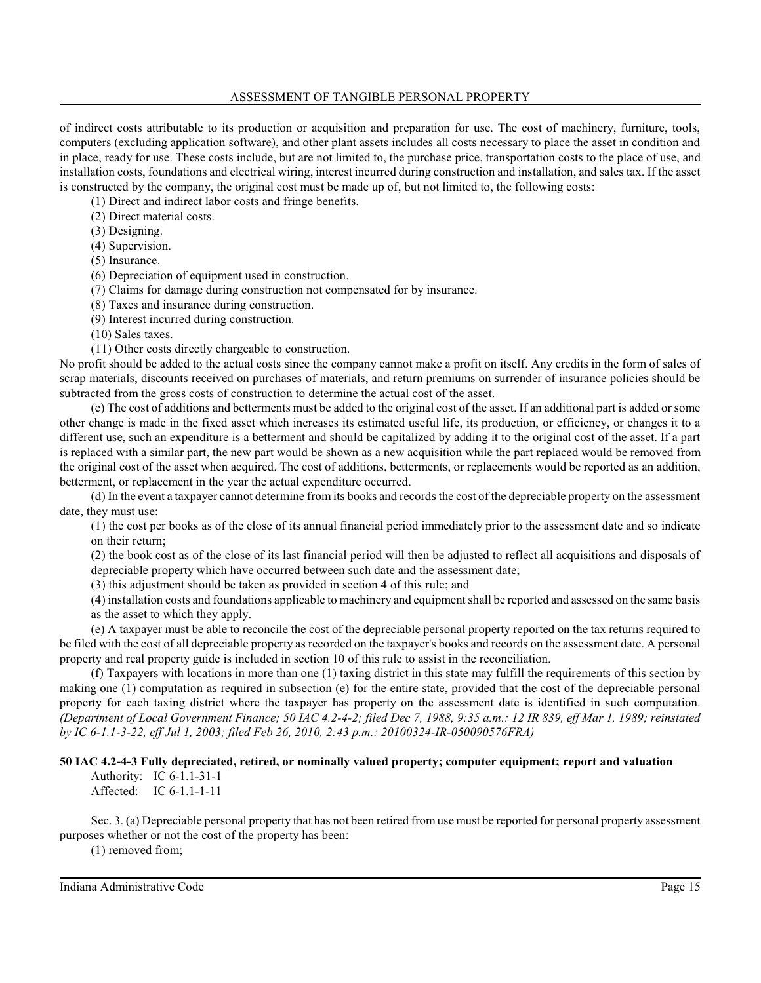## ASSESSMENT OF TANGIBLE PERSONAL PROPERTY

of indirect costs attributable to its production or acquisition and preparation for use. The cost of machinery, furniture, tools, computers (excluding application software), and other plant assets includes all costs necessary to place the asset in condition and in place, ready for use. These costs include, but are not limited to, the purchase price, transportation costs to the place of use, and installation costs, foundations and electrical wiring, interest incurred during construction and installation, and sales tax. If the asset is constructed by the company, the original cost must be made up of, but not limited to, the following costs:

(1) Direct and indirect labor costs and fringe benefits.

(2) Direct material costs.

(3) Designing.

(4) Supervision.

(5) Insurance.

(6) Depreciation of equipment used in construction.

(7) Claims for damage during construction not compensated for by insurance.

(8) Taxes and insurance during construction.

(9) Interest incurred during construction.

(10) Sales taxes.

(11) Other costs directly chargeable to construction.

No profit should be added to the actual costs since the company cannot make a profit on itself. Any credits in the form of sales of scrap materials, discounts received on purchases of materials, and return premiums on surrender of insurance policies should be subtracted from the gross costs of construction to determine the actual cost of the asset.

(c) The cost of additions and betterments must be added to the original cost of the asset. If an additional part is added or some other change is made in the fixed asset which increases its estimated useful life, its production, or efficiency, or changes it to a different use, such an expenditure is a betterment and should be capitalized by adding it to the original cost of the asset. If a part is replaced with a similar part, the new part would be shown as a new acquisition while the part replaced would be removed from the original cost of the asset when acquired. The cost of additions, betterments, or replacements would be reported as an addition, betterment, or replacement in the year the actual expenditure occurred.

(d) In the event a taxpayer cannot determine from its books and records the cost of the depreciable property on the assessment date, they must use:

(1) the cost per books as of the close of its annual financial period immediately prior to the assessment date and so indicate on their return;

(2) the book cost as of the close of its last financial period will then be adjusted to reflect all acquisitions and disposals of depreciable property which have occurred between such date and the assessment date;

(3) this adjustment should be taken as provided in section 4 of this rule; and

(4) installation costs and foundations applicable to machinery and equipment shall be reported and assessed on the same basis as the asset to which they apply.

(e) A taxpayer must be able to reconcile the cost of the depreciable personal property reported on the tax returns required to be filed with the cost of all depreciable property as recorded on the taxpayer's books and records on the assessment date. A personal property and real property guide is included in section 10 of this rule to assist in the reconciliation.

(f) Taxpayers with locations in more than one (1) taxing district in this state may fulfill the requirements of this section by making one (1) computation as required in subsection (e) for the entire state, provided that the cost of the depreciable personal property for each taxing district where the taxpayer has property on the assessment date is identified in such computation. *(Department of Local Government Finance; 50 IAC 4.2-4-2; filed Dec 7, 1988, 9:35 a.m.: 12 IR 839, eff Mar 1, 1989; reinstated by IC 6-1.1-3-22, eff Jul 1, 2003; filed Feb 26, 2010, 2:43 p.m.: 20100324-IR-050090576FRA)*

**50 IAC 4.2-4-3 Fully depreciated, retired, or nominally valued property; computer equipment; report and valuation**

Authority: IC 6-1.1-31-1 Affected: IC 6-1.1-1-11

Sec. 3. (a) Depreciable personal property that has not been retired fromuse must be reported for personal property assessment purposes whether or not the cost of the property has been:

(1) removed from;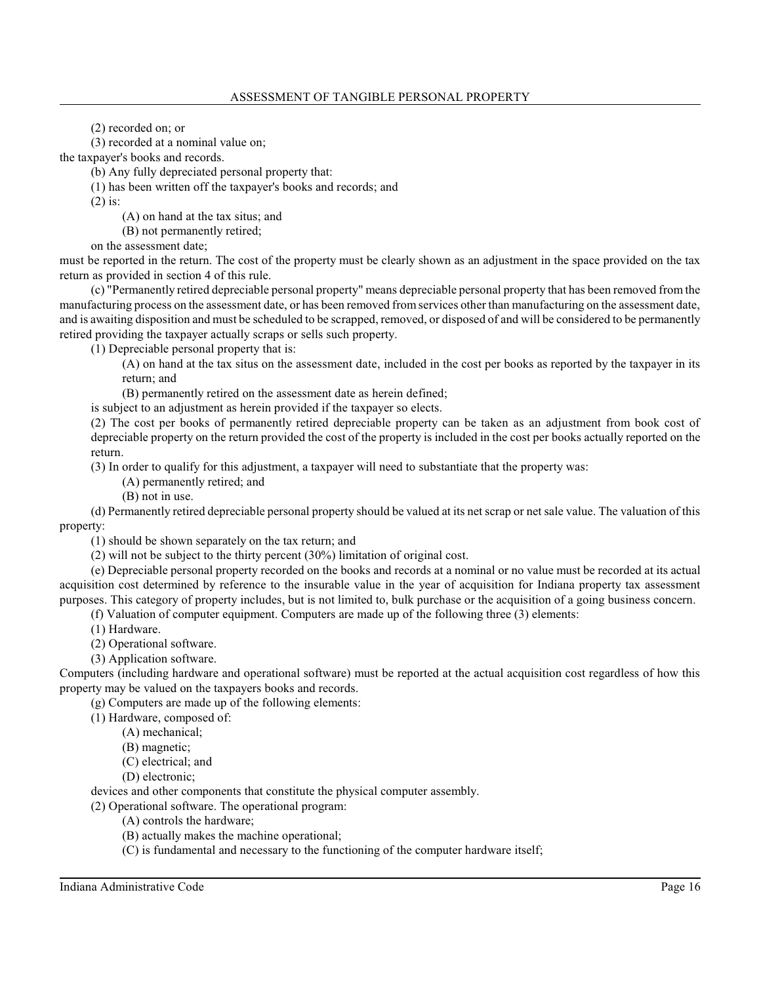(2) recorded on; or

(3) recorded at a nominal value on;

the taxpayer's books and records.

(b) Any fully depreciated personal property that:

(1) has been written off the taxpayer's books and records; and

(2) is:

(A) on hand at the tax situs; and

(B) not permanently retired;

on the assessment date;

must be reported in the return. The cost of the property must be clearly shown as an adjustment in the space provided on the tax return as provided in section 4 of this rule.

(c) "Permanently retired depreciable personal property" means depreciable personal property that has been removed from the manufacturing process on the assessment date, or has been removed fromservices other than manufacturing on the assessment date, and is awaiting disposition and must be scheduled to be scrapped, removed, or disposed of and will be considered to be permanently retired providing the taxpayer actually scraps or sells such property.

(1) Depreciable personal property that is:

(A) on hand at the tax situs on the assessment date, included in the cost per books as reported by the taxpayer in its return; and

(B) permanently retired on the assessment date as herein defined;

is subject to an adjustment as herein provided if the taxpayer so elects.

(2) The cost per books of permanently retired depreciable property can be taken as an adjustment from book cost of depreciable property on the return provided the cost of the property is included in the cost per books actually reported on the return.

(3) In order to qualify for this adjustment, a taxpayer will need to substantiate that the property was:

(A) permanently retired; and

(B) not in use.

(d) Permanently retired depreciable personal property should be valued at its net scrap or net sale value. The valuation of this property:

(1) should be shown separately on the tax return; and

(2) will not be subject to the thirty percent (30%) limitation of original cost.

(e) Depreciable personal property recorded on the books and records at a nominal or no value must be recorded at its actual acquisition cost determined by reference to the insurable value in the year of acquisition for Indiana property tax assessment purposes. This category of property includes, but is not limited to, bulk purchase or the acquisition of a going business concern.

(f) Valuation of computer equipment. Computers are made up of the following three (3) elements:

(1) Hardware.

(2) Operational software.

(3) Application software.

Computers (including hardware and operational software) must be reported at the actual acquisition cost regardless of how this property may be valued on the taxpayers books and records.

(g) Computers are made up of the following elements:

(1) Hardware, composed of:

(A) mechanical;

(B) magnetic;

(C) electrical; and

(D) electronic;

devices and other components that constitute the physical computer assembly.

(2) Operational software. The operational program:

(A) controls the hardware;

(B) actually makes the machine operational;

(C) is fundamental and necessary to the functioning of the computer hardware itself;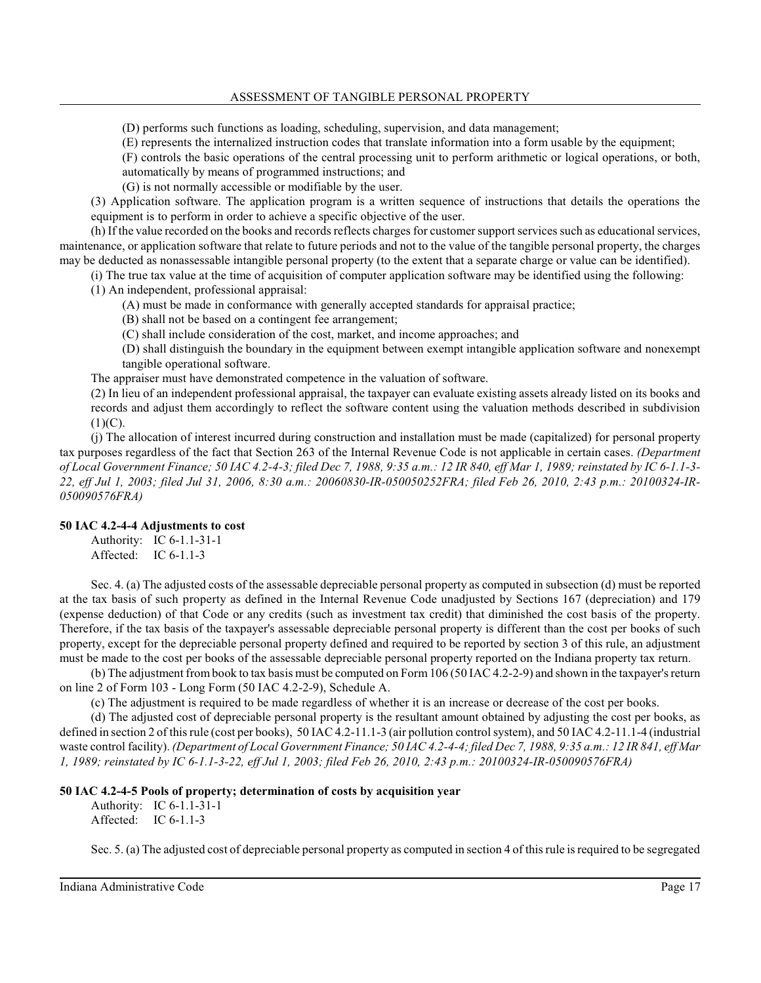### ASSESSMENT OF TANGIBLE PERSONAL PROPERTY

(D) performs such functions as loading, scheduling, supervision, and data management;

(E) represents the internalized instruction codes that translate information into a form usable by the equipment;

(F) controls the basic operations of the central processing unit to perform arithmetic or logical operations, or both, automatically by means of programmed instructions; and

(G) is not normally accessible or modifiable by the user.

(3) Application software. The application program is a written sequence of instructions that details the operations the equipment is to perform in order to achieve a specific objective of the user.

(h) If the value recorded on the books and records reflects charges for customer support services such as educational services, maintenance, or application software that relate to future periods and not to the value of the tangible personal property, the charges may be deducted as nonassessable intangible personal property (to the extent that a separate charge or value can be identified).

(i) The true tax value at the time of acquisition of computer application software may be identified using the following:

(1) An independent, professional appraisal:

- (A) must be made in conformance with generally accepted standards for appraisal practice;
- (B) shall not be based on a contingent fee arrangement;
- (C) shall include consideration of the cost, market, and income approaches; and

(D) shall distinguish the boundary in the equipment between exempt intangible application software and nonexempt tangible operational software.

The appraiser must have demonstrated competence in the valuation of software.

(2) In lieu of an independent professional appraisal, the taxpayer can evaluate existing assets already listed on its books and records and adjust them accordingly to reflect the software content using the valuation methods described in subdivision  $(1)(C)$ .

(j) The allocation of interest incurred during construction and installation must be made (capitalized) for personal property tax purposes regardless of the fact that Section 263 of the Internal Revenue Code is not applicable in certain cases. *(Department of Local Government Finance; 50 IAC 4.2-4-3; filed Dec 7, 1988, 9:35 a.m.: 12 IR 840, eff Mar 1, 1989; reinstated by IC 6-1.1-3- 22, eff Jul 1, 2003; filed Jul 31, 2006, 8:30 a.m.: 20060830-IR-050050252FRA; filed Feb 26, 2010, 2:43 p.m.: 20100324-IR-050090576FRA)*

## **50 IAC 4.2-4-4 Adjustments to cost**

Authority: IC 6-1.1-31-1 Affected: IC 6-1.1-3

Sec. 4. (a) The adjusted costs of the assessable depreciable personal property as computed in subsection (d) must be reported at the tax basis of such property as defined in the Internal Revenue Code unadjusted by Sections 167 (depreciation) and 179 (expense deduction) of that Code or any credits (such as investment tax credit) that diminished the cost basis of the property. Therefore, if the tax basis of the taxpayer's assessable depreciable personal property is different than the cost per books of such property, except for the depreciable personal property defined and required to be reported by section 3 of this rule, an adjustment must be made to the cost per books of the assessable depreciable personal property reported on the Indiana property tax return.

(b) The adjustment frombook to tax basis must be computed on Form106 (50 IAC 4.2-2-9) and shown in the taxpayer's return on line 2 of Form 103 - Long Form (50 IAC 4.2-2-9), Schedule A.

(c) The adjustment is required to be made regardless of whether it is an increase or decrease of the cost per books.

(d) The adjusted cost of depreciable personal property is the resultant amount obtained by adjusting the cost per books, as defined in section 2 of thisrule (cost per books), 50 IAC 4.2-11.1-3 (air pollution control system), and 50 IAC 4.2-11.1-4 (industrial waste control facility). *(Department of Local Government Finance; 50 IAC 4.2-4-4; filed Dec 7, 1988, 9:35 a.m.: 12 IR 841, eff Mar 1, 1989; reinstated by IC 6-1.1-3-22, eff Jul 1, 2003; filed Feb 26, 2010, 2:43 p.m.: 20100324-IR-050090576FRA)*

## **50 IAC 4.2-4-5 Pools of property; determination of costs by acquisition year**

Authority: IC 6-1.1-31-1 Affected: IC 6-1.1-3

Sec. 5. (a) The adjusted cost of depreciable personal property as computed in section 4 of thisrule is required to be segregated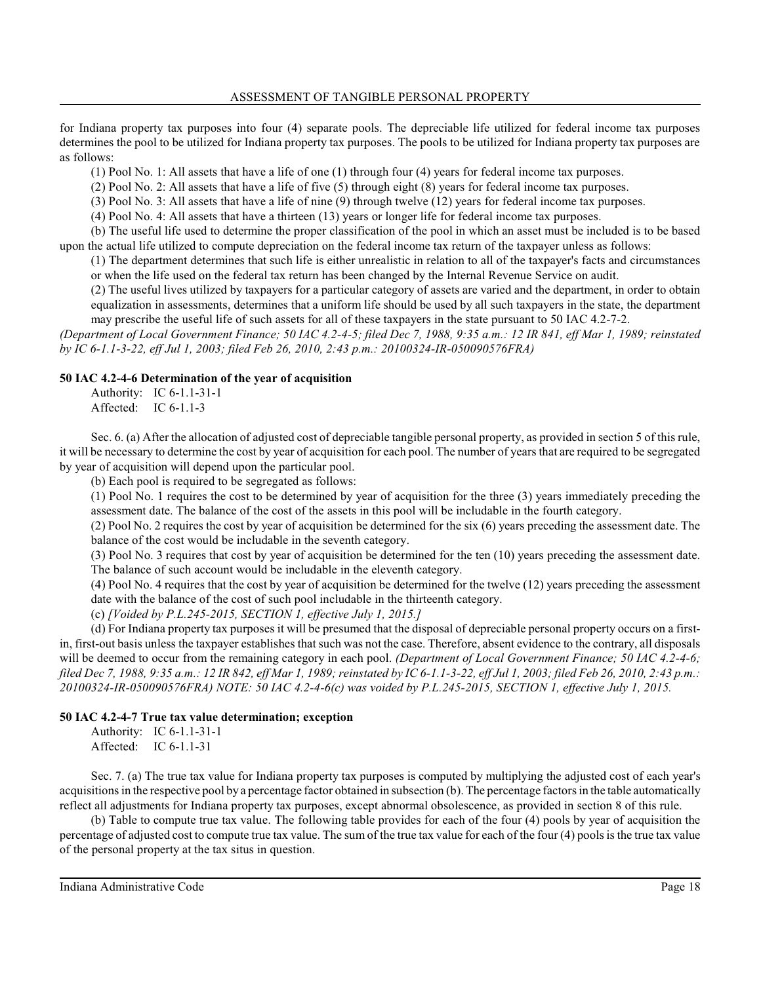for Indiana property tax purposes into four (4) separate pools. The depreciable life utilized for federal income tax purposes determines the pool to be utilized for Indiana property tax purposes. The pools to be utilized for Indiana property tax purposes are as follows:

(1) Pool No. 1: All assets that have a life of one (1) through four (4) years for federal income tax purposes.

(2) Pool No. 2: All assets that have a life of five (5) through eight (8) years for federal income tax purposes.

(3) Pool No. 3: All assets that have a life of nine (9) through twelve (12) years for federal income tax purposes.

(4) Pool No. 4: All assets that have a thirteen (13) years or longer life for federal income tax purposes.

(b) The useful life used to determine the proper classification of the pool in which an asset must be included is to be based upon the actual life utilized to compute depreciation on the federal income tax return of the taxpayer unless as follows:

(1) The department determines that such life is either unrealistic in relation to all of the taxpayer's facts and circumstances or when the life used on the federal tax return has been changed by the Internal Revenue Service on audit.

(2) The useful lives utilized by taxpayers for a particular category of assets are varied and the department, in order to obtain equalization in assessments, determines that a uniform life should be used by all such taxpayers in the state, the department may prescribe the useful life of such assets for all of these taxpayers in the state pursuant to 50 IAC 4.2-7-2.

*(Department of Local Government Finance; 50 IAC 4.2-4-5; filed Dec 7, 1988, 9:35 a.m.: 12 IR 841, eff Mar 1, 1989; reinstated by IC 6-1.1-3-22, eff Jul 1, 2003; filed Feb 26, 2010, 2:43 p.m.: 20100324-IR-050090576FRA)*

### **50 IAC 4.2-4-6 Determination of the year of acquisition**

Authority: IC 6-1.1-31-1 Affected: IC 6-1.1-3

Sec. 6. (a) After the allocation of adjusted cost of depreciable tangible personal property, as provided in section 5 of this rule, it will be necessary to determine the cost by year of acquisition for each pool. The number of yearsthat are required to be segregated by year of acquisition will depend upon the particular pool.

(b) Each pool is required to be segregated as follows:

(1) Pool No. 1 requires the cost to be determined by year of acquisition for the three (3) years immediately preceding the assessment date. The balance of the cost of the assets in this pool will be includable in the fourth category.

(2) Pool No. 2 requires the cost by year of acquisition be determined for the six (6) years preceding the assessment date. The balance of the cost would be includable in the seventh category.

(3) Pool No. 3 requires that cost by year of acquisition be determined for the ten (10) years preceding the assessment date. The balance of such account would be includable in the eleventh category.

(4) Pool No. 4 requires that the cost by year of acquisition be determined for the twelve (12) years preceding the assessment date with the balance of the cost of such pool includable in the thirteenth category.

(c) *[Voided by P.L.245-2015, SECTION 1, effective July 1, 2015.]*

(d) For Indiana property tax purposes it will be presumed that the disposal of depreciable personal property occurs on a firstin, first-out basis unless the taxpayer establishes that such was not the case. Therefore, absent evidence to the contrary, all disposals will be deemed to occur from the remaining category in each pool. *(Department of Local Government Finance; 50 IAC 4.2-4-6; filed Dec 7, 1988, 9:35 a.m.: 12 IR 842, eff Mar 1, 1989; reinstated by IC 6-1.1-3-22, eff Jul 1, 2003; filed Feb 26, 2010, 2:43 p.m.: 20100324-IR-050090576FRA) NOTE: 50 IAC 4.2-4-6(c) was voided by P.L.245-2015, SECTION 1, effective July 1, 2015.*

### **50 IAC 4.2-4-7 True tax value determination; exception**

Authority: IC 6-1.1-31-1 Affected: IC 6-1.1-31

Sec. 7. (a) The true tax value for Indiana property tax purposes is computed by multiplying the adjusted cost of each year's acquisitions in the respective pool by a percentage factor obtained in subsection (b). The percentage factors in the table automatically reflect all adjustments for Indiana property tax purposes, except abnormal obsolescence, as provided in section 8 of this rule.

(b) Table to compute true tax value. The following table provides for each of the four (4) pools by year of acquisition the percentage of adjusted cost to compute true tax value. The sum of the true tax value for each of the four (4) poolsis the true tax value of the personal property at the tax situs in question.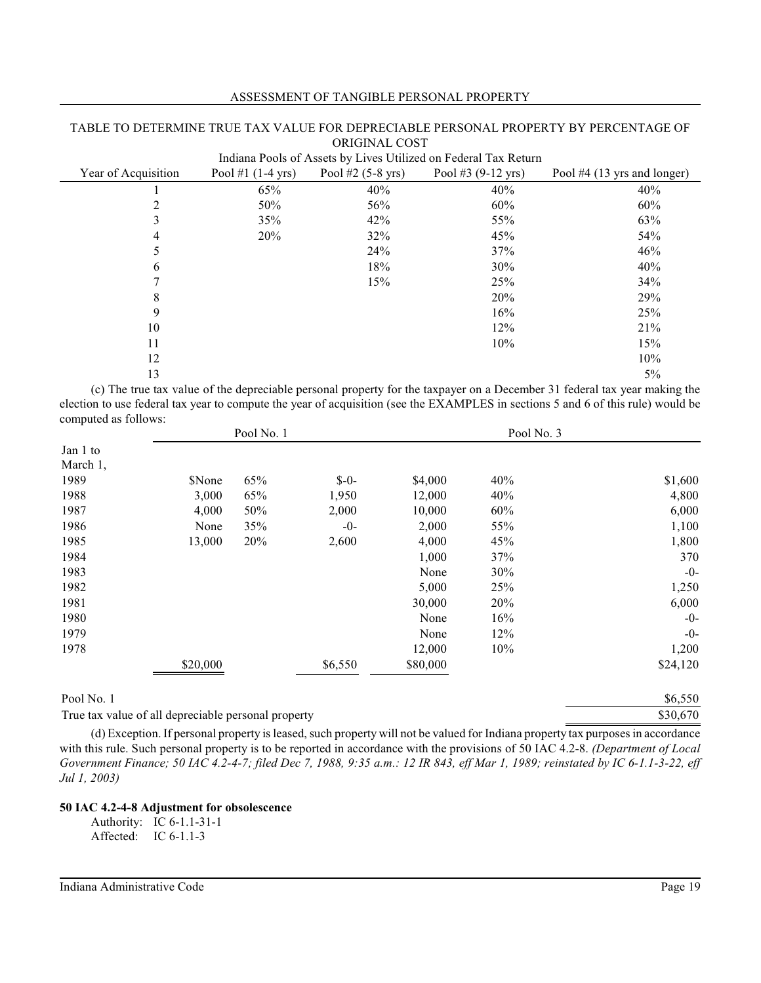| Indiana Pools of Assets by Lives Utilized on Federal Tax Return |                             |                             |                              |                               |
|-----------------------------------------------------------------|-----------------------------|-----------------------------|------------------------------|-------------------------------|
| Year of Acquisition                                             | Pool #1 $(1-4 \text{ yrs})$ | Pool #2 $(5-8 \text{ yrs})$ | Pool #3 $(9-12 \text{ yrs})$ | Pool $#4$ (13 yrs and longer) |
|                                                                 | 65%                         | 40%                         | 40%                          | 40%                           |
| 2                                                               | 50%                         | 56%                         | 60%                          | 60%                           |
| 3                                                               | 35%                         | 42%                         | 55%                          | 63%                           |
| 4                                                               | 20%                         | 32%                         | 45%                          | 54%                           |
| 5                                                               |                             | 24%                         | 37%                          | 46%                           |
| 6                                                               |                             | 18%                         | 30%                          | 40%                           |
|                                                                 |                             | 15%                         | 25%                          | 34%                           |
| 8                                                               |                             |                             | 20%                          | 29%                           |
| 9                                                               |                             |                             | 16%                          | 25%                           |
| 10                                                              |                             |                             | 12%                          | 21%                           |
| 11                                                              |                             |                             | 10%                          | 15%                           |
| 12                                                              |                             |                             |                              | 10%                           |
| 13                                                              |                             |                             |                              | $5\%$                         |

### ASSESSMENT OF TANGIBLE PERSONAL PROPERTY

TABLE TO DETERMINE TRUE TAX VALUE FOR DEPRECIABLE PERSONAL PROPERTY BY PERCENTAGE OF ORIGINAL COST

(c) The true tax value of the depreciable personal property for the taxpayer on a December 31 federal tax year making the election to use federal tax year to compute the year of acquisition (see the EXAMPLES in sections 5 and 6 of this rule) would be computed as follows:

|            |          | Pool No. 1 |         |          | Pool No. 3 |          |
|------------|----------|------------|---------|----------|------------|----------|
| Jan 1 to   |          |            |         |          |            |          |
| March 1,   |          |            |         |          |            |          |
| 1989       | \$None   | 65%        | $$ -0-$ | \$4,000  | 40%        | \$1,600  |
| 1988       | 3,000    | 65%        | 1,950   | 12,000   | 40%        | 4,800    |
| 1987       | 4,000    | 50%        | 2,000   | 10,000   | 60%        | 6,000    |
| 1986       | None     | 35%        | $-0-$   | 2,000    | 55%        | 1,100    |
| 1985       | 13,000   | 20%        | 2,600   | 4,000    | 45%        | 1,800    |
| 1984       |          |            |         | 1,000    | 37%        | 370      |
| 1983       |          |            |         | None     | 30%        | $-0-$    |
| 1982       |          |            |         | 5,000    | 25%        | 1,250    |
| 1981       |          |            |         | 30,000   | 20%        | 6,000    |
| 1980       |          |            |         | None     | 16%        | $-0-$    |
| 1979       |          |            |         | None     | 12%        | $-0-$    |
| 1978       |          |            |         | 12,000   | 10%        | 1,200    |
|            | \$20,000 |            | \$6,550 | \$80,000 |            | \$24,120 |
| Pool No. 1 |          |            |         |          |            | \$6,550  |

True tax value of all depreciable personal property \$30,670

(d) Exception. If personal property is leased, such property will not be valued for Indiana property tax purposes in accordance with this rule. Such personal property is to be reported in accordance with the provisions of 50 IAC 4.2-8. *(Department of Local Government Finance; 50 IAC 4.2-4-7; filed Dec 7, 1988, 9:35 a.m.: 12 IR 843, eff Mar 1, 1989; reinstated by IC 6-1.1-3-22, eff Jul 1, 2003)*

## **50 IAC 4.2-4-8 Adjustment for obsolescence**

Authority: IC 6-1.1-31-1 Affected: IC 6-1.1-3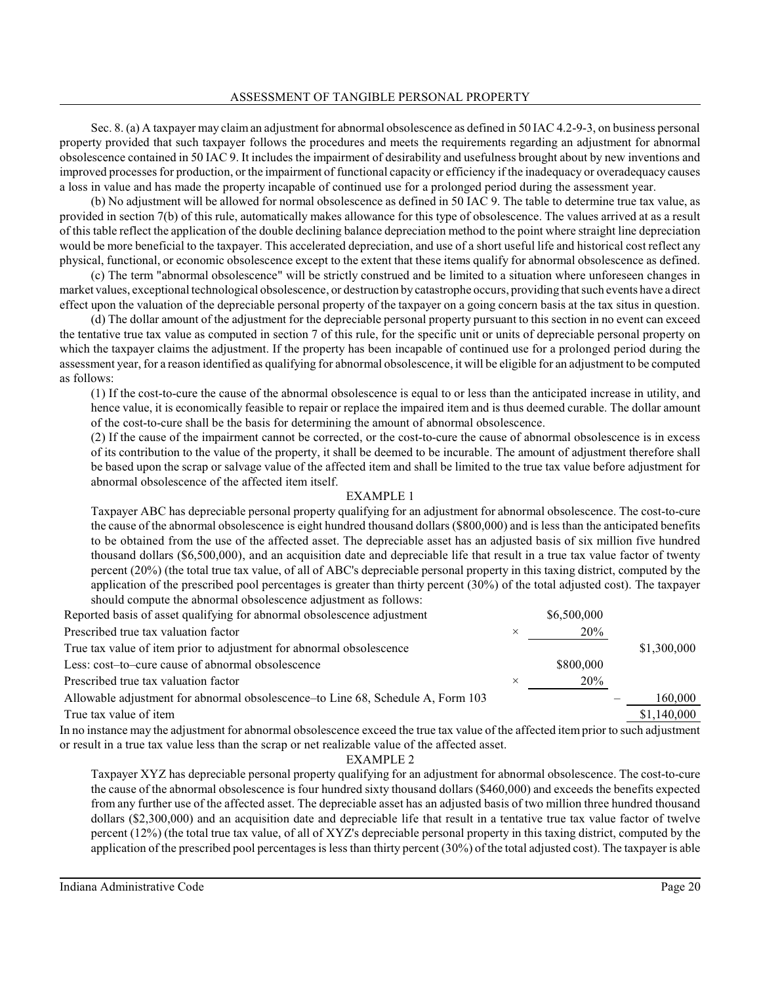Sec. 8. (a) A taxpayer may claiman adjustment for abnormal obsolescence as defined in 50 IAC 4.2-9-3, on business personal property provided that such taxpayer follows the procedures and meets the requirements regarding an adjustment for abnormal obsolescence contained in 50 IAC 9. It includes the impairment of desirability and usefulness brought about by new inventions and improved processes for production, or the impairment of functional capacity or efficiency if the inadequacy or overadequacy causes a loss in value and has made the property incapable of continued use for a prolonged period during the assessment year.

(b) No adjustment will be allowed for normal obsolescence as defined in 50 IAC 9. The table to determine true tax value, as provided in section 7(b) of this rule, automatically makes allowance for this type of obsolescence. The values arrived at as a result of this table reflect the application of the double declining balance depreciation method to the point where straight line depreciation would be more beneficial to the taxpayer. This accelerated depreciation, and use of a short useful life and historical cost reflect any physical, functional, or economic obsolescence except to the extent that these items qualify for abnormal obsolescence as defined.

(c) The term "abnormal obsolescence" will be strictly construed and be limited to a situation where unforeseen changes in market values, exceptional technological obsolescence, or destruction by catastrophe occurs, providing that such events have a direct effect upon the valuation of the depreciable personal property of the taxpayer on a going concern basis at the tax situs in question.

(d) The dollar amount of the adjustment for the depreciable personal property pursuant to this section in no event can exceed the tentative true tax value as computed in section 7 of this rule, for the specific unit or units of depreciable personal property on which the taxpayer claims the adjustment. If the property has been incapable of continued use for a prolonged period during the assessment year, for a reason identified as qualifying for abnormal obsolescence, it will be eligible for an adjustment to be computed as follows:

(1) If the cost-to-cure the cause of the abnormal obsolescence is equal to or less than the anticipated increase in utility, and hence value, it is economically feasible to repair or replace the impaired item and is thus deemed curable. The dollar amount of the cost-to-cure shall be the basis for determining the amount of abnormal obsolescence.

(2) If the cause of the impairment cannot be corrected, or the cost-to-cure the cause of abnormal obsolescence is in excess of its contribution to the value of the property, it shall be deemed to be incurable. The amount of adjustment therefore shall be based upon the scrap or salvage value of the affected item and shall be limited to the true tax value before adjustment for abnormal obsolescence of the affected item itself.

### EXAMPLE 1

Taxpayer ABC has depreciable personal property qualifying for an adjustment for abnormal obsolescence. The cost-to-cure the cause of the abnormal obsolescence is eight hundred thousand dollars (\$800,000) and is less than the anticipated benefits to be obtained from the use of the affected asset. The depreciable asset has an adjusted basis of six million five hundred thousand dollars (\$6,500,000), and an acquisition date and depreciable life that result in a true tax value factor of twenty percent (20%) (the total true tax value, of all of ABC's depreciable personal property in this taxing district, computed by the application of the prescribed pool percentages is greater than thirty percent (30%) of the total adjusted cost). The taxpayer should compute the abnormal obsolescence adjustment as follows:

| Reported basis of asset qualifying for abnormal obsolescence adjustment         |          | \$6,500,000 |             |
|---------------------------------------------------------------------------------|----------|-------------|-------------|
| Prescribed true tax valuation factor                                            | $\times$ | 20%         |             |
| True tax value of item prior to adjustment for abnormal obsolescence            |          |             | \$1,300,000 |
| Less: cost-to-cure cause of abnormal obsolescence                               |          | \$800,000   |             |
| Prescribed true tax valuation factor                                            |          | 20%         |             |
| Allowable adjustment for abnormal obsolescence–to Line 68, Schedule A, Form 103 |          |             | 160,000     |
| True tax value of item                                                          |          |             | \$1,140,000 |
|                                                                                 |          |             |             |

In no instance may the adjustment for abnormal obsolescence exceed the true tax value of the affected item prior to such adjustment or result in a true tax value less than the scrap or net realizable value of the affected asset.

### EXAMPLE 2

Taxpayer XYZ has depreciable personal property qualifying for an adjustment for abnormal obsolescence. The cost-to-cure the cause of the abnormal obsolescence is four hundred sixty thousand dollars (\$460,000) and exceeds the benefits expected from any further use of the affected asset. The depreciable asset has an adjusted basis of two million three hundred thousand dollars (\$2,300,000) and an acquisition date and depreciable life that result in a tentative true tax value factor of twelve percent (12%) (the total true tax value, of all of XYZ's depreciable personal property in this taxing district, computed by the application of the prescribed pool percentages is less than thirty percent (30%) of the total adjusted cost). The taxpayer is able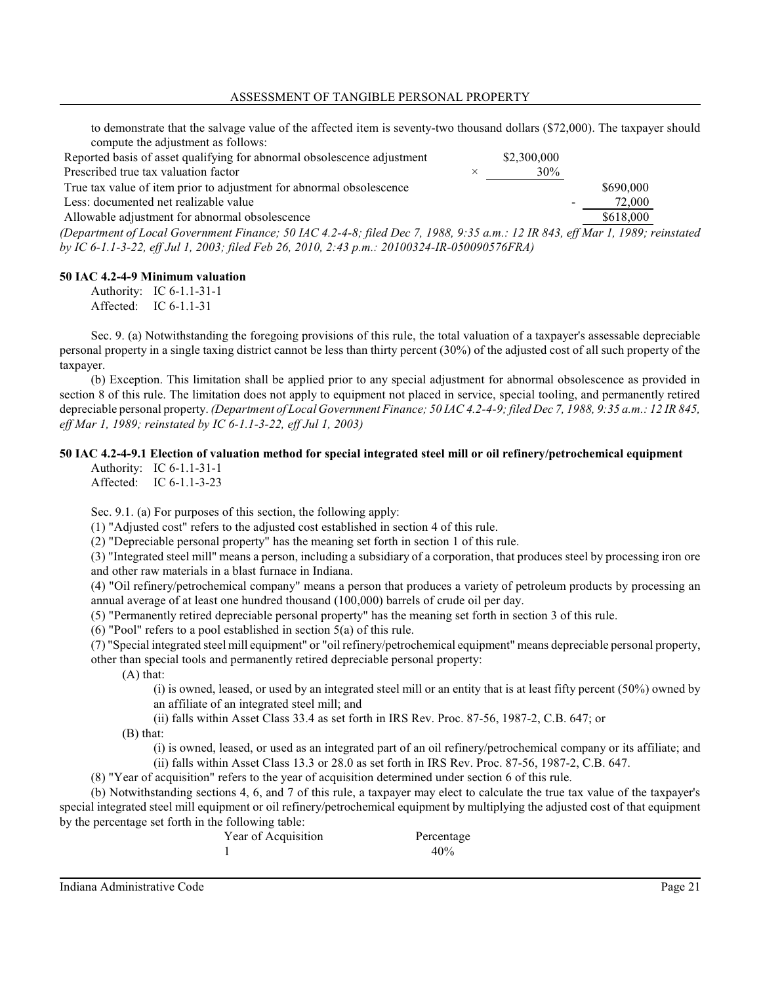to demonstrate that the salvage value of the affected item is seventy-two thousand dollars (\$72,000). The taxpayer should compute the adjustment as follows:

| Reported basis of asset qualifying for abnormal obsolescence adjustment                                                    | \$2,300,000 |           |
|----------------------------------------------------------------------------------------------------------------------------|-------------|-----------|
| Prescribed true tax valuation factor                                                                                       | 30%         |           |
| True tax value of item prior to adjustment for abnormal obsolescence                                                       |             | \$690,000 |
| Less: documented net realizable value                                                                                      |             | 72,000    |
| Allowable adjustment for abnormal obsolescence                                                                             |             | \$618,000 |
| Ognartmant of Logal Covernment Finance: 50 LLC 4.2, A.R. filed Dog 7, 1088, 0.35 a.m. : 12 ID 843, off May 1, 1080; vainst |             |           |

*(Department of Local Government Finance; 50 IAC 4.2-4-8; filed Dec 7, 1988, 9:35 a.m.: 12 IR 843, eff Mar 1, 1989; reinstated by IC 6-1.1-3-22, eff Jul 1, 2003; filed Feb 26, 2010, 2:43 p.m.: 20100324-IR-050090576FRA)*

### **50 IAC 4.2-4-9 Minimum valuation**

Authority: IC 6-1.1-31-1 Affected: IC 6-1.1-31

Sec. 9. (a) Notwithstanding the foregoing provisions of this rule, the total valuation of a taxpayer's assessable depreciable personal property in a single taxing district cannot be less than thirty percent (30%) of the adjusted cost of all such property of the taxpayer.

(b) Exception. This limitation shall be applied prior to any special adjustment for abnormal obsolescence as provided in section 8 of this rule. The limitation does not apply to equipment not placed in service, special tooling, and permanently retired depreciable personal property. *(Department of Local Government Finance; 50 IAC 4.2-4-9; filed Dec 7, 1988, 9:35 a.m.: 12 IR 845, eff Mar 1, 1989; reinstated by IC 6-1.1-3-22, eff Jul 1, 2003)*

## **50 IAC 4.2-4-9.1 Election of valuation method for special integrated steel mill or oil refinery/petrochemical equipment**

Authority: IC 6-1.1-31-1 Affected: IC 6-1.1-3-23

Sec. 9.1. (a) For purposes of this section, the following apply:

(1) "Adjusted cost" refers to the adjusted cost established in section 4 of this rule.

(2) "Depreciable personal property" has the meaning set forth in section 1 of this rule.

(3) "Integrated steel mill" means a person, including a subsidiary of a corporation, that produces steel by processing iron ore and other raw materials in a blast furnace in Indiana.

(4) "Oil refinery/petrochemical company" means a person that produces a variety of petroleum products by processing an annual average of at least one hundred thousand (100,000) barrels of crude oil per day.

(5) "Permanently retired depreciable personal property" has the meaning set forth in section 3 of this rule.

(6) "Pool" refers to a pool established in section 5(a) of this rule.

(7) "Special integrated steel mill equipment" or "oil refinery/petrochemical equipment" means depreciable personal property, other than special tools and permanently retired depreciable personal property:

(A) that:

(i) is owned, leased, or used by an integrated steel mill or an entity that is at least fifty percent (50%) owned by an affiliate of an integrated steel mill; and

(ii) falls within Asset Class 33.4 as set forth in IRS Rev. Proc. 87-56, 1987-2, C.B. 647; or

(B) that:

(i) is owned, leased, or used as an integrated part of an oil refinery/petrochemical company or its affiliate; and (ii) falls within Asset Class 13.3 or 28.0 as set forth in IRS Rev. Proc. 87-56, 1987-2, C.B. 647.

(8) "Year of acquisition" refers to the year of acquisition determined under section 6 of this rule.

(b) Notwithstanding sections 4, 6, and 7 of this rule, a taxpayer may elect to calculate the true tax value of the taxpayer's special integrated steel mill equipment or oil refinery/petrochemical equipment by multiplying the adjusted cost of that equipment by the percentage set forth in the following table:

| Year of Acquisition | Percentage |
|---------------------|------------|
|                     | 40%        |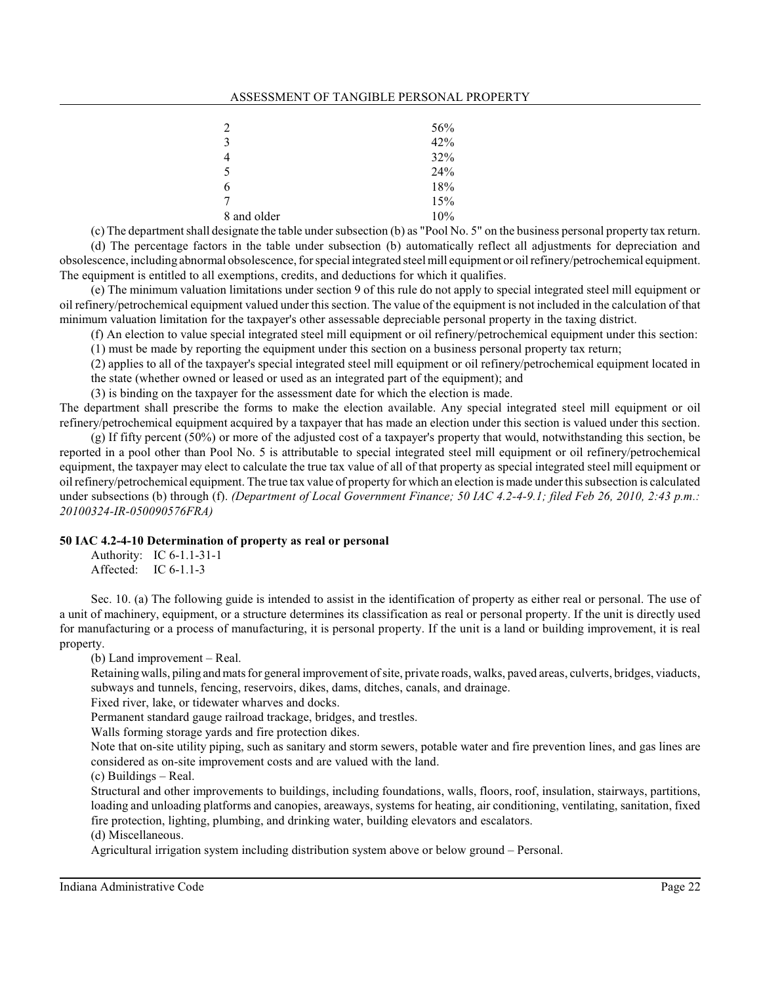#### ASSESSMENT OF TANGIBLE PERSONAL PROPERTY

| $\overline{2}$ | 56% |
|----------------|-----|
| 3              | 42% |
| $\overline{4}$ | 32% |
| 5              | 24% |
| 6              | 18% |
| $\overline{7}$ | 15% |
| 8 and older    | 10% |

(c) The department shall designate the table undersubsection (b) as "Pool No. 5" on the business personal property tax return. (d) The percentage factors in the table under subsection (b) automatically reflect all adjustments for depreciation and obsolescence, including abnormal obsolescence, forspecial integrated steel mill equipment or oil refinery/petrochemical equipment. The equipment is entitled to all exemptions, credits, and deductions for which it qualifies.

(e) The minimum valuation limitations under section 9 of this rule do not apply to special integrated steel mill equipment or oil refinery/petrochemical equipment valued under thissection. The value of the equipment is not included in the calculation of that minimum valuation limitation for the taxpayer's other assessable depreciable personal property in the taxing district.

(f) An election to value special integrated steel mill equipment or oil refinery/petrochemical equipment under this section: (1) must be made by reporting the equipment under this section on a business personal property tax return;

(2) applies to all of the taxpayer's special integrated steel mill equipment or oil refinery/petrochemical equipment located in

the state (whether owned or leased or used as an integrated part of the equipment); and

(3) is binding on the taxpayer for the assessment date for which the election is made.

The department shall prescribe the forms to make the election available. Any special integrated steel mill equipment or oil refinery/petrochemical equipment acquired by a taxpayer that has made an election under this section is valued under this section.

(g) If fifty percent (50%) or more of the adjusted cost of a taxpayer's property that would, notwithstanding this section, be reported in a pool other than Pool No. 5 is attributable to special integrated steel mill equipment or oil refinery/petrochemical equipment, the taxpayer may elect to calculate the true tax value of all of that property as special integrated steel mill equipment or oil refinery/petrochemical equipment. The true tax value of property for which an election is made underthissubsection is calculated under subsections (b) through (f). *(Department of Local Government Finance; 50 IAC 4.2-4-9.1; filed Feb 26, 2010, 2:43 p.m.: 20100324-IR-050090576FRA)*

## **50 IAC 4.2-4-10 Determination of property as real or personal**

Authority: IC 6-1.1-31-1 Affected: IC 6-1.1-3

Sec. 10. (a) The following guide is intended to assist in the identification of property as either real or personal. The use of a unit of machinery, equipment, or a structure determines its classification as real or personal property. If the unit is directly used for manufacturing or a process of manufacturing, it is personal property. If the unit is a land or building improvement, it is real property.

(b) Land improvement – Real.

Retaining walls, piling andmats for general improvement ofsite, private roads, walks, paved areas, culverts, bridges, viaducts, subways and tunnels, fencing, reservoirs, dikes, dams, ditches, canals, and drainage.

Fixed river, lake, or tidewater wharves and docks.

Permanent standard gauge railroad trackage, bridges, and trestles.

Walls forming storage yards and fire protection dikes.

Note that on-site utility piping, such as sanitary and storm sewers, potable water and fire prevention lines, and gas lines are considered as on-site improvement costs and are valued with the land.

(c) Buildings – Real.

Structural and other improvements to buildings, including foundations, walls, floors, roof, insulation, stairways, partitions, loading and unloading platforms and canopies, areaways, systems for heating, air conditioning, ventilating, sanitation, fixed fire protection, lighting, plumbing, and drinking water, building elevators and escalators.

(d) Miscellaneous.

Agricultural irrigation system including distribution system above or below ground – Personal.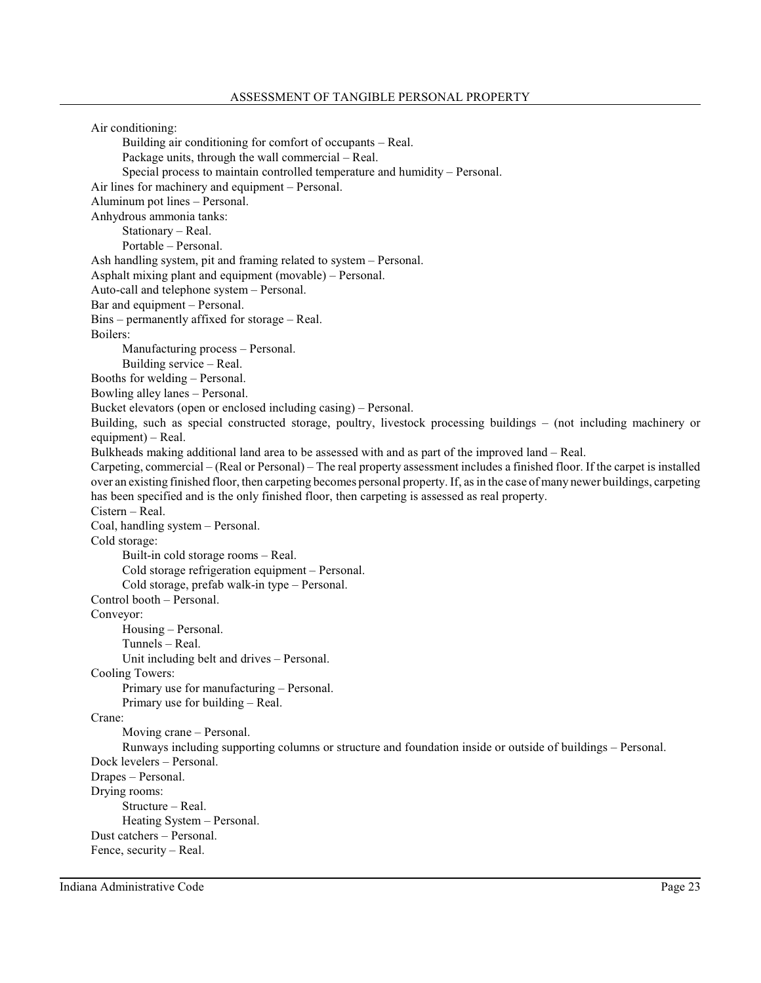Air conditioning: Building air conditioning for comfort of occupants – Real. Package units, through the wall commercial – Real. Special process to maintain controlled temperature and humidity – Personal. Air lines for machinery and equipment – Personal. Aluminum pot lines – Personal. Anhydrous ammonia tanks: Stationary – Real. Portable – Personal. Ash handling system, pit and framing related to system – Personal. Asphalt mixing plant and equipment (movable) – Personal. Auto-call and telephone system – Personal. Bar and equipment – Personal. Bins – permanently affixed for storage – Real. Boilers: Manufacturing process – Personal. Building service – Real. Booths for welding – Personal. Bowling alley lanes – Personal. Bucket elevators (open or enclosed including casing) – Personal. Building, such as special constructed storage, poultry, livestock processing buildings – (not including machinery or equipment) – Real. Bulkheads making additional land area to be assessed with and as part of the improved land – Real. Carpeting, commercial – (Real or Personal) – The real property assessment includes a finished floor. If the carpet is installed over an existing finished floor, then carpeting becomes personal property. If, asin the case of many newer buildings, carpeting has been specified and is the only finished floor, then carpeting is assessed as real property. Cistern – Real. Coal, handling system – Personal. Cold storage: Built-in cold storage rooms – Real. Cold storage refrigeration equipment – Personal. Cold storage, prefab walk-in type – Personal. Control booth – Personal. Conveyor: Housing – Personal. Tunnels – Real. Unit including belt and drives – Personal. Cooling Towers: Primary use for manufacturing – Personal. Primary use for building – Real. Crane: Moving crane – Personal. Runways including supporting columns or structure and foundation inside or outside of buildings – Personal. Dock levelers – Personal. Drapes – Personal. Drying rooms: Structure – Real. Heating System – Personal. Dust catchers – Personal. Fence, security – Real.

Indiana Administrative Code Page 23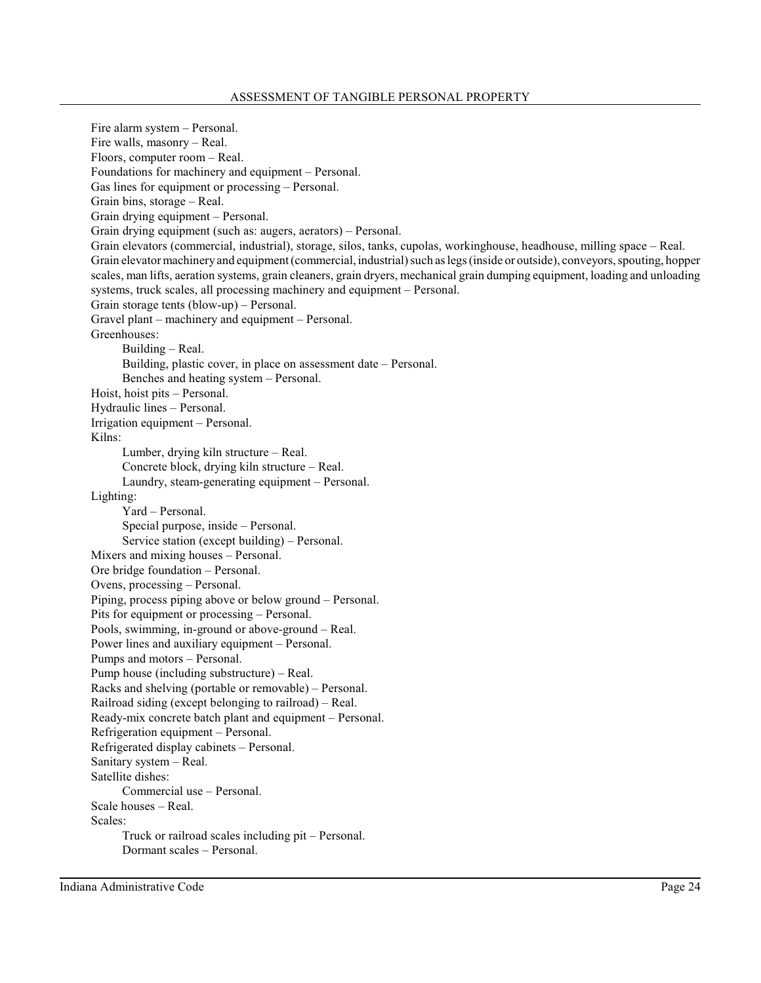Fire alarm system – Personal. Fire walls, masonry – Real. Floors, computer room – Real. Foundations for machinery and equipment – Personal. Gas lines for equipment or processing – Personal. Grain bins, storage – Real. Grain drying equipment – Personal. Grain drying equipment (such as: augers, aerators) – Personal. Grain elevators (commercial, industrial), storage, silos, tanks, cupolas, workinghouse, headhouse, milling space – Real. Grain elevator machinery and equipment (commercial, industrial) such as legs (inside or outside), conveyors, spouting, hopper scales, man lifts, aeration systems, grain cleaners, grain dryers, mechanical grain dumping equipment, loading and unloading systems, truck scales, all processing machinery and equipment – Personal. Grain storage tents (blow-up) – Personal. Gravel plant – machinery and equipment – Personal. Greenhouses: Building – Real. Building, plastic cover, in place on assessment date – Personal. Benches and heating system – Personal. Hoist, hoist pits – Personal. Hydraulic lines – Personal. Irrigation equipment – Personal. Kilns: Lumber, drying kiln structure – Real. Concrete block, drying kiln structure – Real. Laundry, steam-generating equipment – Personal. Lighting: Yard – Personal. Special purpose, inside – Personal. Service station (except building) – Personal. Mixers and mixing houses – Personal. Ore bridge foundation – Personal. Ovens, processing – Personal. Piping, process piping above or below ground – Personal. Pits for equipment or processing – Personal. Pools, swimming, in-ground or above-ground – Real. Power lines and auxiliary equipment – Personal. Pumps and motors – Personal. Pump house (including substructure) – Real. Racks and shelving (portable or removable) – Personal. Railroad siding (except belonging to railroad) – Real. Ready-mix concrete batch plant and equipment – Personal. Refrigeration equipment – Personal. Refrigerated display cabinets – Personal. Sanitary system – Real. Satellite dishes: Commercial use – Personal. Scale houses – Real. Scales: Truck or railroad scales including pit – Personal. Dormant scales – Personal.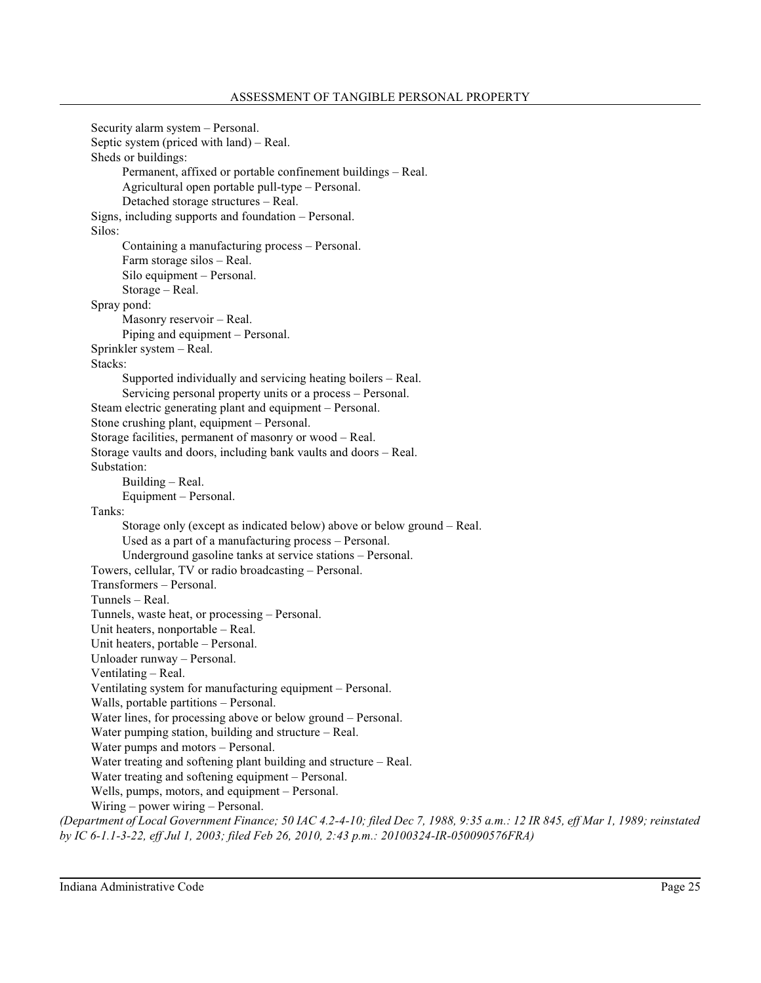```
Security alarm system – Personal.
      Septic system (priced with land) – Real.
      Sheds or buildings:
            Permanent, affixed or portable confinement buildings – Real.
            Agricultural open portable pull-type – Personal.
            Detached storage structures – Real.
      Signs, including supports and foundation – Personal.
      Silos:
            Containing a manufacturing process – Personal.
            Farm storage silos – Real.
            Silo equipment – Personal.
            Storage – Real.
      Spray pond:
            Masonry reservoir – Real.
            Piping and equipment – Personal.
      Sprinkler system – Real.
      Stacks:
            Supported individually and servicing heating boilers – Real.
            Servicing personal property units or a process – Personal.
      Steam electric generating plant and equipment – Personal.
      Stone crushing plant, equipment – Personal.
      Storage facilities, permanent of masonry or wood – Real.
      Storage vaults and doors, including bank vaults and doors – Real.
      Substation:
            Building – Real.
            Equipment – Personal.
      Tanks:
            Storage only (except as indicated below) above or below ground – Real.
            Used as a part of a manufacturing process – Personal.
            Underground gasoline tanks at service stations – Personal.
     Towers, cellular, TV or radio broadcasting – Personal.
     Transformers – Personal.
     Tunnels – Real.
      Tunnels, waste heat, or processing – Personal.
      Unit heaters, nonportable – Real.
     Unit heaters, portable – Personal.
      Unloader runway – Personal.
      Ventilating – Real.
      Ventilating system for manufacturing equipment – Personal.
      Walls, portable partitions – Personal.
      Water lines, for processing above or below ground – Personal.
      Water pumping station, building and structure – Real.
      Water pumps and motors – Personal.
      Water treating and softening plant building and structure – Real.
      Water treating and softening equipment – Personal.
      Wells, pumps, motors, and equipment – Personal.
      Wiring – power wiring – Personal.
(Department of Local Government Finance; 50 IAC 4.2-4-10; filed Dec 7, 1988, 9:35 a.m.: 12 IR 845, eff Mar 1, 1989; reinstated
```
*by IC 6-1.1-3-22, eff Jul 1, 2003; filed Feb 26, 2010, 2:43 p.m.: 20100324-IR-050090576FRA)*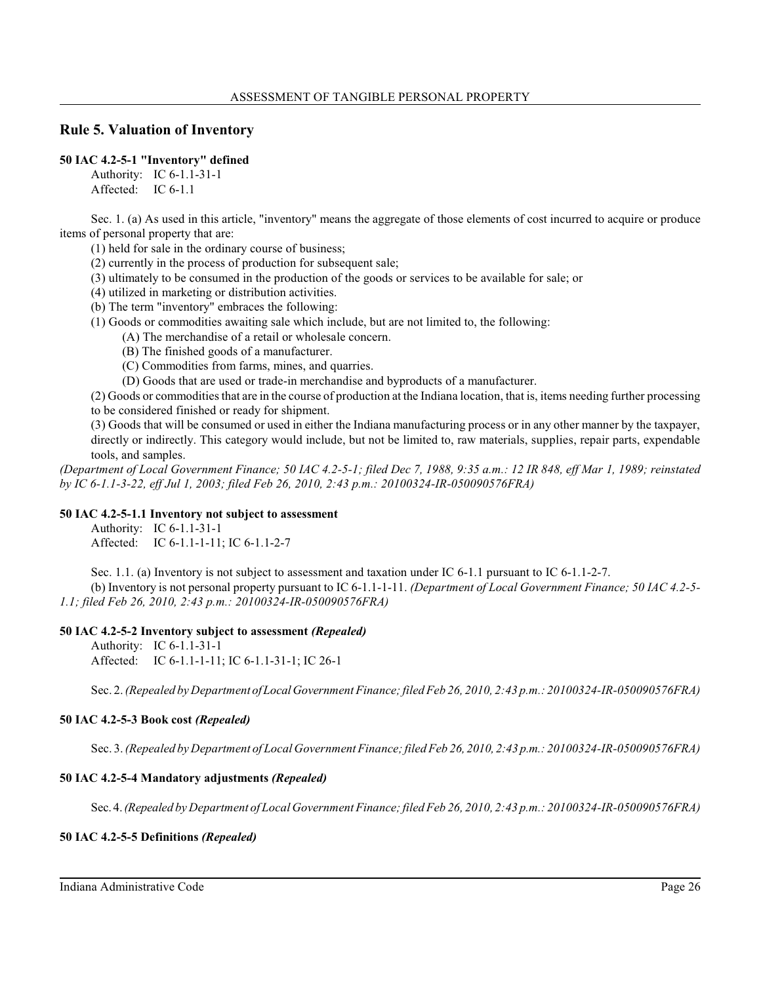# **Rule 5. Valuation of Inventory**

# **50 IAC 4.2-5-1 "Inventory" defined**

Authority: IC 6-1.1-31-1 Affected: IC 6-1.1

Sec. 1. (a) As used in this article, "inventory" means the aggregate of those elements of cost incurred to acquire or produce items of personal property that are:

(1) held for sale in the ordinary course of business;

(2) currently in the process of production for subsequent sale;

- (3) ultimately to be consumed in the production of the goods or services to be available for sale; or
- (4) utilized in marketing or distribution activities.
- (b) The term "inventory" embraces the following:
- (1) Goods or commodities awaiting sale which include, but are not limited to, the following:
	- (A) The merchandise of a retail or wholesale concern.
	- (B) The finished goods of a manufacturer.
	- (C) Commodities from farms, mines, and quarries.
	- (D) Goods that are used or trade-in merchandise and byproducts of a manufacturer.

(2) Goods or commodities that are in the course of production at the Indiana location, that is, items needing further processing to be considered finished or ready for shipment.

(3) Goods that will be consumed or used in either the Indiana manufacturing process or in any other manner by the taxpayer, directly or indirectly. This category would include, but not be limited to, raw materials, supplies, repair parts, expendable tools, and samples.

*(Department of Local Government Finance; 50 IAC 4.2-5-1; filed Dec 7, 1988, 9:35 a.m.: 12 IR 848, eff Mar 1, 1989; reinstated by IC 6-1.1-3-22, eff Jul 1, 2003; filed Feb 26, 2010, 2:43 p.m.: 20100324-IR-050090576FRA)*

## **50 IAC 4.2-5-1.1 Inventory not subject to assessment**

Authority: IC 6-1.1-31-1 Affected: IC 6-1.1-1-11; IC 6-1.1-2-7

Sec. 1.1. (a) Inventory is not subject to assessment and taxation under IC 6-1.1 pursuant to IC 6-1.1-2-7. (b) Inventory is not personal property pursuant to IC 6-1.1-1-11. *(Department of Local Government Finance; 50 IAC 4.2-5- 1.1; filed Feb 26, 2010, 2:43 p.m.: 20100324-IR-050090576FRA)*

## **50 IAC 4.2-5-2 Inventory subject to assessment** *(Repealed)*

Authority: IC 6-1.1-31-1 Affected: IC 6-1.1-1-11; IC 6-1.1-31-1; IC 26-1

Sec. 2. *(Repealed by Department ofLocalGovernment Finance;filed Feb 26, 2010, 2:43 p.m.: 20100324-IR-050090576FRA)*

## **50 IAC 4.2-5-3 Book cost** *(Repealed)*

Sec. 3. *(Repealed by Department of Local Government Finance;filed Feb 26, 2010, 2:43 p.m.: 20100324-IR-050090576FRA)*

## **50 IAC 4.2-5-4 Mandatory adjustments** *(Repealed)*

Sec. 4.*(Repealed by Department of Local Government Finance;filed Feb 26, 2010, 2:43 p.m.: 20100324-IR-050090576FRA)*

## **50 IAC 4.2-5-5 Definitions** *(Repealed)*

Indiana Administrative Code Page 26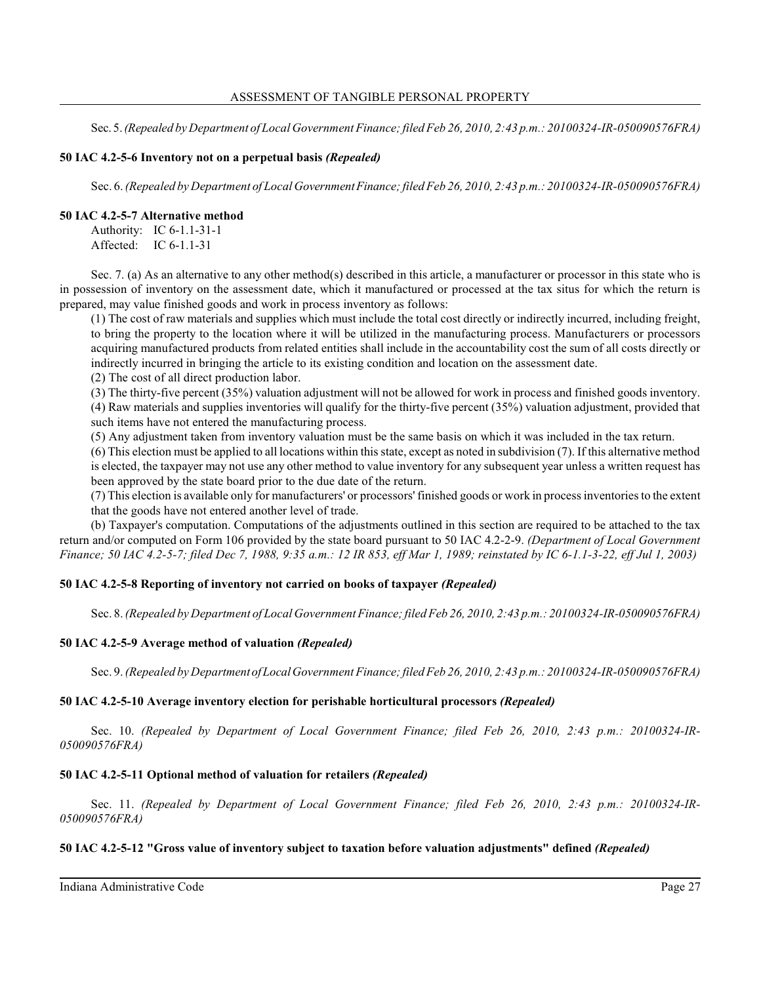Sec. 5.*(Repealed by Department of Local Government Finance;filed Feb 26, 2010, 2:43 p.m.: 20100324-IR-050090576FRA)*

## **50 IAC 4.2-5-6 Inventory not on a perpetual basis** *(Repealed)*

Sec. 6. *(Repealed by Department of Local GovernmentFinance;filed Feb 26, 2010, 2:43 p.m.: 20100324-IR-050090576FRA)*

## **50 IAC 4.2-5-7 Alternative method**

Authority: IC 6-1.1-31-1 Affected: IC 6-1.1-31

Sec. 7. (a) As an alternative to any other method(s) described in this article, a manufacturer or processor in this state who is in possession of inventory on the assessment date, which it manufactured or processed at the tax situs for which the return is prepared, may value finished goods and work in process inventory as follows:

(1) The cost of raw materials and supplies which must include the total cost directly or indirectly incurred, including freight, to bring the property to the location where it will be utilized in the manufacturing process. Manufacturers or processors acquiring manufactured products from related entities shall include in the accountability cost the sum of all costs directly or indirectly incurred in bringing the article to its existing condition and location on the assessment date.

(2) The cost of all direct production labor.

(3) The thirty-five percent (35%) valuation adjustment will not be allowed for work in process and finished goods inventory. (4) Raw materials and supplies inventories will qualify for the thirty-five percent (35%) valuation adjustment, provided that such items have not entered the manufacturing process.

(5) Any adjustment taken from inventory valuation must be the same basis on which it was included in the tax return.

(6) This election must be applied to all locations within thisstate, except as noted in subdivision (7). If this alternative method is elected, the taxpayer may not use any other method to value inventory for any subsequent year unless a written request has been approved by the state board prior to the due date of the return.

(7) This election is available only for manufacturers' or processors' finished goods or work in process inventoriesto the extent that the goods have not entered another level of trade.

(b) Taxpayer's computation. Computations of the adjustments outlined in this section are required to be attached to the tax return and/or computed on Form 106 provided by the state board pursuant to 50 IAC 4.2-2-9. *(Department of Local Government Finance; 50 IAC 4.2-5-7; filed Dec 7, 1988, 9:35 a.m.: 12 IR 853, eff Mar 1, 1989; reinstated by IC 6-1.1-3-22, eff Jul 1, 2003)*

## **50 IAC 4.2-5-8 Reporting of inventory not carried on books of taxpayer** *(Repealed)*

Sec. 8. *(Repealed by Department of Local Government Finance;filed Feb 26, 2010, 2:43 p.m.: 20100324-IR-050090576FRA)*

## **50 IAC 4.2-5-9 Average method of valuation** *(Repealed)*

Sec. 9. *(Repealed by Department ofLocalGovernment Finance;filed Feb 26, 2010, 2:43 p.m.: 20100324-IR-050090576FRA)*

## **50 IAC 4.2-5-10 Average inventory election for perishable horticultural processors** *(Repealed)*

Sec. 10. *(Repealed by Department of Local Government Finance; filed Feb 26, 2010, 2:43 p.m.: 20100324-IR-050090576FRA)*

## **50 IAC 4.2-5-11 Optional method of valuation for retailers** *(Repealed)*

Sec. 11. *(Repealed by Department of Local Government Finance; filed Feb 26, 2010, 2:43 p.m.: 20100324-IR-050090576FRA)*

## **50 IAC 4.2-5-12 "Gross value of inventory subject to taxation before valuation adjustments" defined** *(Repealed)*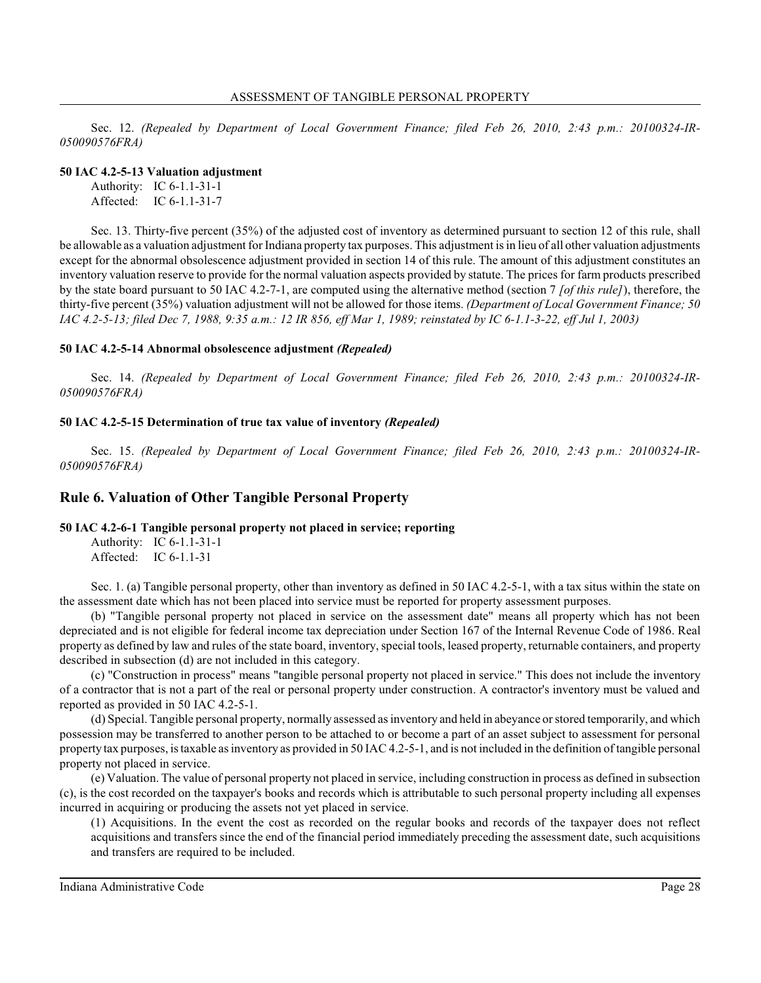Sec. 12. *(Repealed by Department of Local Government Finance; filed Feb 26, 2010, 2:43 p.m.: 20100324-IR-050090576FRA)*

#### **50 IAC 4.2-5-13 Valuation adjustment**

Authority: IC 6-1.1-31-1 Affected: IC 6-1.1-31-7

Sec. 13. Thirty-five percent (35%) of the adjusted cost of inventory as determined pursuant to section 12 of this rule, shall be allowable as a valuation adjustment for Indiana property tax purposes. This adjustment is in lieu of all other valuation adjustments except for the abnormal obsolescence adjustment provided in section 14 of this rule. The amount of this adjustment constitutes an inventory valuation reserve to provide for the normal valuation aspects provided by statute. The prices for farm products prescribed by the state board pursuant to 50 IAC 4.2-7-1, are computed using the alternative method (section 7 *[of this rule]*), therefore, the thirty-five percent (35%) valuation adjustment will not be allowed for those items. *(Department of Local Government Finance; 50 IAC 4.2-5-13; filed Dec 7, 1988, 9:35 a.m.: 12 IR 856, eff Mar 1, 1989; reinstated by IC 6-1.1-3-22, eff Jul 1, 2003)*

### **50 IAC 4.2-5-14 Abnormal obsolescence adjustment** *(Repealed)*

Sec. 14. *(Repealed by Department of Local Government Finance; filed Feb 26, 2010, 2:43 p.m.: 20100324-IR-050090576FRA)*

#### **50 IAC 4.2-5-15 Determination of true tax value of inventory** *(Repealed)*

Sec. 15. *(Repealed by Department of Local Government Finance; filed Feb 26, 2010, 2:43 p.m.: 20100324-IR-050090576FRA)*

## **Rule 6. Valuation of Other Tangible Personal Property**

### **50 IAC 4.2-6-1 Tangible personal property not placed in service; reporting**

Authority: IC 6-1.1-31-1 Affected: IC 6-1.1-31

Sec. 1. (a) Tangible personal property, other than inventory as defined in 50 IAC 4.2-5-1, with a tax situs within the state on the assessment date which has not been placed into service must be reported for property assessment purposes.

(b) "Tangible personal property not placed in service on the assessment date" means all property which has not been depreciated and is not eligible for federal income tax depreciation under Section 167 of the Internal Revenue Code of 1986. Real property as defined by law and rules of the state board, inventory, special tools, leased property, returnable containers, and property described in subsection (d) are not included in this category.

(c) "Construction in process" means "tangible personal property not placed in service." This does not include the inventory of a contractor that is not a part of the real or personal property under construction. A contractor's inventory must be valued and reported as provided in 50 IAC 4.2-5-1.

(d) Special. Tangible personal property, normally assessed asinventory and held in abeyance orstored temporarily, and which possession may be transferred to another person to be attached to or become a part of an asset subject to assessment for personal property tax purposes, is taxable asinventory as provided in 50 IAC 4.2-5-1, and is not included in the definition of tangible personal property not placed in service.

(e) Valuation. The value of personal property not placed in service, including construction in process as defined in subsection (c), is the cost recorded on the taxpayer's books and records which is attributable to such personal property including all expenses incurred in acquiring or producing the assets not yet placed in service.

(1) Acquisitions. In the event the cost as recorded on the regular books and records of the taxpayer does not reflect acquisitions and transfers since the end of the financial period immediately preceding the assessment date, such acquisitions and transfers are required to be included.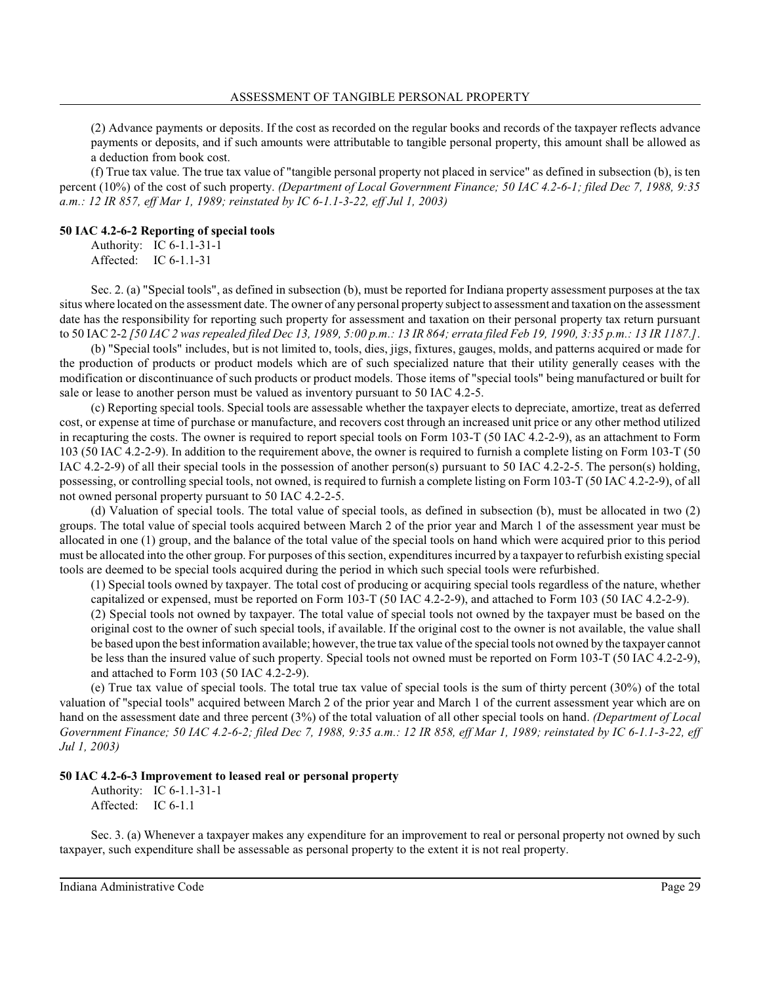(2) Advance payments or deposits. If the cost as recorded on the regular books and records of the taxpayer reflects advance payments or deposits, and if such amounts were attributable to tangible personal property, this amount shall be allowed as a deduction from book cost.

(f) True tax value. The true tax value of "tangible personal property not placed in service" as defined in subsection (b), is ten percent (10%) of the cost of such property. *(Department of Local Government Finance; 50 IAC 4.2-6-1; filed Dec 7, 1988, 9:35 a.m.: 12 IR 857, eff Mar 1, 1989; reinstated by IC 6-1.1-3-22, eff Jul 1, 2003)*

#### **50 IAC 4.2-6-2 Reporting of special tools**

Authority: IC 6-1.1-31-1 Affected: IC 6-1.1-31

Sec. 2. (a) "Special tools", as defined in subsection (b), must be reported for Indiana property assessment purposes at the tax situs where located on the assessment date. The owner of any personal property subject to assessment and taxation on the assessment date has the responsibility for reporting such property for assessment and taxation on their personal property tax return pursuant to 50 IAC 2-2 *[50 IAC 2 was repealed filed Dec 13, 1989, 5:00 p.m.: 13 IR 864; errata filed Feb 19, 1990, 3:35 p.m.: 13 IR 1187.]*.

(b) "Special tools" includes, but is not limited to, tools, dies, jigs, fixtures, gauges, molds, and patterns acquired or made for the production of products or product models which are of such specialized nature that their utility generally ceases with the modification or discontinuance of such products or product models. Those items of "special tools" being manufactured or built for sale or lease to another person must be valued as inventory pursuant to 50 IAC 4.2-5.

(c) Reporting special tools. Special tools are assessable whether the taxpayer elects to depreciate, amortize, treat as deferred cost, or expense at time of purchase or manufacture, and recovers cost through an increased unit price or any other method utilized in recapturing the costs. The owner is required to report special tools on Form 103-T (50 IAC 4.2-2-9), as an attachment to Form 103 (50 IAC 4.2-2-9). In addition to the requirement above, the owner is required to furnish a complete listing on Form 103-T (50 IAC 4.2-2-9) of all their special tools in the possession of another person(s) pursuant to 50 IAC 4.2-2-5. The person(s) holding, possessing, or controlling special tools, not owned, is required to furnish a complete listing on Form 103-T (50 IAC 4.2-2-9), of all not owned personal property pursuant to 50 IAC 4.2-2-5.

(d) Valuation of special tools. The total value of special tools, as defined in subsection (b), must be allocated in two (2) groups. The total value of special tools acquired between March 2 of the prior year and March 1 of the assessment year must be allocated in one (1) group, and the balance of the total value of the special tools on hand which were acquired prior to this period must be allocated into the other group. For purposes of thissection, expenditures incurred by a taxpayer to refurbish existing special tools are deemed to be special tools acquired during the period in which such special tools were refurbished.

(1) Special tools owned by taxpayer. The total cost of producing or acquiring special tools regardless of the nature, whether capitalized or expensed, must be reported on Form 103-T (50 IAC 4.2-2-9), and attached to Form 103 (50 IAC 4.2-2-9).

(2) Special tools not owned by taxpayer. The total value of special tools not owned by the taxpayer must be based on the original cost to the owner of such special tools, if available. If the original cost to the owner is not available, the value shall be based upon the best information available; however, the true tax value of the special tools not owned by the taxpayer cannot be less than the insured value of such property. Special tools not owned must be reported on Form 103-T (50 IAC 4.2-2-9), and attached to Form 103 (50 IAC 4.2-2-9).

(e) True tax value of special tools. The total true tax value of special tools is the sum of thirty percent (30%) of the total valuation of "special tools" acquired between March 2 of the prior year and March 1 of the current assessment year which are on hand on the assessment date and three percent (3%) of the total valuation of all other special tools on hand. *(Department of Local Government Finance; 50 IAC 4.2-6-2; filed Dec 7, 1988, 9:35 a.m.: 12 IR 858, eff Mar 1, 1989; reinstated by IC 6-1.1-3-22, eff Jul 1, 2003)*

#### **50 IAC 4.2-6-3 Improvement to leased real or personal property**

Authority: IC 6-1.1-31-1 Affected: IC 6-1.1

Sec. 3. (a) Whenever a taxpayer makes any expenditure for an improvement to real or personal property not owned by such taxpayer, such expenditure shall be assessable as personal property to the extent it is not real property.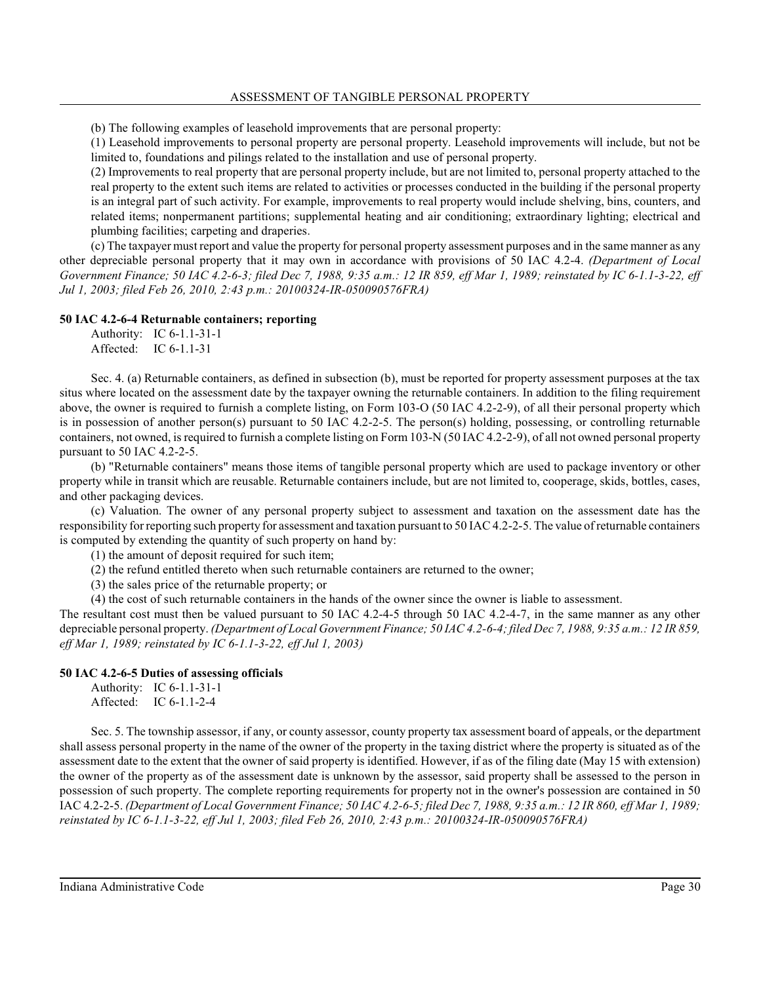(b) The following examples of leasehold improvements that are personal property:

(1) Leasehold improvements to personal property are personal property. Leasehold improvements will include, but not be limited to, foundations and pilings related to the installation and use of personal property.

(2) Improvements to real property that are personal property include, but are not limited to, personal property attached to the real property to the extent such items are related to activities or processes conducted in the building if the personal property is an integral part of such activity. For example, improvements to real property would include shelving, bins, counters, and related items; nonpermanent partitions; supplemental heating and air conditioning; extraordinary lighting; electrical and plumbing facilities; carpeting and draperies.

(c) The taxpayer must report and value the property for personal property assessment purposes and in the same manner as any other depreciable personal property that it may own in accordance with provisions of 50 IAC 4.2-4. *(Department of Local Government Finance; 50 IAC 4.2-6-3; filed Dec 7, 1988, 9:35 a.m.: 12 IR 859, eff Mar 1, 1989; reinstated by IC 6-1.1-3-22, eff Jul 1, 2003; filed Feb 26, 2010, 2:43 p.m.: 20100324-IR-050090576FRA)*

### **50 IAC 4.2-6-4 Returnable containers; reporting**

Authority: IC 6-1.1-31-1 Affected: IC 6-1.1-31

Sec. 4. (a) Returnable containers, as defined in subsection (b), must be reported for property assessment purposes at the tax situs where located on the assessment date by the taxpayer owning the returnable containers. In addition to the filing requirement above, the owner is required to furnish a complete listing, on Form 103-O (50 IAC 4.2-2-9), of all their personal property which is in possession of another person(s) pursuant to 50 IAC 4.2-2-5. The person(s) holding, possessing, or controlling returnable containers, not owned, is required to furnish a complete listing on Form 103-N (50 IAC 4.2-2-9), of all not owned personal property pursuant to 50 IAC 4.2-2-5.

(b) "Returnable containers" means those items of tangible personal property which are used to package inventory or other property while in transit which are reusable. Returnable containers include, but are not limited to, cooperage, skids, bottles, cases, and other packaging devices.

(c) Valuation. The owner of any personal property subject to assessment and taxation on the assessment date has the responsibility for reporting such property for assessment and taxation pursuant to 50 IAC 4.2-2-5. The value of returnable containers is computed by extending the quantity of such property on hand by:

(1) the amount of deposit required for such item;

(2) the refund entitled thereto when such returnable containers are returned to the owner;

(3) the sales price of the returnable property; or

(4) the cost of such returnable containers in the hands of the owner since the owner is liable to assessment.

The resultant cost must then be valued pursuant to 50 IAC 4.2-4-5 through 50 IAC 4.2-4-7, in the same manner as any other depreciable personal property. *(Department of Local Government Finance; 50 IAC 4.2-6-4; filed Dec 7, 1988, 9:35 a.m.: 12 IR 859, eff Mar 1, 1989; reinstated by IC 6-1.1-3-22, eff Jul 1, 2003)*

### **50 IAC 4.2-6-5 Duties of assessing officials**

Authority: IC 6-1.1-31-1 Affected: IC 6-1.1-2-4

Sec. 5. The township assessor, if any, or county assessor, county property tax assessment board of appeals, or the department shall assess personal property in the name of the owner of the property in the taxing district where the property is situated as of the assessment date to the extent that the owner of said property is identified. However, if as of the filing date (May 15 with extension) the owner of the property as of the assessment date is unknown by the assessor, said property shall be assessed to the person in possession of such property. The complete reporting requirements for property not in the owner's possession are contained in 50 IAC 4.2-2-5. *(Department of Local Government Finance; 50 IAC 4.2-6-5; filed Dec 7, 1988, 9:35 a.m.: 12 IR 860, eff Mar 1, 1989; reinstated by IC 6-1.1-3-22, eff Jul 1, 2003; filed Feb 26, 2010, 2:43 p.m.: 20100324-IR-050090576FRA)*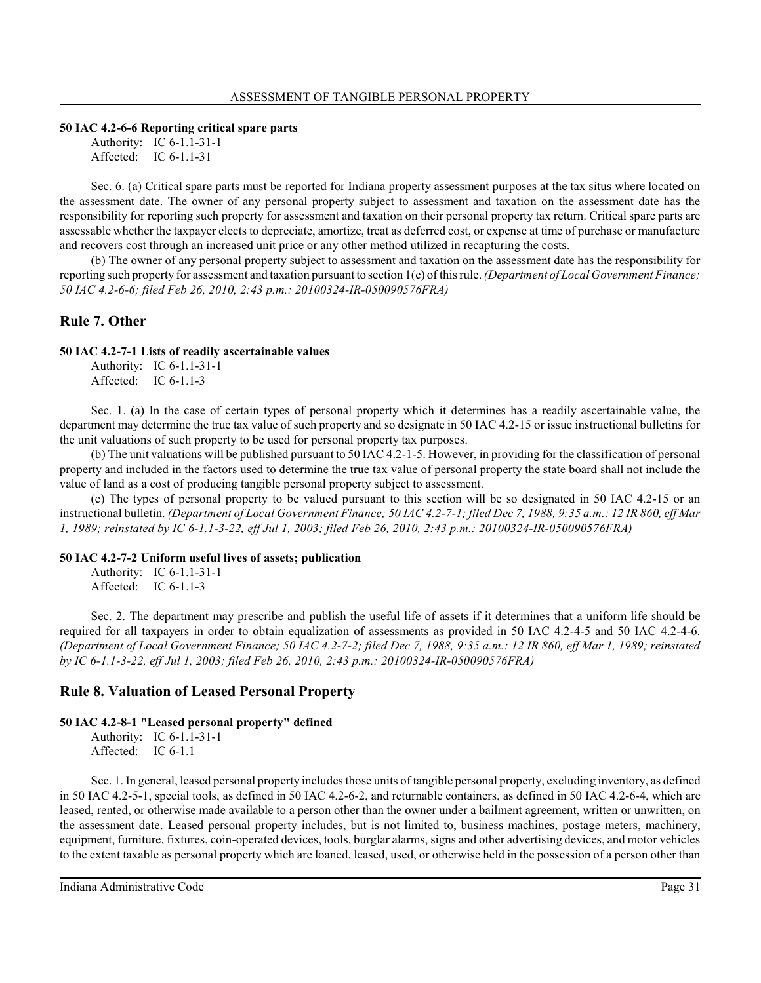### **50 IAC 4.2-6-6 Reporting critical spare parts**

Authority: IC 6-1.1-31-1 Affected: IC 6-1.1-31

Sec. 6. (a) Critical spare parts must be reported for Indiana property assessment purposes at the tax situs where located on the assessment date. The owner of any personal property subject to assessment and taxation on the assessment date has the responsibility for reporting such property for assessment and taxation on their personal property tax return. Critical spare parts are assessable whether the taxpayer elects to depreciate, amortize, treat as deferred cost, or expense at time of purchase or manufacture and recovers cost through an increased unit price or any other method utilized in recapturing the costs.

(b) The owner of any personal property subject to assessment and taxation on the assessment date has the responsibility for reporting such property for assessment and taxation pursuant to section 1(e) of thisrule. *(Department of Local Government Finance; 50 IAC 4.2-6-6; filed Feb 26, 2010, 2:43 p.m.: 20100324-IR-050090576FRA)*

# **Rule 7. Other**

## **50 IAC 4.2-7-1 Lists of readily ascertainable values**

Authority: IC 6-1.1-31-1 Affected: IC 6-1.1-3

Sec. 1. (a) In the case of certain types of personal property which it determines has a readily ascertainable value, the department may determine the true tax value of such property and so designate in 50 IAC 4.2-15 or issue instructional bulletins for the unit valuations of such property to be used for personal property tax purposes.

(b) The unit valuations will be published pursuant to 50 IAC 4.2-1-5. However, in providing for the classification of personal property and included in the factors used to determine the true tax value of personal property the state board shall not include the value of land as a cost of producing tangible personal property subject to assessment.

(c) The types of personal property to be valued pursuant to this section will be so designated in 50 IAC 4.2-15 or an instructional bulletin. *(Department of Local Government Finance; 50 IAC 4.2-7-1; filed Dec 7, 1988, 9:35 a.m.: 12 IR 860, eff Mar 1, 1989; reinstated by IC 6-1.1-3-22, eff Jul 1, 2003; filed Feb 26, 2010, 2:43 p.m.: 20100324-IR-050090576FRA)*

## **50 IAC 4.2-7-2 Uniform useful lives of assets; publication**

Authority: IC 6-1.1-31-1 Affected: IC 6-1.1-3

Sec. 2. The department may prescribe and publish the useful life of assets if it determines that a uniform life should be required for all taxpayers in order to obtain equalization of assessments as provided in 50 IAC 4.2-4-5 and 50 IAC 4.2-4-6. *(Department of Local Government Finance; 50 IAC 4.2-7-2; filed Dec 7, 1988, 9:35 a.m.: 12 IR 860, eff Mar 1, 1989; reinstated by IC 6-1.1-3-22, eff Jul 1, 2003; filed Feb 26, 2010, 2:43 p.m.: 20100324-IR-050090576FRA)*

# **Rule 8. Valuation of Leased Personal Property**

## **50 IAC 4.2-8-1 "Leased personal property" defined**

Authority: IC 6-1.1-31-1 Affected: IC 6-1.1

Sec. 1. In general, leased personal property includes those units of tangible personal property, excluding inventory, as defined in 50 IAC 4.2-5-1, special tools, as defined in 50 IAC 4.2-6-2, and returnable containers, as defined in 50 IAC 4.2-6-4, which are leased, rented, or otherwise made available to a person other than the owner under a bailment agreement, written or unwritten, on the assessment date. Leased personal property includes, but is not limited to, business machines, postage meters, machinery, equipment, furniture, fixtures, coin-operated devices, tools, burglar alarms, signs and other advertising devices, and motor vehicles to the extent taxable as personal property which are loaned, leased, used, or otherwise held in the possession of a person other than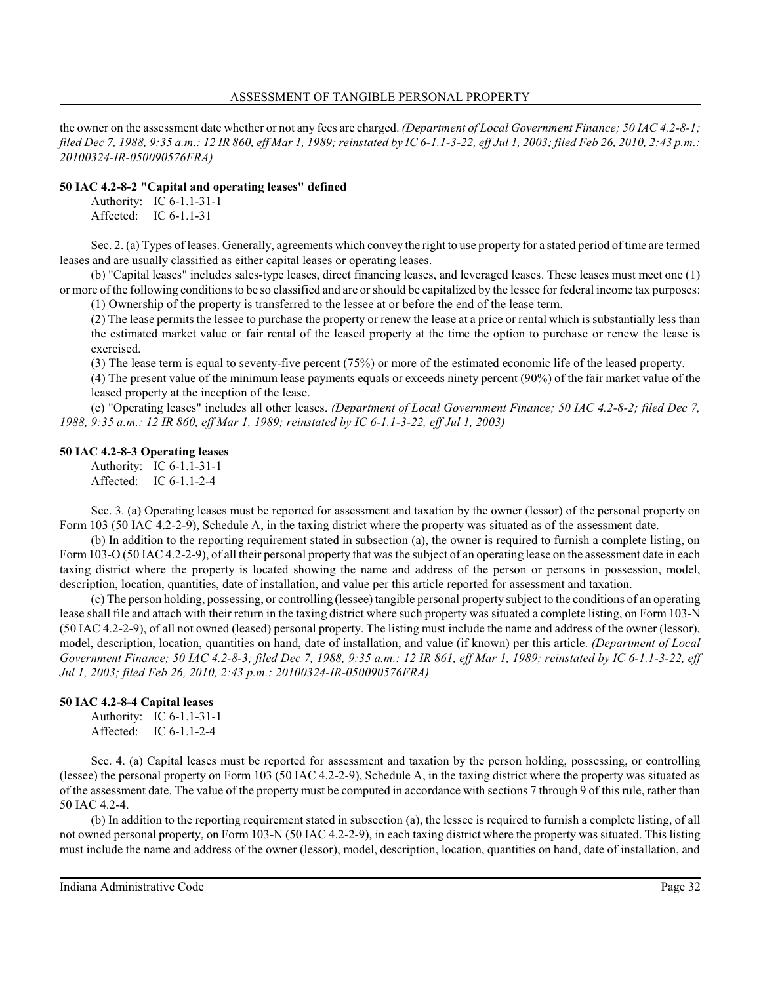the owner on the assessment date whether or not any fees are charged. *(Department of Local Government Finance; 50 IAC 4.2-8-1; filed Dec 7, 1988, 9:35 a.m.: 12 IR 860, eff Mar 1, 1989; reinstated by IC 6-1.1-3-22, eff Jul 1, 2003; filed Feb 26, 2010, 2:43 p.m.: 20100324-IR-050090576FRA)*

## **50 IAC 4.2-8-2 "Capital and operating leases" defined**

Authority: IC 6-1.1-31-1 Affected: IC 6-1.1-31

Sec. 2. (a) Types of leases. Generally, agreements which convey the right to use property for a stated period of time are termed leases and are usually classified as either capital leases or operating leases.

(b) "Capital leases" includes sales-type leases, direct financing leases, and leveraged leases. These leases must meet one (1) or more of the following conditions to be so classified and are orshould be capitalized by the lessee for federal income tax purposes: (1) Ownership of the property is transferred to the lessee at or before the end of the lease term.

(2) The lease permits the lessee to purchase the property or renew the lease at a price or rental which is substantially less than the estimated market value or fair rental of the leased property at the time the option to purchase or renew the lease is exercised.

(3) The lease term is equal to seventy-five percent (75%) or more of the estimated economic life of the leased property.

(4) The present value of the minimum lease payments equals or exceeds ninety percent (90%) of the fair market value of the leased property at the inception of the lease.

(c) "Operating leases" includes all other leases. *(Department of Local Government Finance; 50 IAC 4.2-8-2; filed Dec 7, 1988, 9:35 a.m.: 12 IR 860, eff Mar 1, 1989; reinstated by IC 6-1.1-3-22, eff Jul 1, 2003)*

## **50 IAC 4.2-8-3 Operating leases**

Authority: IC 6-1.1-31-1 Affected: IC 6-1.1-2-4

Sec. 3. (a) Operating leases must be reported for assessment and taxation by the owner (lessor) of the personal property on Form 103 (50 IAC 4.2-2-9), Schedule A, in the taxing district where the property was situated as of the assessment date.

(b) In addition to the reporting requirement stated in subsection (a), the owner is required to furnish a complete listing, on Form 103-O (50 IAC 4.2-2-9), of all their personal property that wasthe subject of an operating lease on the assessment date in each taxing district where the property is located showing the name and address of the person or persons in possession, model, description, location, quantities, date of installation, and value per this article reported for assessment and taxation.

(c) The person holding, possessing, or controlling (lessee) tangible personal property subject to the conditions of an operating lease shall file and attach with their return in the taxing district where such property was situated a complete listing, on Form 103-N (50 IAC 4.2-2-9), of all not owned (leased) personal property. The listing must include the name and address of the owner (lessor), model, description, location, quantities on hand, date of installation, and value (if known) per this article. *(Department of Local Government Finance; 50 IAC 4.2-8-3; filed Dec 7, 1988, 9:35 a.m.: 12 IR 861, eff Mar 1, 1989; reinstated by IC 6-1.1-3-22, eff Jul 1, 2003; filed Feb 26, 2010, 2:43 p.m.: 20100324-IR-050090576FRA)*

## **50 IAC 4.2-8-4 Capital leases**

Authority: IC 6-1.1-31-1 Affected: IC 6-1.1-2-4

Sec. 4. (a) Capital leases must be reported for assessment and taxation by the person holding, possessing, or controlling (lessee) the personal property on Form 103 (50 IAC 4.2-2-9), Schedule A, in the taxing district where the property was situated as of the assessment date. The value of the property must be computed in accordance with sections 7 through 9 of this rule, rather than 50 IAC 4.2-4.

(b) In addition to the reporting requirement stated in subsection (a), the lessee is required to furnish a complete listing, of all not owned personal property, on Form 103-N (50 IAC 4.2-2-9), in each taxing district where the property was situated. This listing must include the name and address of the owner (lessor), model, description, location, quantities on hand, date of installation, and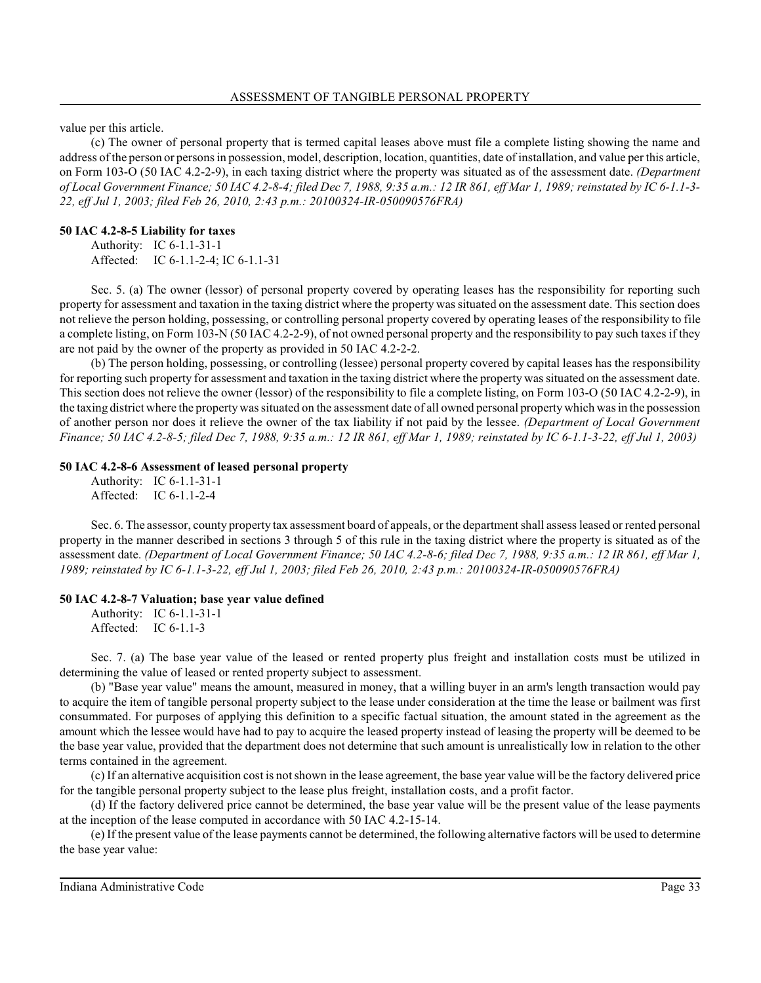value per this article.

(c) The owner of personal property that is termed capital leases above must file a complete listing showing the name and address of the person or personsin possession, model, description, location, quantities, date of installation, and value per this article, on Form 103-O (50 IAC 4.2-2-9), in each taxing district where the property was situated as of the assessment date. *(Department of Local Government Finance; 50 IAC 4.2-8-4; filed Dec 7, 1988, 9:35 a.m.: 12 IR 861, eff Mar 1, 1989; reinstated by IC 6-1.1-3- 22, eff Jul 1, 2003; filed Feb 26, 2010, 2:43 p.m.: 20100324-IR-050090576FRA)*

## **50 IAC 4.2-8-5 Liability for taxes**

Authority: IC 6-1.1-31-1 Affected: IC 6-1.1-2-4; IC 6-1.1-31

Sec. 5. (a) The owner (lessor) of personal property covered by operating leases has the responsibility for reporting such property for assessment and taxation in the taxing district where the property wassituated on the assessment date. This section does not relieve the person holding, possessing, or controlling personal property covered by operating leases of the responsibility to file a complete listing, on Form 103-N (50 IAC 4.2-2-9), of not owned personal property and the responsibility to pay such taxes if they are not paid by the owner of the property as provided in 50 IAC 4.2-2-2.

(b) The person holding, possessing, or controlling (lessee) personal property covered by capital leases has the responsibility for reporting such property for assessment and taxation in the taxing district where the property wassituated on the assessment date. This section does not relieve the owner (lessor) of the responsibility to file a complete listing, on Form 103-O (50 IAC 4.2-2-9), in the taxing district where the propertywassituated on the assessment date of all owned personal propertywhich wasin the possession of another person nor does it relieve the owner of the tax liability if not paid by the lessee. *(Department of Local Government Finance; 50 IAC 4.2-8-5; filed Dec 7, 1988, 9:35 a.m.: 12 IR 861, eff Mar 1, 1989; reinstated by IC 6-1.1-3-22, eff Jul 1, 2003)*

## **50 IAC 4.2-8-6 Assessment of leased personal property**

Authority: IC 6-1.1-31-1 Affected: IC 6-1.1-2-4

Sec. 6. The assessor, county property tax assessment board of appeals, or the department shall assessleased or rented personal property in the manner described in sections 3 through 5 of this rule in the taxing district where the property is situated as of the assessment date. *(Department of Local Government Finance; 50 IAC 4.2-8-6; filed Dec 7, 1988, 9:35 a.m.: 12 IR 861, eff Mar 1, 1989; reinstated by IC 6-1.1-3-22, eff Jul 1, 2003; filed Feb 26, 2010, 2:43 p.m.: 20100324-IR-050090576FRA)*

## **50 IAC 4.2-8-7 Valuation; base year value defined**

Authority: IC 6-1.1-31-1 Affected: IC 6-1.1-3

Sec. 7. (a) The base year value of the leased or rented property plus freight and installation costs must be utilized in determining the value of leased or rented property subject to assessment.

(b) "Base year value" means the amount, measured in money, that a willing buyer in an arm's length transaction would pay to acquire the item of tangible personal property subject to the lease under consideration at the time the lease or bailment was first consummated. For purposes of applying this definition to a specific factual situation, the amount stated in the agreement as the amount which the lessee would have had to pay to acquire the leased property instead of leasing the property will be deemed to be the base year value, provided that the department does not determine that such amount is unrealistically low in relation to the other terms contained in the agreement.

(c) If an alternative acquisition cost is not shown in the lease agreement, the base year value will be the factory delivered price for the tangible personal property subject to the lease plus freight, installation costs, and a profit factor.

(d) If the factory delivered price cannot be determined, the base year value will be the present value of the lease payments at the inception of the lease computed in accordance with 50 IAC 4.2-15-14.

(e) If the present value of the lease payments cannot be determined, the following alternative factors will be used to determine the base year value: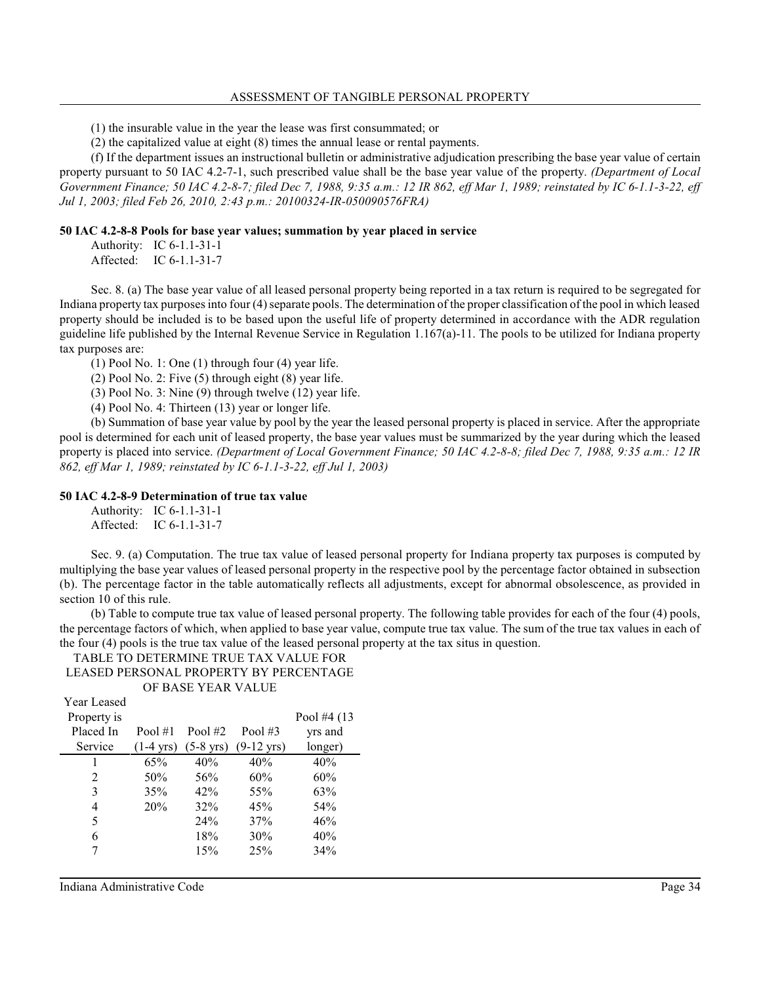(1) the insurable value in the year the lease was first consummated; or

(2) the capitalized value at eight (8) times the annual lease or rental payments.

(f) If the department issues an instructional bulletin or administrative adjudication prescribing the base year value of certain property pursuant to 50 IAC 4.2-7-1, such prescribed value shall be the base year value of the property. *(Department of Local Government Finance; 50 IAC 4.2-8-7; filed Dec 7, 1988, 9:35 a.m.: 12 IR 862, eff Mar 1, 1989; reinstated by IC 6-1.1-3-22, eff Jul 1, 2003; filed Feb 26, 2010, 2:43 p.m.: 20100324-IR-050090576FRA)*

#### **50 IAC 4.2-8-8 Pools for base year values; summation by year placed in service**

Authority: IC 6-1.1-31-1 Affected: IC 6-1.1-31-7

Sec. 8. (a) The base year value of all leased personal property being reported in a tax return is required to be segregated for Indiana property tax purposesinto four (4) separate pools. The determination of the proper classification of the pool in which leased property should be included is to be based upon the useful life of property determined in accordance with the ADR regulation guideline life published by the Internal Revenue Service in Regulation 1.167(a)-11. The pools to be utilized for Indiana property tax purposes are:

 $(1)$  Pool No. 1: One  $(1)$  through four  $(4)$  year life.

(2) Pool No. 2: Five (5) through eight (8) year life.

(3) Pool No. 3: Nine (9) through twelve (12) year life.

(4) Pool No. 4: Thirteen (13) year or longer life.

(b) Summation of base year value by pool by the year the leased personal property is placed in service. After the appropriate pool is determined for each unit of leased property, the base year values must be summarized by the year during which the leased property is placed into service. *(Department of Local Government Finance; 50 IAC 4.2-8-8; filed Dec 7, 1988, 9:35 a.m.: 12 IR 862, eff Mar 1, 1989; reinstated by IC 6-1.1-3-22, eff Jul 1, 2003)*

### **50 IAC 4.2-8-9 Determination of true tax value**

Authority: IC 6-1.1-31-1 Affected: IC 6-1.1-31-7

Sec. 9. (a) Computation. The true tax value of leased personal property for Indiana property tax purposes is computed by multiplying the base year values of leased personal property in the respective pool by the percentage factor obtained in subsection (b). The percentage factor in the table automatically reflects all adjustments, except for abnormal obsolescence, as provided in section 10 of this rule.

(b) Table to compute true tax value of leased personal property. The following table provides for each of the four (4) pools, the percentage factors of which, when applied to base year value, compute true tax value. The sum of the true tax values in each of the four (4) pools is the true tax value of the leased personal property at the tax situs in question.

TABLE TO DETERMINE TRUE TAX VALUE FOR LEASED PERSONAL PROPERTY BY PERCENTAGE OF BASE YEAR VALUE

| <b>Year Leased</b> |                     |                     |                      |              |
|--------------------|---------------------|---------------------|----------------------|--------------|
| Property is        |                     |                     |                      | Pool #4 (13) |
| Placed In          | Pool $#1$           | Pool $#2$           | Pool $#3$            | yrs and      |
| Service            | $(1-4 \text{ yrs})$ | $(5-8 \text{ yrs})$ | $(9-12 \text{ yrs})$ | longer)      |
| 1                  | 65%                 | 40%                 | 40%                  | 40%          |
| $\mathfrak{D}$     | 50%                 | 56%                 | 60%                  | 60%          |
| 3                  | 35%                 | 42%                 | 55%                  | 63%          |
| 4                  | 20%                 | 32%                 | 45%                  | 54%          |
| 5                  |                     | 24%                 | 37%                  | 46%          |
| 6                  |                     | 18%                 | 30%                  | 40%          |
|                    |                     | 15%                 | 25%                  | 34%          |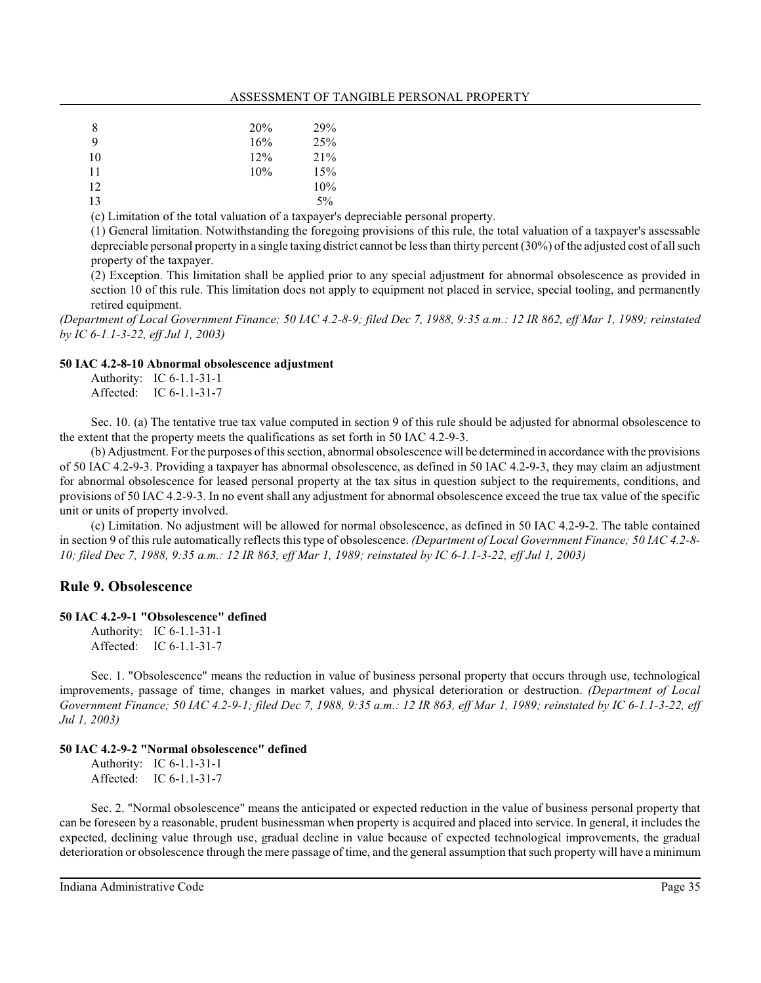#### ASSESSMENT OF TANGIBLE PERSONAL PROPERTY

| 8  | 20%    | 29%   |
|----|--------|-------|
| 9  | 16%    | 25%   |
| 10 | $12\%$ | 21%   |
| 11 | 10%    | 15%   |
| 12 |        | 10%   |
| 13 |        | $5\%$ |

(c) Limitation of the total valuation of a taxpayer's depreciable personal property.

(1) General limitation. Notwithstanding the foregoing provisions of this rule, the total valuation of a taxpayer's assessable depreciable personal property in a single taxing district cannot be lessthan thirty percent (30%) of the adjusted cost of all such property of the taxpayer.

(2) Exception. This limitation shall be applied prior to any special adjustment for abnormal obsolescence as provided in section 10 of this rule. This limitation does not apply to equipment not placed in service, special tooling, and permanently retired equipment.

*(Department of Local Government Finance; 50 IAC 4.2-8-9; filed Dec 7, 1988, 9:35 a.m.: 12 IR 862, eff Mar 1, 1989; reinstated by IC 6-1.1-3-22, eff Jul 1, 2003)*

#### **50 IAC 4.2-8-10 Abnormal obsolescence adjustment**

Authority: IC 6-1.1-31-1 Affected: IC 6-1.1-31-7

Sec. 10. (a) The tentative true tax value computed in section 9 of this rule should be adjusted for abnormal obsolescence to the extent that the property meets the qualifications as set forth in 50 IAC 4.2-9-3.

(b) Adjustment. For the purposes of thissection, abnormal obsolescence will be determined in accordance with the provisions of 50 IAC 4.2-9-3. Providing a taxpayer has abnormal obsolescence, as defined in 50 IAC 4.2-9-3, they may claim an adjustment for abnormal obsolescence for leased personal property at the tax situs in question subject to the requirements, conditions, and provisions of 50 IAC 4.2-9-3. In no event shall any adjustment for abnormal obsolescence exceed the true tax value of the specific unit or units of property involved.

(c) Limitation. No adjustment will be allowed for normal obsolescence, as defined in 50 IAC 4.2-9-2. The table contained in section 9 of this rule automatically reflects this type of obsolescence. *(Department of Local Government Finance; 50 IAC 4.2-8- 10; filed Dec 7, 1988, 9:35 a.m.: 12 IR 863, eff Mar 1, 1989; reinstated by IC 6-1.1-3-22, eff Jul 1, 2003)*

## **Rule 9. Obsolescence**

### **50 IAC 4.2-9-1 "Obsolescence" defined**

Authority: IC 6-1.1-31-1 Affected: IC 6-1.1-31-7

Sec. 1. "Obsolescence" means the reduction in value of business personal property that occurs through use, technological improvements, passage of time, changes in market values, and physical deterioration or destruction. *(Department of Local Government Finance; 50 IAC 4.2-9-1; filed Dec 7, 1988, 9:35 a.m.: 12 IR 863, eff Mar 1, 1989; reinstated by IC 6-1.1-3-22, eff Jul 1, 2003)*

## **50 IAC 4.2-9-2 "Normal obsolescence" defined**

Authority: IC 6-1.1-31-1 Affected: IC 6-1.1-31-7

Sec. 2. "Normal obsolescence" means the anticipated or expected reduction in the value of business personal property that can be foreseen by a reasonable, prudent businessman when property is acquired and placed into service. In general, it includes the expected, declining value through use, gradual decline in value because of expected technological improvements, the gradual deterioration or obsolescence through the mere passage of time, and the general assumption that such property will have a minimum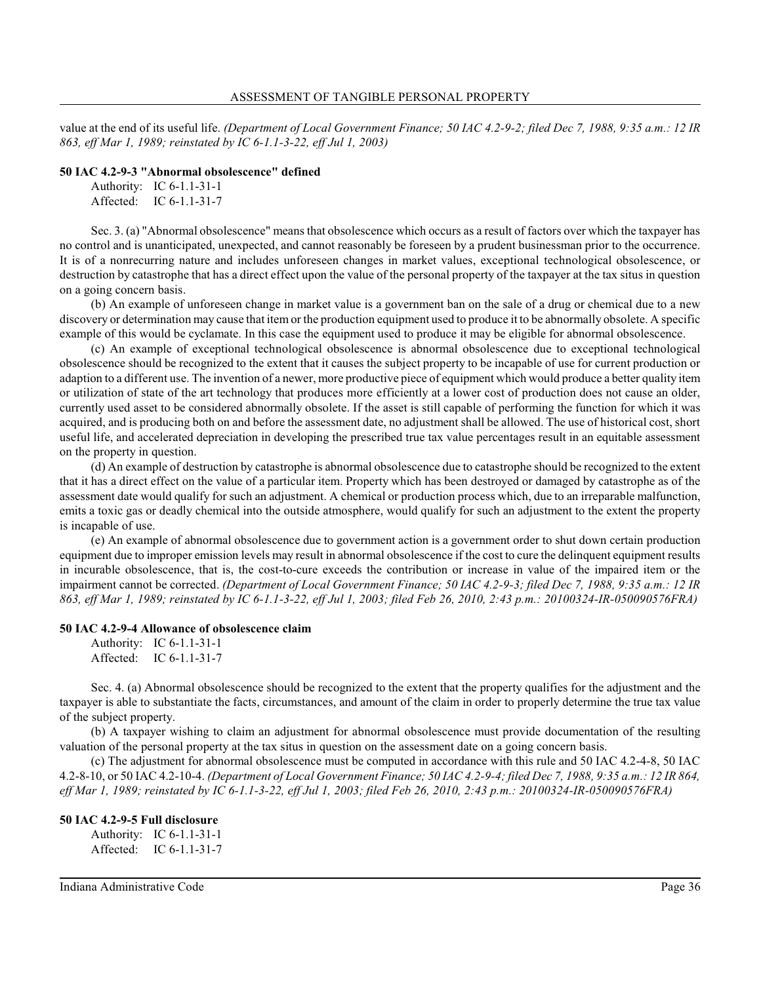value at the end of its useful life. *(Department of Local Government Finance; 50 IAC 4.2-9-2; filed Dec 7, 1988, 9:35 a.m.: 12 IR 863, eff Mar 1, 1989; reinstated by IC 6-1.1-3-22, eff Jul 1, 2003)*

#### **50 IAC 4.2-9-3 "Abnormal obsolescence" defined**

Authority: IC 6-1.1-31-1 Affected: IC 6-1.1-31-7

Sec. 3. (a) "Abnormal obsolescence" means that obsolescence which occurs as a result of factors over which the taxpayer has no control and is unanticipated, unexpected, and cannot reasonably be foreseen by a prudent businessman prior to the occurrence. It is of a nonrecurring nature and includes unforeseen changes in market values, exceptional technological obsolescence, or destruction by catastrophe that has a direct effect upon the value of the personal property of the taxpayer at the tax situs in question on a going concern basis.

(b) An example of unforeseen change in market value is a government ban on the sale of a drug or chemical due to a new discovery or determination may cause that item or the production equipment used to produce it to be abnormally obsolete. A specific example of this would be cyclamate. In this case the equipment used to produce it may be eligible for abnormal obsolescence.

(c) An example of exceptional technological obsolescence is abnormal obsolescence due to exceptional technological obsolescence should be recognized to the extent that it causes the subject property to be incapable of use for current production or adaption to a different use. The invention of a newer, more productive piece of equipment which would produce a better quality item or utilization of state of the art technology that produces more efficiently at a lower cost of production does not cause an older, currently used asset to be considered abnormally obsolete. If the asset is still capable of performing the function for which it was acquired, and is producing both on and before the assessment date, no adjustment shall be allowed. The use of historical cost, short useful life, and accelerated depreciation in developing the prescribed true tax value percentages result in an equitable assessment on the property in question.

(d) An example of destruction by catastrophe is abnormal obsolescence due to catastrophe should be recognized to the extent that it has a direct effect on the value of a particular item. Property which has been destroyed or damaged by catastrophe as of the assessment date would qualify for such an adjustment. A chemical or production process which, due to an irreparable malfunction, emits a toxic gas or deadly chemical into the outside atmosphere, would qualify for such an adjustment to the extent the property is incapable of use.

(e) An example of abnormal obsolescence due to government action is a government order to shut down certain production equipment due to improper emission levels may result in abnormal obsolescence if the cost to cure the delinquent equipment results in incurable obsolescence, that is, the cost-to-cure exceeds the contribution or increase in value of the impaired item or the impairment cannot be corrected. *(Department of Local Government Finance; 50 IAC 4.2-9-3; filed Dec 7, 1988, 9:35 a.m.: 12 IR 863, eff Mar 1, 1989; reinstated by IC 6-1.1-3-22, eff Jul 1, 2003; filed Feb 26, 2010, 2:43 p.m.: 20100324-IR-050090576FRA)*

#### **50 IAC 4.2-9-4 Allowance of obsolescence claim**

Authority: IC 6-1.1-31-1 Affected: IC 6-1.1-31-7

Sec. 4. (a) Abnormal obsolescence should be recognized to the extent that the property qualifies for the adjustment and the taxpayer is able to substantiate the facts, circumstances, and amount of the claim in order to properly determine the true tax value of the subject property.

(b) A taxpayer wishing to claim an adjustment for abnormal obsolescence must provide documentation of the resulting valuation of the personal property at the tax situs in question on the assessment date on a going concern basis.

(c) The adjustment for abnormal obsolescence must be computed in accordance with this rule and 50 IAC 4.2-4-8, 50 IAC 4.2-8-10, or 50 IAC 4.2-10-4. *(Department of Local Government Finance; 50 IAC 4.2-9-4; filed Dec 7, 1988, 9:35 a.m.: 12 IR 864, eff Mar 1, 1989; reinstated by IC 6-1.1-3-22, eff Jul 1, 2003; filed Feb 26, 2010, 2:43 p.m.: 20100324-IR-050090576FRA)*

#### **50 IAC 4.2-9-5 Full disclosure**

Authority: IC 6-1.1-31-1 Affected: IC 6-1.1-31-7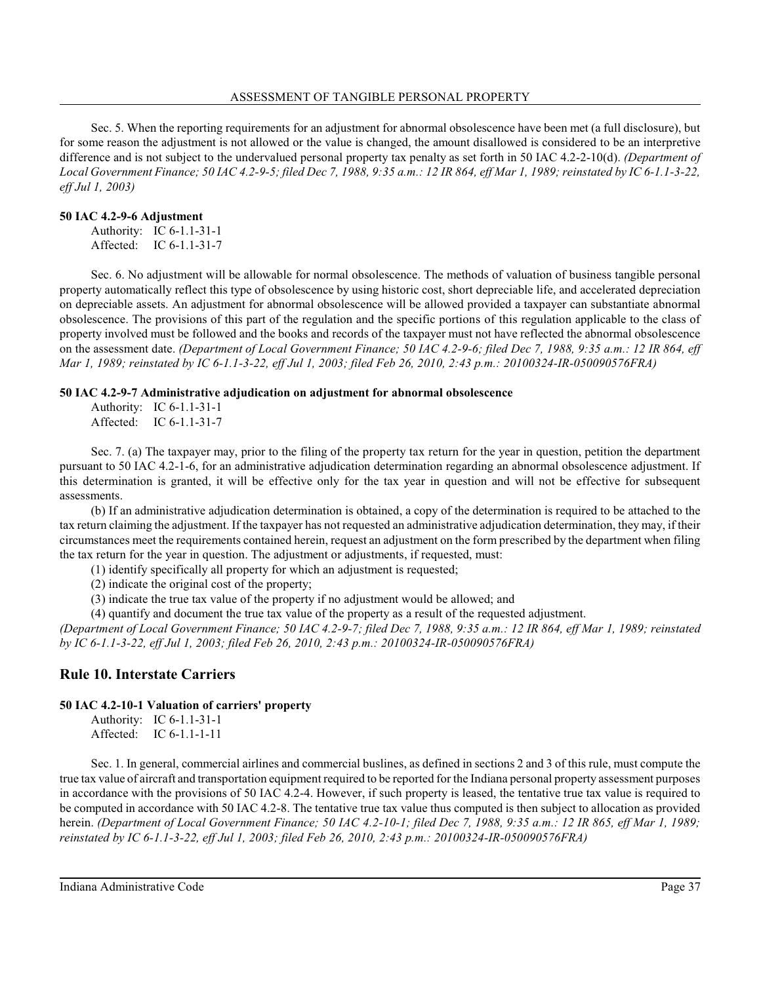Sec. 5. When the reporting requirements for an adjustment for abnormal obsolescence have been met (a full disclosure), but for some reason the adjustment is not allowed or the value is changed, the amount disallowed is considered to be an interpretive difference and is not subject to the undervalued personal property tax penalty as set forth in 50 IAC 4.2-2-10(d). *(Department of Local Government Finance; 50 IAC 4.2-9-5; filed Dec 7, 1988, 9:35 a.m.: 12 IR 864, eff Mar 1, 1989; reinstated by IC 6-1.1-3-22, eff Jul 1, 2003)*

## **50 IAC 4.2-9-6 Adjustment**

|           | Authority: IC 6-1.1-31-1 |
|-----------|--------------------------|
| Affected: | IC $6-1.1-31-7$          |

Sec. 6. No adjustment will be allowable for normal obsolescence. The methods of valuation of business tangible personal property automatically reflect this type of obsolescence by using historic cost, short depreciable life, and accelerated depreciation on depreciable assets. An adjustment for abnormal obsolescence will be allowed provided a taxpayer can substantiate abnormal obsolescence. The provisions of this part of the regulation and the specific portions of this regulation applicable to the class of property involved must be followed and the books and records of the taxpayer must not have reflected the abnormal obsolescence on the assessment date. *(Department of Local Government Finance; 50 IAC 4.2-9-6; filed Dec 7, 1988, 9:35 a.m.: 12 IR 864, eff Mar 1, 1989; reinstated by IC 6-1.1-3-22, eff Jul 1, 2003; filed Feb 26, 2010, 2:43 p.m.: 20100324-IR-050090576FRA)*

## **50 IAC 4.2-9-7 Administrative adjudication on adjustment for abnormal obsolescence**

Authority: IC 6-1.1-31-1 Affected: IC 6-1.1-31-7

Sec. 7. (a) The taxpayer may, prior to the filing of the property tax return for the year in question, petition the department pursuant to 50 IAC 4.2-1-6, for an administrative adjudication determination regarding an abnormal obsolescence adjustment. If this determination is granted, it will be effective only for the tax year in question and will not be effective for subsequent assessments.

(b) If an administrative adjudication determination is obtained, a copy of the determination is required to be attached to the tax return claiming the adjustment. If the taxpayer has not requested an administrative adjudication determination, they may, if their circumstances meet the requirements contained herein, request an adjustment on the form prescribed by the department when filing the tax return for the year in question. The adjustment or adjustments, if requested, must:

(1) identify specifically all property for which an adjustment is requested;

(2) indicate the original cost of the property;

(3) indicate the true tax value of the property if no adjustment would be allowed; and

(4) quantify and document the true tax value of the property as a result of the requested adjustment.

*(Department of Local Government Finance; 50 IAC 4.2-9-7; filed Dec 7, 1988, 9:35 a.m.: 12 IR 864, eff Mar 1, 1989; reinstated by IC 6-1.1-3-22, eff Jul 1, 2003; filed Feb 26, 2010, 2:43 p.m.: 20100324-IR-050090576FRA)*

## **Rule 10. Interstate Carriers**

## **50 IAC 4.2-10-1 Valuation of carriers' property**

Authority: IC 6-1.1-31-1 Affected: IC 6-1.1-1-11

Sec. 1. In general, commercial airlines and commercial buslines, as defined in sections 2 and 3 of this rule, must compute the true tax value of aircraft and transportation equipment required to be reported for the Indiana personal property assessment purposes in accordance with the provisions of 50 IAC 4.2-4. However, if such property is leased, the tentative true tax value is required to be computed in accordance with 50 IAC 4.2-8. The tentative true tax value thus computed is then subject to allocation as provided herein. *(Department of Local Government Finance; 50 IAC 4.2-10-1; filed Dec 7, 1988, 9:35 a.m.: 12 IR 865, eff Mar 1, 1989; reinstated by IC 6-1.1-3-22, eff Jul 1, 2003; filed Feb 26, 2010, 2:43 p.m.: 20100324-IR-050090576FRA)*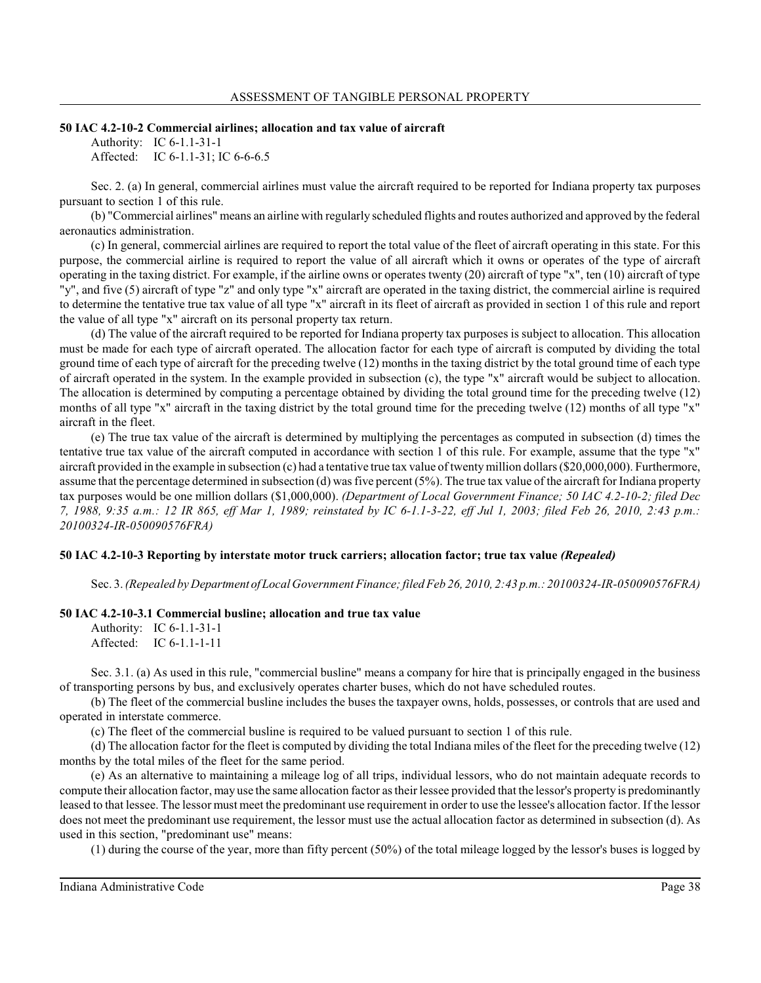#### **50 IAC 4.2-10-2 Commercial airlines; allocation and tax value of aircraft**

Authority: IC 6-1.1-31-1 Affected: IC 6-1.1-31; IC 6-6-6.5

Sec. 2. (a) In general, commercial airlines must value the aircraft required to be reported for Indiana property tax purposes pursuant to section 1 of this rule.

(b) "Commercial airlines" means an airline with regularly scheduled flights and routes authorized and approved by the federal aeronautics administration.

(c) In general, commercial airlines are required to report the total value of the fleet of aircraft operating in this state. For this purpose, the commercial airline is required to report the value of all aircraft which it owns or operates of the type of aircraft operating in the taxing district. For example, if the airline owns or operates twenty (20) aircraft of type "x", ten (10) aircraft of type "y", and five (5) aircraft of type "z" and only type "x" aircraft are operated in the taxing district, the commercial airline is required to determine the tentative true tax value of all type "x" aircraft in its fleet of aircraft as provided in section 1 of this rule and report the value of all type "x" aircraft on its personal property tax return.

(d) The value of the aircraft required to be reported for Indiana property tax purposes is subject to allocation. This allocation must be made for each type of aircraft operated. The allocation factor for each type of aircraft is computed by dividing the total ground time of each type of aircraft for the preceding twelve (12) months in the taxing district by the total ground time of each type of aircraft operated in the system. In the example provided in subsection (c), the type "x" aircraft would be subject to allocation. The allocation is determined by computing a percentage obtained by dividing the total ground time for the preceding twelve (12) months of all type "x" aircraft in the taxing district by the total ground time for the preceding twelve (12) months of all type "x" aircraft in the fleet.

(e) The true tax value of the aircraft is determined by multiplying the percentages as computed in subsection (d) times the tentative true tax value of the aircraft computed in accordance with section 1 of this rule. For example, assume that the type "x" aircraft provided in the example in subsection (c) had a tentative true tax value of twentymillion dollars(\$20,000,000). Furthermore, assume that the percentage determined in subsection (d) wasfive percent (5%). The true tax value of the aircraft for Indiana property tax purposes would be one million dollars (\$1,000,000). *(Department of Local Government Finance; 50 IAC 4.2-10-2; filed Dec 7, 1988, 9:35 a.m.: 12 IR 865, eff Mar 1, 1989; reinstated by IC 6-1.1-3-22, eff Jul 1, 2003; filed Feb 26, 2010, 2:43 p.m.: 20100324-IR-050090576FRA)*

#### **50 IAC 4.2-10-3 Reporting by interstate motor truck carriers; allocation factor; true tax value** *(Repealed)*

Sec. 3. *(Repealed by Department ofLocal Government Finance;filed Feb 26, 2010, 2:43 p.m.: 20100324-IR-050090576FRA)*

#### **50 IAC 4.2-10-3.1 Commercial busline; allocation and true tax value**

Authority: IC 6-1.1-31-1 Affected: IC 6-1.1-1-11

Sec. 3.1. (a) As used in this rule, "commercial busline" means a company for hire that is principally engaged in the business of transporting persons by bus, and exclusively operates charter buses, which do not have scheduled routes.

(b) The fleet of the commercial busline includes the buses the taxpayer owns, holds, possesses, or controls that are used and operated in interstate commerce.

(c) The fleet of the commercial busline is required to be valued pursuant to section 1 of this rule.

(d) The allocation factor for the fleet is computed by dividing the total Indiana miles of the fleet for the preceding twelve (12) months by the total miles of the fleet for the same period.

(e) As an alternative to maintaining a mileage log of all trips, individual lessors, who do not maintain adequate records to compute their allocation factor, may use the same allocation factor astheir lessee provided that the lessor's property is predominantly leased to that lessee. The lessor must meet the predominant use requirement in order to use the lessee's allocation factor. If the lessor does not meet the predominant use requirement, the lessor must use the actual allocation factor as determined in subsection (d). As used in this section, "predominant use" means:

(1) during the course of the year, more than fifty percent (50%) of the total mileage logged by the lessor's buses is logged by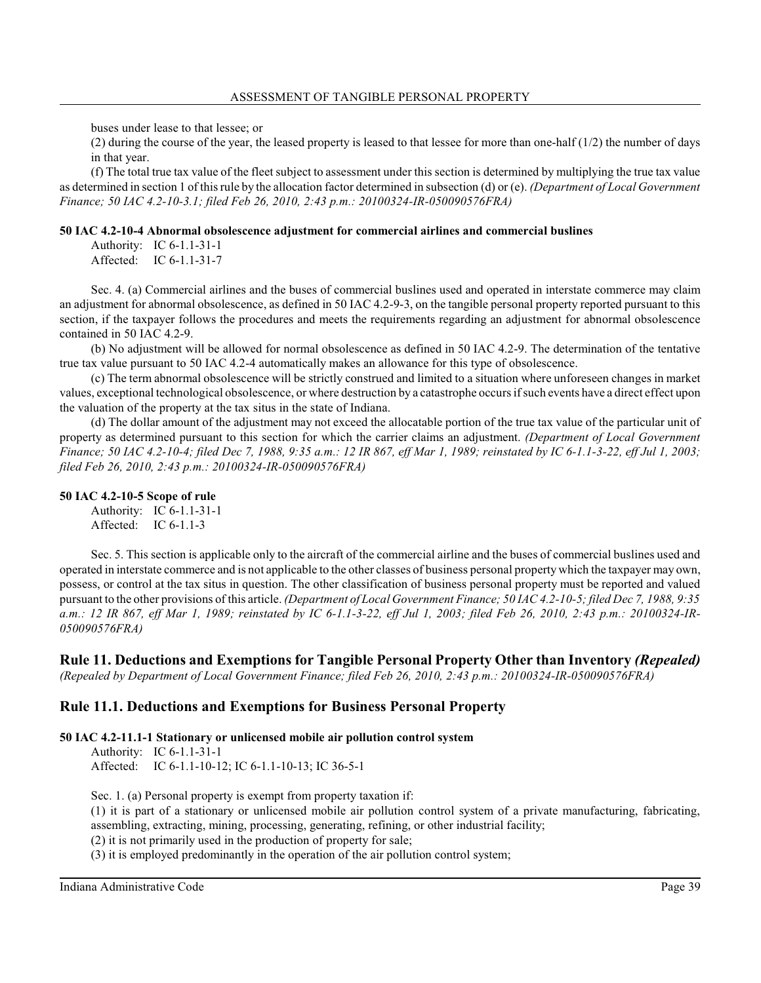buses under lease to that lessee; or

(2) during the course of the year, the leased property is leased to that lessee for more than one-half  $(1/2)$  the number of days in that year.

(f) The total true tax value of the fleet subject to assessment under this section is determined by multiplying the true tax value as determined in section 1 of thisrule by the allocation factor determined in subsection (d) or (e). *(Department of Local Government Finance; 50 IAC 4.2-10-3.1; filed Feb 26, 2010, 2:43 p.m.: 20100324-IR-050090576FRA)*

#### **50 IAC 4.2-10-4 Abnormal obsolescence adjustment for commercial airlines and commercial buslines**

Authority: IC 6-1.1-31-1 Affected: IC 6-1.1-31-7

Sec. 4. (a) Commercial airlines and the buses of commercial buslines used and operated in interstate commerce may claim an adjustment for abnormal obsolescence, as defined in 50 IAC 4.2-9-3, on the tangible personal property reported pursuant to this section, if the taxpayer follows the procedures and meets the requirements regarding an adjustment for abnormal obsolescence contained in 50 IAC 4.2-9.

(b) No adjustment will be allowed for normal obsolescence as defined in 50 IAC 4.2-9. The determination of the tentative true tax value pursuant to 50 IAC 4.2-4 automatically makes an allowance for this type of obsolescence.

(c) The term abnormal obsolescence will be strictly construed and limited to a situation where unforeseen changes in market values, exceptional technological obsolescence, or where destruction by a catastrophe occursifsuch events have a direct effect upon the valuation of the property at the tax situs in the state of Indiana.

(d) The dollar amount of the adjustment may not exceed the allocatable portion of the true tax value of the particular unit of property as determined pursuant to this section for which the carrier claims an adjustment. *(Department of Local Government Finance; 50 IAC 4.2-10-4; filed Dec 7, 1988, 9:35 a.m.: 12 IR 867, eff Mar 1, 1989; reinstated by IC 6-1.1-3-22, eff Jul 1, 2003; filed Feb 26, 2010, 2:43 p.m.: 20100324-IR-050090576FRA)*

### **50 IAC 4.2-10-5 Scope of rule**

Authority: IC 6-1.1-31-1 Affected: IC 6-1.1-3

Sec. 5. This section is applicable only to the aircraft of the commercial airline and the buses of commercial buslines used and operated in interstate commerce and is not applicable to the other classes of business personal property which the taxpayer may own, possess, or control at the tax situs in question. The other classification of business personal property must be reported and valued pursuant to the other provisions of this article. *(Department of Local Government Finance; 50 IAC 4.2-10-5; filed Dec 7, 1988, 9:35 a.m.: 12 IR 867, eff Mar 1, 1989; reinstated by IC 6-1.1-3-22, eff Jul 1, 2003; filed Feb 26, 2010, 2:43 p.m.: 20100324-IR-050090576FRA)*

## **Rule 11. Deductions and Exemptions for Tangible Personal Property Other than Inventory** *(Repealed)*

*(Repealed by Department of Local Government Finance; filed Feb 26, 2010, 2:43 p.m.: 20100324-IR-050090576FRA)*

## **Rule 11.1. Deductions and Exemptions for Business Personal Property**

### **50 IAC 4.2-11.1-1 Stationary or unlicensed mobile air pollution control system**

Authority: IC 6-1.1-31-1

Affected: IC 6-1.1-10-12; IC 6-1.1-10-13; IC 36-5-1

Sec. 1. (a) Personal property is exempt from property taxation if:

(1) it is part of a stationary or unlicensed mobile air pollution control system of a private manufacturing, fabricating, assembling, extracting, mining, processing, generating, refining, or other industrial facility;

(2) it is not primarily used in the production of property for sale;

(3) it is employed predominantly in the operation of the air pollution control system;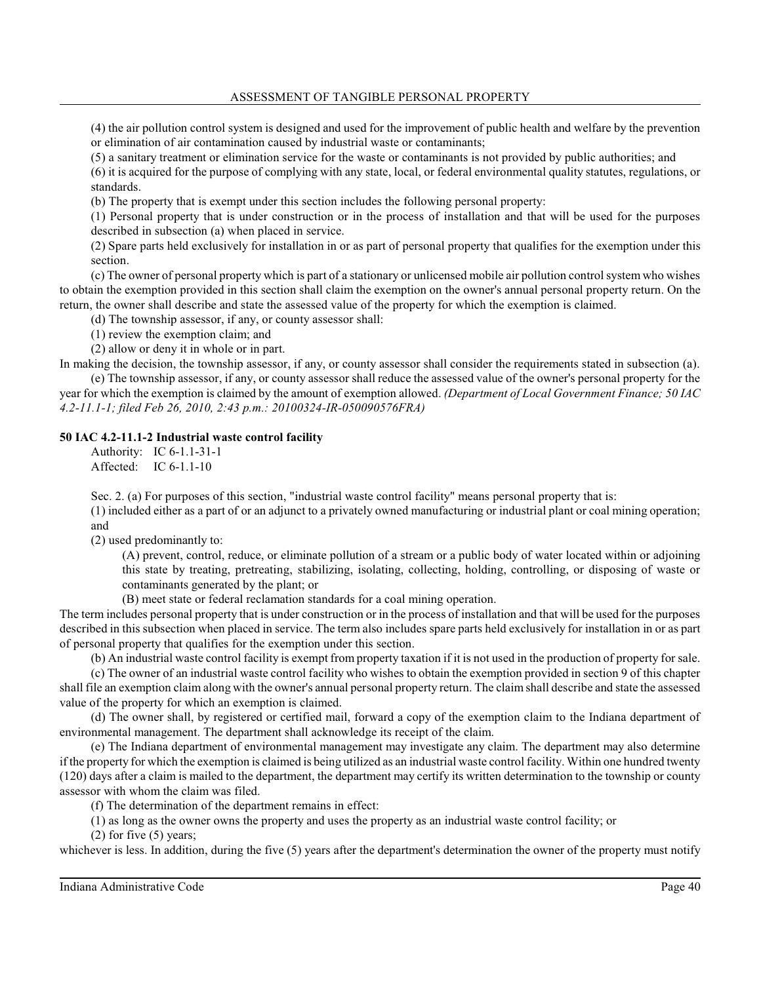(4) the air pollution control system is designed and used for the improvement of public health and welfare by the prevention or elimination of air contamination caused by industrial waste or contaminants;

(5) a sanitary treatment or elimination service for the waste or contaminants is not provided by public authorities; and

(6) it is acquired for the purpose of complying with any state, local, or federal environmental quality statutes, regulations, or standards.

(b) The property that is exempt under this section includes the following personal property:

(1) Personal property that is under construction or in the process of installation and that will be used for the purposes described in subsection (a) when placed in service.

(2) Spare parts held exclusively for installation in or as part of personal property that qualifies for the exemption under this section.

(c) The owner of personal property which is part of a stationary or unlicensed mobile air pollution control system who wishes to obtain the exemption provided in this section shall claim the exemption on the owner's annual personal property return. On the return, the owner shall describe and state the assessed value of the property for which the exemption is claimed.

(d) The township assessor, if any, or county assessor shall:

(1) review the exemption claim; and

(2) allow or deny it in whole or in part.

In making the decision, the township assessor, if any, or county assessor shall consider the requirements stated in subsection (a). (e) The township assessor, if any, or county assessor shall reduce the assessed value of the owner's personal property for the

year for which the exemption is claimed by the amount of exemption allowed. *(Department of Local Government Finance; 50 IAC 4.2-11.1-1; filed Feb 26, 2010, 2:43 p.m.: 20100324-IR-050090576FRA)*

## **50 IAC 4.2-11.1-2 Industrial waste control facility**

Authority: IC 6-1.1-31-1 Affected: IC 6-1.1-10

Sec. 2. (a) For purposes of this section, "industrial waste control facility" means personal property that is: (1) included either as a part of or an adjunct to a privately owned manufacturing or industrial plant or coal mining operation; and

(2) used predominantly to:

(A) prevent, control, reduce, or eliminate pollution of a stream or a public body of water located within or adjoining this state by treating, pretreating, stabilizing, isolating, collecting, holding, controlling, or disposing of waste or contaminants generated by the plant; or

(B) meet state or federal reclamation standards for a coal mining operation.

The term includes personal property that is under construction or in the process of installation and that will be used for the purposes described in this subsection when placed in service. The term also includes spare parts held exclusively for installation in or as part of personal property that qualifies for the exemption under this section.

(b) An industrial waste control facility is exempt from property taxation if it is not used in the production of property for sale.

(c) The owner of an industrial waste control facility who wishes to obtain the exemption provided in section 9 of this chapter shall file an exemption claim along with the owner's annual personal property return. The claim shall describe and state the assessed value of the property for which an exemption is claimed.

(d) The owner shall, by registered or certified mail, forward a copy of the exemption claim to the Indiana department of environmental management. The department shall acknowledge its receipt of the claim.

(e) The Indiana department of environmental management may investigate any claim. The department may also determine if the property for which the exemption is claimed is being utilized as an industrial waste control facility. Within one hundred twenty (120) days after a claim is mailed to the department, the department may certify its written determination to the township or county assessor with whom the claim was filed.

(f) The determination of the department remains in effect:

(1) as long as the owner owns the property and uses the property as an industrial waste control facility; or

 $(2)$  for five  $(5)$  years;

whichever is less. In addition, during the five (5) years after the department's determination the owner of the property must notify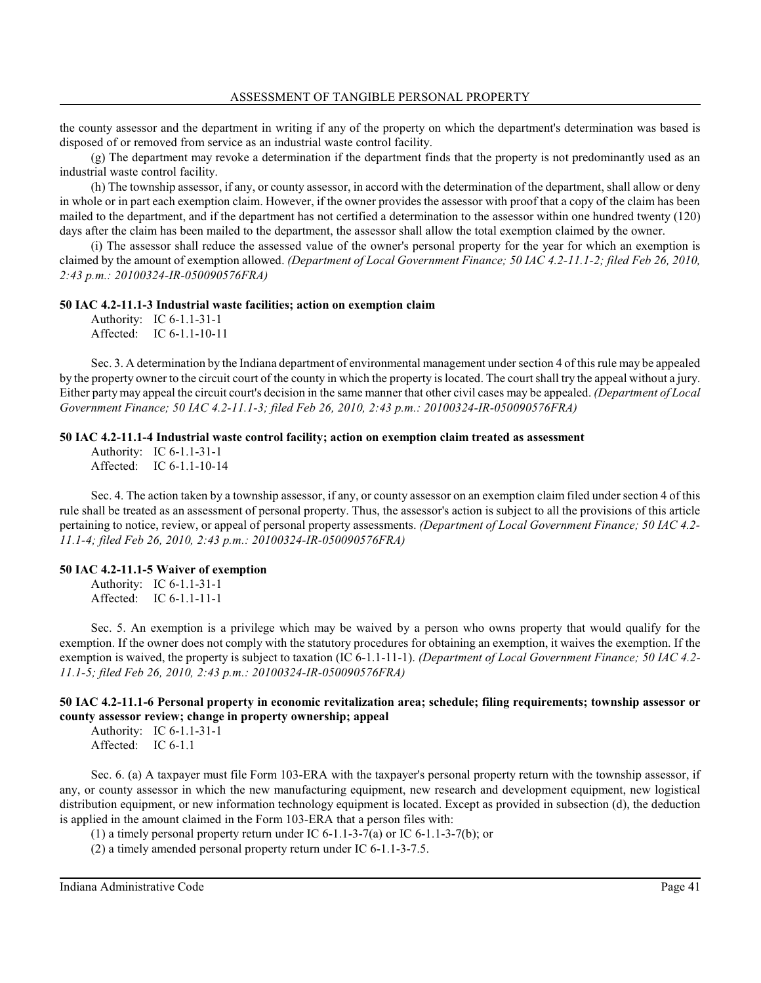the county assessor and the department in writing if any of the property on which the department's determination was based is disposed of or removed from service as an industrial waste control facility.

(g) The department may revoke a determination if the department finds that the property is not predominantly used as an industrial waste control facility.

(h) The township assessor, if any, or county assessor, in accord with the determination of the department, shall allow or deny in whole or in part each exemption claim. However, if the owner provides the assessor with proof that a copy of the claim has been mailed to the department, and if the department has not certified a determination to the assessor within one hundred twenty (120) days after the claim has been mailed to the department, the assessor shall allow the total exemption claimed by the owner.

(i) The assessor shall reduce the assessed value of the owner's personal property for the year for which an exemption is claimed by the amount of exemption allowed. *(Department of Local Government Finance; 50 IAC 4.2-11.1-2; filed Feb 26, 2010, 2:43 p.m.: 20100324-IR-050090576FRA)*

#### **50 IAC 4.2-11.1-3 Industrial waste facilities; action on exemption claim**

Authority: IC 6-1.1-31-1 Affected: IC 6-1.1-10-11

Sec. 3. A determination by the Indiana department of environmental management undersection 4 of thisrule may be appealed by the property owner to the circuit court of the county in which the property is located. The court shall try the appeal without a jury. Either party may appeal the circuit court's decision in the same manner that other civil cases may be appealed. *(Department of Local Government Finance; 50 IAC 4.2-11.1-3; filed Feb 26, 2010, 2:43 p.m.: 20100324-IR-050090576FRA)*

#### **50 IAC 4.2-11.1-4 Industrial waste control facility; action on exemption claim treated as assessment**

Authority: IC 6-1.1-31-1 Affected: IC 6-1.1-10-14

Sec. 4. The action taken by a township assessor, if any, or county assessor on an exemption claim filed under section 4 of this rule shall be treated as an assessment of personal property. Thus, the assessor's action is subject to all the provisions of this article pertaining to notice, review, or appeal of personal property assessments. *(Department of Local Government Finance; 50 IAC 4.2- 11.1-4; filed Feb 26, 2010, 2:43 p.m.: 20100324-IR-050090576FRA)*

#### **50 IAC 4.2-11.1-5 Waiver of exemption**

Authority: IC 6-1.1-31-1 Affected: IC 6-1.1-11-1

Sec. 5. An exemption is a privilege which may be waived by a person who owns property that would qualify for the exemption. If the owner does not comply with the statutory procedures for obtaining an exemption, it waives the exemption. If the exemption is waived, the property is subject to taxation (IC 6-1.1-11-1). *(Department of Local Government Finance; 50 IAC 4.2- 11.1-5; filed Feb 26, 2010, 2:43 p.m.: 20100324-IR-050090576FRA)*

## **50 IAC 4.2-11.1-6 Personal property in economic revitalization area; schedule; filing requirements; township assessor or county assessor review; change in property ownership; appeal**

Authority: IC 6-1.1-31-1 Affected: IC 6-1.1

Sec. 6. (a) A taxpayer must file Form 103-ERA with the taxpayer's personal property return with the township assessor, if any, or county assessor in which the new manufacturing equipment, new research and development equipment, new logistical distribution equipment, or new information technology equipment is located. Except as provided in subsection (d), the deduction is applied in the amount claimed in the Form 103-ERA that a person files with:

(1) a timely personal property return under IC 6-1.1-3-7(a) or IC 6-1.1-3-7(b); or

(2) a timely amended personal property return under IC 6-1.1-3-7.5.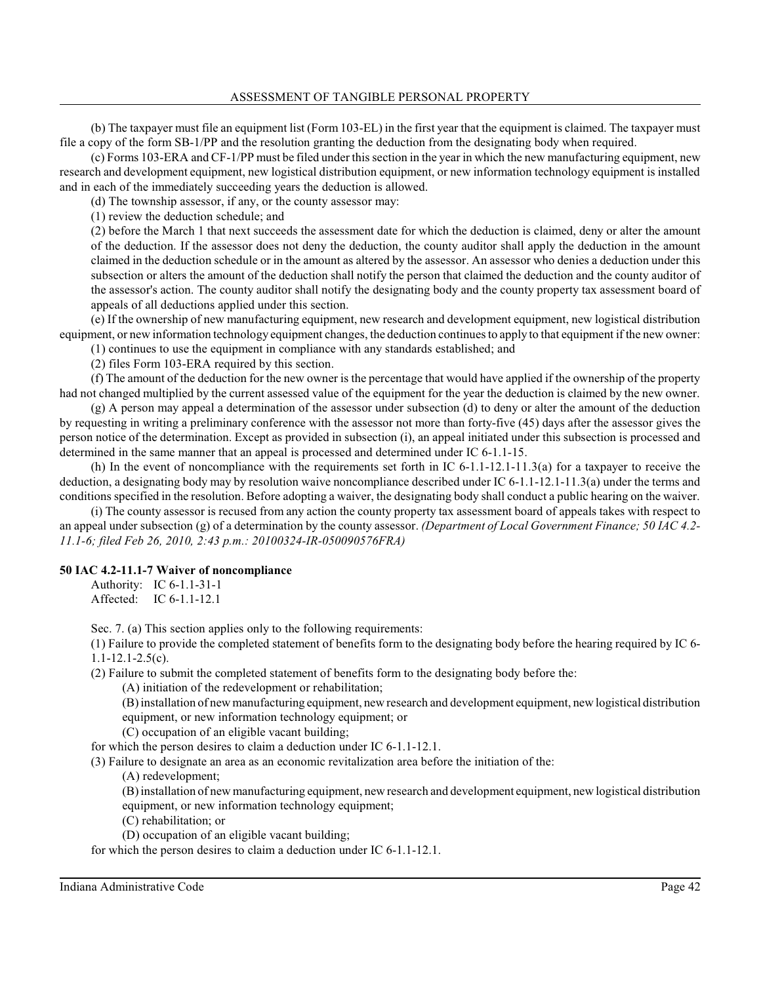(b) The taxpayer must file an equipment list (Form 103-EL) in the first year that the equipment is claimed. The taxpayer must file a copy of the form SB-1/PP and the resolution granting the deduction from the designating body when required.

(c) Forms 103-ERA and CF-1/PP must be filed under thissection in the year in which the new manufacturing equipment, new research and development equipment, new logistical distribution equipment, or new information technology equipment is installed and in each of the immediately succeeding years the deduction is allowed.

(d) The township assessor, if any, or the county assessor may:

(1) review the deduction schedule; and

(2) before the March 1 that next succeeds the assessment date for which the deduction is claimed, deny or alter the amount of the deduction. If the assessor does not deny the deduction, the county auditor shall apply the deduction in the amount claimed in the deduction schedule or in the amount as altered by the assessor. An assessor who denies a deduction under this subsection or alters the amount of the deduction shall notify the person that claimed the deduction and the county auditor of the assessor's action. The county auditor shall notify the designating body and the county property tax assessment board of appeals of all deductions applied under this section.

(e) If the ownership of new manufacturing equipment, new research and development equipment, new logistical distribution equipment, or new information technology equipment changes, the deduction continuesto apply to that equipment if the new owner:

(1) continues to use the equipment in compliance with any standards established; and

(2) files Form 103-ERA required by this section.

(f) The amount of the deduction for the new owner is the percentage that would have applied if the ownership of the property had not changed multiplied by the current assessed value of the equipment for the year the deduction is claimed by the new owner.

(g) A person may appeal a determination of the assessor under subsection (d) to deny or alter the amount of the deduction by requesting in writing a preliminary conference with the assessor not more than forty-five (45) days after the assessor gives the person notice of the determination. Except as provided in subsection (i), an appeal initiated under this subsection is processed and determined in the same manner that an appeal is processed and determined under IC 6-1.1-15.

(h) In the event of noncompliance with the requirements set forth in IC 6-1.1-12.1-11.3(a) for a taxpayer to receive the deduction, a designating body may by resolution waive noncompliance described under IC 6-1.1-12.1-11.3(a) under the terms and conditions specified in the resolution. Before adopting a waiver, the designating body shall conduct a public hearing on the waiver.

(i) The county assessor is recused from any action the county property tax assessment board of appeals takes with respect to an appeal under subsection (g) of a determination by the county assessor. *(Department of Local Government Finance; 50 IAC 4.2- 11.1-6; filed Feb 26, 2010, 2:43 p.m.: 20100324-IR-050090576FRA)*

## **50 IAC 4.2-11.1-7 Waiver of noncompliance**

Authority: IC 6-1.1-31-1 Affected: IC 6-1.1-12.1

Sec. 7. (a) This section applies only to the following requirements:

(1) Failure to provide the completed statement of benefits form to the designating body before the hearing required by IC 6- 1.1-12.1-2.5(c).

(2) Failure to submit the completed statement of benefits form to the designating body before the:

(A) initiation of the redevelopment or rehabilitation;

(B) installation of new manufacturing equipment, new research and development equipment, new logistical distribution

equipment, or new information technology equipment; or

(C) occupation of an eligible vacant building;

for which the person desires to claim a deduction under IC 6-1.1-12.1.

(3) Failure to designate an area as an economic revitalization area before the initiation of the:

(A) redevelopment;

(B) installation of new manufacturing equipment, new research and development equipment, new logistical distribution equipment, or new information technology equipment;

(C) rehabilitation; or

(D) occupation of an eligible vacant building;

for which the person desires to claim a deduction under IC 6-1.1-12.1.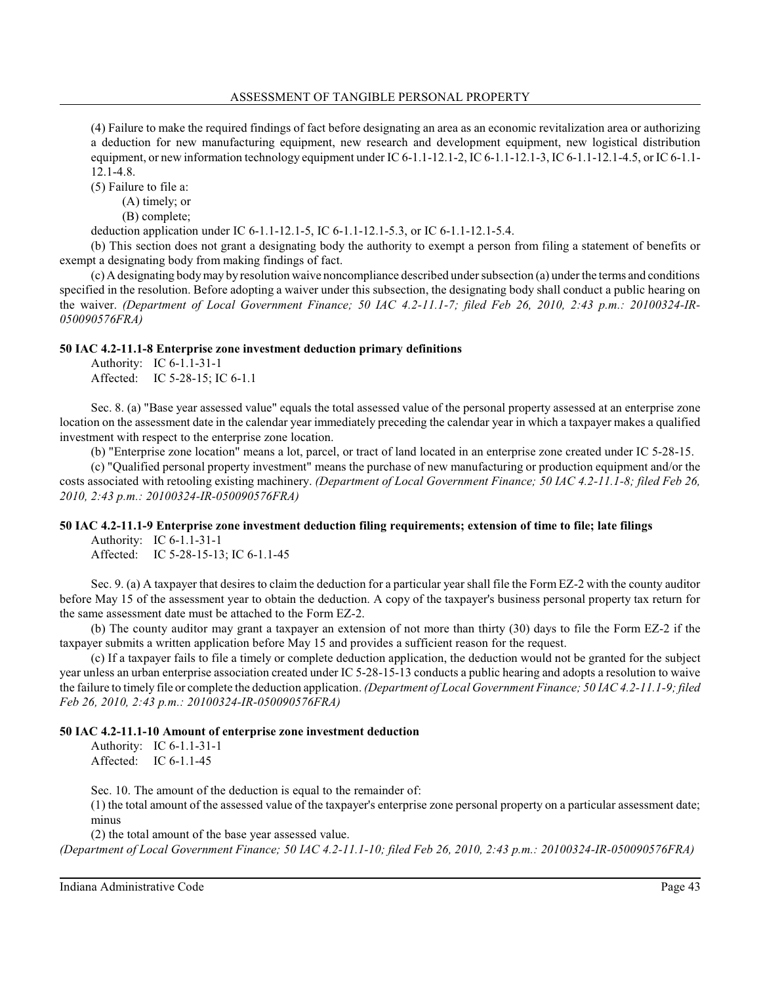(4) Failure to make the required findings of fact before designating an area as an economic revitalization area or authorizing a deduction for new manufacturing equipment, new research and development equipment, new logistical distribution equipment, or new information technology equipment under IC 6-1.1-12.1-2, IC 6-1.1-12.1-3, IC 6-1.1-12.1-4.5, or IC 6-1.1-12.1-4.8.

(5) Failure to file a:

(A) timely; or

(B) complete;

deduction application under IC 6-1.1-12.1-5, IC 6-1.1-12.1-5.3, or IC 6-1.1-12.1-5.4.

(b) This section does not grant a designating body the authority to exempt a person from filing a statement of benefits or exempt a designating body from making findings of fact.

 $(c)$  A designating body may by resolution waive noncompliance described under subsection (a) under the terms and conditions specified in the resolution. Before adopting a waiver under this subsection, the designating body shall conduct a public hearing on the waiver. *(Department of Local Government Finance; 50 IAC 4.2-11.1-7; filed Feb 26, 2010, 2:43 p.m.: 20100324-IR-050090576FRA)*

### **50 IAC 4.2-11.1-8 Enterprise zone investment deduction primary definitions**

Authority: IC 6-1.1-31-1 Affected: IC 5-28-15; IC 6-1.1

Sec. 8. (a) "Base year assessed value" equals the total assessed value of the personal property assessed at an enterprise zone location on the assessment date in the calendar year immediately preceding the calendar year in which a taxpayer makes a qualified investment with respect to the enterprise zone location.

(b) "Enterprise zone location" means a lot, parcel, or tract of land located in an enterprise zone created under IC 5-28-15.

(c) "Qualified personal property investment" means the purchase of new manufacturing or production equipment and/or the costs associated with retooling existing machinery. *(Department of Local Government Finance; 50 IAC 4.2-11.1-8; filed Feb 26, 2010, 2:43 p.m.: 20100324-IR-050090576FRA)*

## **50 IAC 4.2-11.1-9 Enterprise zone investment deduction filing requirements; extension of time to file; late filings**

Authority: IC 6-1.1-31-1 Affected: IC 5-28-15-13; IC 6-1.1-45

Sec. 9. (a) A taxpayer that desires to claim the deduction for a particular year shall file the Form EZ-2 with the county auditor before May 15 of the assessment year to obtain the deduction. A copy of the taxpayer's business personal property tax return for the same assessment date must be attached to the Form EZ-2.

(b) The county auditor may grant a taxpayer an extension of not more than thirty (30) days to file the Form EZ-2 if the taxpayer submits a written application before May 15 and provides a sufficient reason for the request.

(c) If a taxpayer fails to file a timely or complete deduction application, the deduction would not be granted for the subject year unless an urban enterprise association created under IC 5-28-15-13 conducts a public hearing and adopts a resolution to waive the failure to timely file or complete the deduction application. *(Department of Local Government Finance; 50 IAC 4.2-11.1-9; filed Feb 26, 2010, 2:43 p.m.: 20100324-IR-050090576FRA)*

## **50 IAC 4.2-11.1-10 Amount of enterprise zone investment deduction**

Authority: IC 6-1.1-31-1 Affected: IC 6-1.1-45

Sec. 10. The amount of the deduction is equal to the remainder of:

(1) the total amount of the assessed value of the taxpayer's enterprise zone personal property on a particular assessment date; minus

(2) the total amount of the base year assessed value.

*(Department of Local Government Finance; 50 IAC 4.2-11.1-10; filed Feb 26, 2010, 2:43 p.m.: 20100324-IR-050090576FRA)*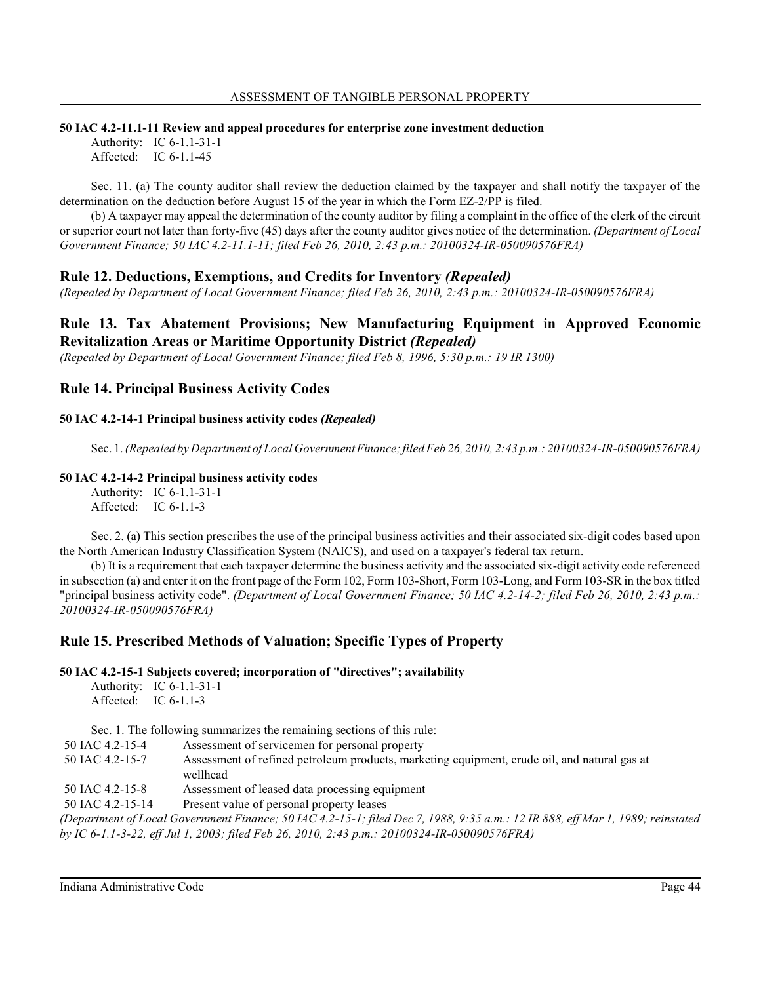### **50 IAC 4.2-11.1-11 Review and appeal procedures for enterprise zone investment deduction**

Authority: IC 6-1.1-31-1 Affected: IC 6-1.1-45

Sec. 11. (a) The county auditor shall review the deduction claimed by the taxpayer and shall notify the taxpayer of the determination on the deduction before August 15 of the year in which the Form EZ-2/PP is filed.

(b) A taxpayer may appeal the determination of the county auditor by filing a complaint in the office of the clerk of the circuit or superior court not later than forty-five (45) days after the county auditor gives notice of the determination. *(Department of Local Government Finance; 50 IAC 4.2-11.1-11; filed Feb 26, 2010, 2:43 p.m.: 20100324-IR-050090576FRA)*

# **Rule 12. Deductions, Exemptions, and Credits for Inventory** *(Repealed)*

*(Repealed by Department of Local Government Finance; filed Feb 26, 2010, 2:43 p.m.: 20100324-IR-050090576FRA)*

# **Rule 13. Tax Abatement Provisions; New Manufacturing Equipment in Approved Economic Revitalization Areas or Maritime Opportunity District** *(Repealed)*

*(Repealed by Department of Local Government Finance; filed Feb 8, 1996, 5:30 p.m.: 19 IR 1300)*

## **Rule 14. Principal Business Activity Codes**

## **50 IAC 4.2-14-1 Principal business activity codes** *(Repealed)*

Sec. 1. *(Repealed by Department of Local GovernmentFinance; filed Feb 26, 2010, 2:43 p.m.: 20100324-IR-050090576FRA)*

## **50 IAC 4.2-14-2 Principal business activity codes**

Authority: IC 6-1.1-31-1 Affected: IC 6-1.1-3

Sec. 2. (a) This section prescribes the use of the principal business activities and their associated six-digit codes based upon the North American Industry Classification System (NAICS), and used on a taxpayer's federal tax return.

(b) It is a requirement that each taxpayer determine the business activity and the associated six-digit activity code referenced in subsection (a) and enter it on the front page of the Form 102, Form 103-Short, Form 103-Long, and Form 103-SR in the box titled "principal business activity code". *(Department of Local Government Finance; 50 IAC 4.2-14-2; filed Feb 26, 2010, 2:43 p.m.: 20100324-IR-050090576FRA)*

# **Rule 15. Prescribed Methods of Valuation; Specific Types of Property**

**50 IAC 4.2-15-1 Subjects covered; incorporation of "directives"; availability**

Authority: IC 6-1.1-31-1 Affected: IC 6-1.1-3

Sec. 1. The following summarizes the remaining sections of this rule:

- 50 IAC 4.2-15-4 Assessment of servicemen for personal property
- 50 IAC 4.2-15-7 Assessment of refined petroleum products, marketing equipment, crude oil, and natural gas at wellhead
- 50 IAC 4.2-15-8 Assessment of leased data processing equipment

50 IAC 4.2-15-14 Present value of personal property leases

*(Department of Local Government Finance; 50 IAC 4.2-15-1; filed Dec 7, 1988, 9:35 a.m.: 12 IR 888, eff Mar 1, 1989; reinstated by IC 6-1.1-3-22, eff Jul 1, 2003; filed Feb 26, 2010, 2:43 p.m.: 20100324-IR-050090576FRA)*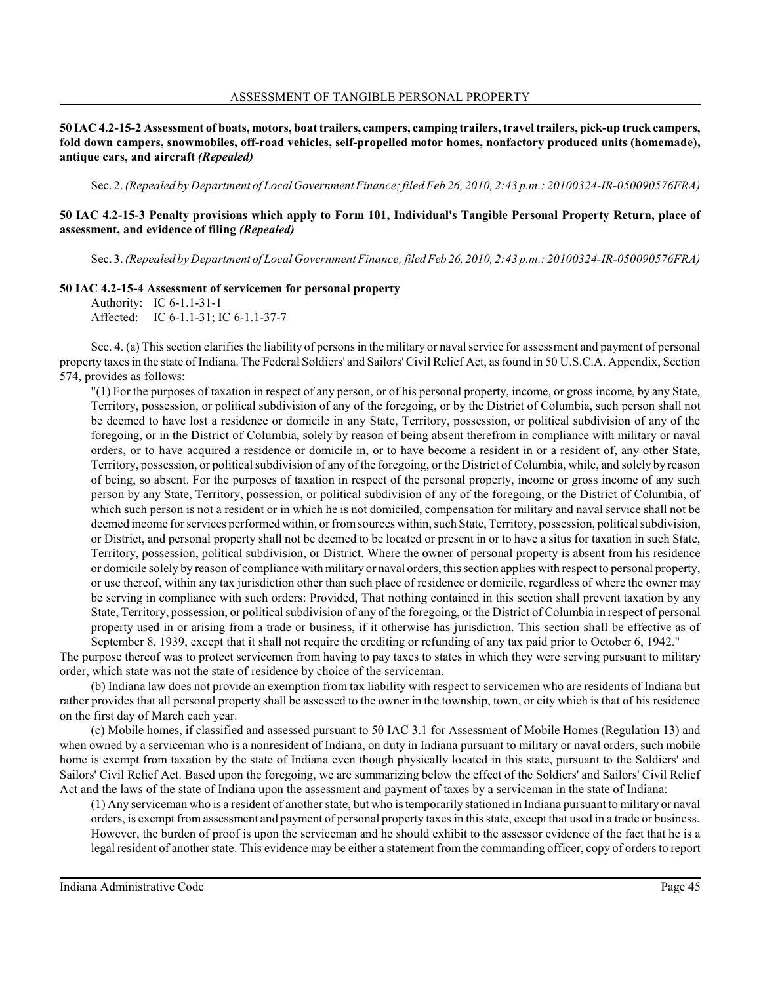**50 IAC 4.2-15-2 Assessment of boats, motors, boat trailers, campers, camping trailers, travel trailers, pick-up truck campers, fold down campers, snowmobiles, off-road vehicles, self-propelled motor homes, nonfactory produced units (homemade), antique cars, and aircraft** *(Repealed)*

Sec. 2. *(Repealed by Department of LocalGovernmentFinance; filed Feb 26, 2010, 2:43 p.m.: 20100324-IR-050090576FRA)*

## **50 IAC 4.2-15-3 Penalty provisions which apply to Form 101, Individual's Tangible Personal Property Return, place of assessment, and evidence of filing** *(Repealed)*

Sec. 3. *(Repealed by Department of Local Government Finance;filed Feb 26, 2010, 2:43 p.m.: 20100324-IR-050090576FRA)*

#### **50 IAC 4.2-15-4 Assessment of servicemen for personal property**

Authority: IC 6-1.1-31-1 Affected: IC 6-1.1-31; IC 6-1.1-37-7

Sec. 4. (a) This section clarifies the liability of persons in the military or naval service for assessment and payment of personal property taxesin the state of Indiana. The Federal Soldiers' and Sailors' Civil Relief Act, asfound in 50 U.S.C.A. Appendix, Section 574, provides as follows:

"(1) For the purposes of taxation in respect of any person, or of his personal property, income, or gross income, by any State, Territory, possession, or political subdivision of any of the foregoing, or by the District of Columbia, such person shall not be deemed to have lost a residence or domicile in any State, Territory, possession, or political subdivision of any of the foregoing, or in the District of Columbia, solely by reason of being absent therefrom in compliance with military or naval orders, or to have acquired a residence or domicile in, or to have become a resident in or a resident of, any other State, Territory, possession, or political subdivision of any of the foregoing, or the District of Columbia, while, and solely by reason of being, so absent. For the purposes of taxation in respect of the personal property, income or gross income of any such person by any State, Territory, possession, or political subdivision of any of the foregoing, or the District of Columbia, of which such person is not a resident or in which he is not domiciled, compensation for military and naval service shall not be deemed income forservices performed within, or fromsources within, such State, Territory, possession, political subdivision, or District, and personal property shall not be deemed to be located or present in or to have a situs for taxation in such State, Territory, possession, political subdivision, or District. Where the owner of personal property is absent from his residence or domicile solely by reason of compliance with military or naval orders, thissection applies with respect to personal property, or use thereof, within any tax jurisdiction other than such place of residence or domicile, regardless of where the owner may be serving in compliance with such orders: Provided, That nothing contained in this section shall prevent taxation by any State, Territory, possession, or political subdivision of any of the foregoing, or the District of Columbia in respect of personal property used in or arising from a trade or business, if it otherwise has jurisdiction. This section shall be effective as of September 8, 1939, except that it shall not require the crediting or refunding of any tax paid prior to October 6, 1942."

The purpose thereof was to protect servicemen from having to pay taxes to states in which they were serving pursuant to military order, which state was not the state of residence by choice of the serviceman.

(b) Indiana law does not provide an exemption from tax liability with respect to servicemen who are residents of Indiana but rather provides that all personal property shall be assessed to the owner in the township, town, or city which is that of his residence on the first day of March each year.

(c) Mobile homes, if classified and assessed pursuant to 50 IAC 3.1 for Assessment of Mobile Homes (Regulation 13) and when owned by a serviceman who is a nonresident of Indiana, on duty in Indiana pursuant to military or naval orders, such mobile home is exempt from taxation by the state of Indiana even though physically located in this state, pursuant to the Soldiers' and Sailors' Civil Relief Act. Based upon the foregoing, we are summarizing below the effect of the Soldiers' and Sailors' Civil Relief Act and the laws of the state of Indiana upon the assessment and payment of taxes by a serviceman in the state of Indiana:

(1) Any serviceman who is a resident of anotherstate, but who is temporarily stationed in Indiana pursuant to military or naval orders, is exempt from assessment and payment of personal property taxes in thisstate, except that used in a trade or business. However, the burden of proof is upon the serviceman and he should exhibit to the assessor evidence of the fact that he is a legal resident of another state. This evidence may be either a statement from the commanding officer, copy of orders to report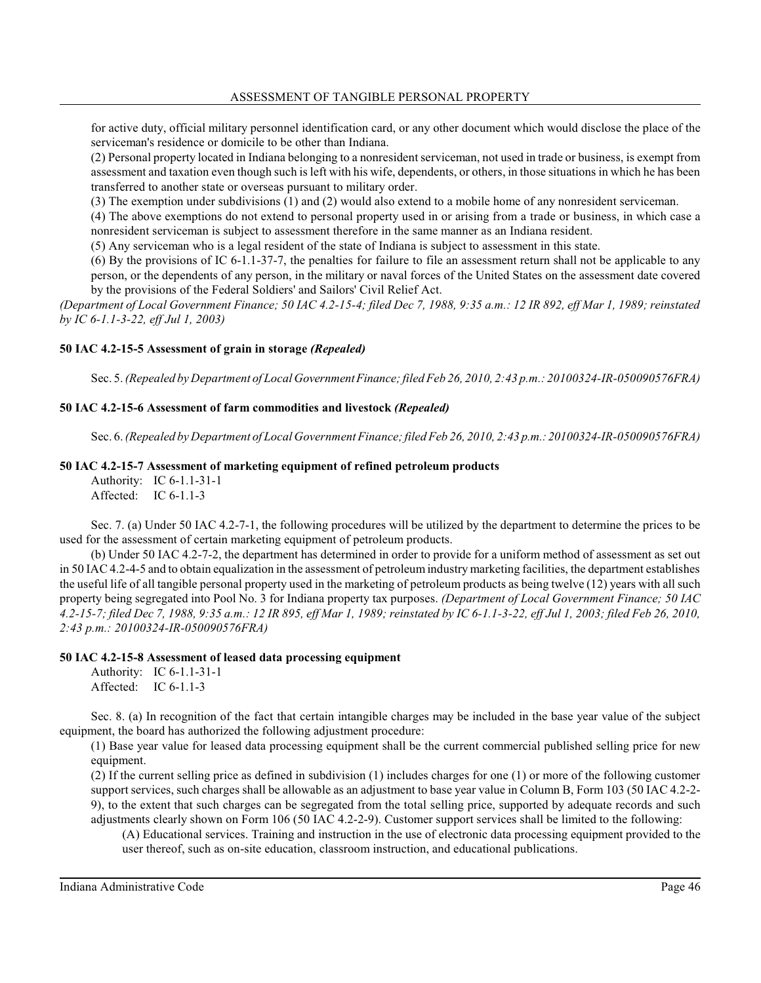for active duty, official military personnel identification card, or any other document which would disclose the place of the serviceman's residence or domicile to be other than Indiana.

(2) Personal property located in Indiana belonging to a nonresident serviceman, not used in trade or business, is exempt from assessment and taxation even though such is left with his wife, dependents, or others, in those situations in which he has been transferred to another state or overseas pursuant to military order.

(3) The exemption under subdivisions (1) and (2) would also extend to a mobile home of any nonresident serviceman.

(4) The above exemptions do not extend to personal property used in or arising from a trade or business, in which case a nonresident serviceman is subject to assessment therefore in the same manner as an Indiana resident.

(5) Any serviceman who is a legal resident of the state of Indiana is subject to assessment in this state.

(6) By the provisions of IC 6-1.1-37-7, the penalties for failure to file an assessment return shall not be applicable to any person, or the dependents of any person, in the military or naval forces of the United States on the assessment date covered by the provisions of the Federal Soldiers' and Sailors' Civil Relief Act.

*(Department of Local Government Finance; 50 IAC 4.2-15-4; filed Dec 7, 1988, 9:35 a.m.: 12 IR 892, eff Mar 1, 1989; reinstated by IC 6-1.1-3-22, eff Jul 1, 2003)*

## **50 IAC 4.2-15-5 Assessment of grain in storage** *(Repealed)*

Sec. 5. *(Repealed by Department of Local GovernmentFinance;filed Feb 26, 2010, 2:43 p.m.: 20100324-IR-050090576FRA)*

## **50 IAC 4.2-15-6 Assessment of farm commodities and livestock** *(Repealed)*

Sec. 6. *(Repealed by Department of Local Government Finance;filed Feb 26, 2010, 2:43 p.m.:20100324-IR-050090576FRA)*

## **50 IAC 4.2-15-7 Assessment of marketing equipment of refined petroleum products**

Authority: IC 6-1.1-31-1 Affected: IC 6-1.1-3

Sec. 7. (a) Under 50 IAC 4.2-7-1, the following procedures will be utilized by the department to determine the prices to be used for the assessment of certain marketing equipment of petroleum products.

(b) Under 50 IAC 4.2-7-2, the department has determined in order to provide for a uniform method of assessment as set out in 50 IAC 4.2-4-5 and to obtain equalization in the assessment of petroleumindustry marketing facilities, the department establishes the useful life of all tangible personal property used in the marketing of petroleum products as being twelve (12) years with all such property being segregated into Pool No. 3 for Indiana property tax purposes. *(Department of Local Government Finance; 50 IAC 4.2-15-7; filed Dec 7, 1988, 9:35 a.m.: 12 IR 895, eff Mar 1, 1989; reinstated by IC 6-1.1-3-22, eff Jul 1, 2003; filed Feb 26, 2010, 2:43 p.m.: 20100324-IR-050090576FRA)*

### **50 IAC 4.2-15-8 Assessment of leased data processing equipment**

Authority: IC 6-1.1-31-1 Affected: IC 6-1.1-3

Sec. 8. (a) In recognition of the fact that certain intangible charges may be included in the base year value of the subject equipment, the board has authorized the following adjustment procedure:

(1) Base year value for leased data processing equipment shall be the current commercial published selling price for new equipment.

(2) If the current selling price as defined in subdivision (1) includes charges for one (1) or more of the following customer support services, such charges shall be allowable as an adjustment to base year value in Column B, Form 103 (50 IAC 4.2-2- 9), to the extent that such charges can be segregated from the total selling price, supported by adequate records and such adjustments clearly shown on Form 106 (50 IAC 4.2-2-9). Customer support services shall be limited to the following:

(A) Educational services. Training and instruction in the use of electronic data processing equipment provided to the user thereof, such as on-site education, classroom instruction, and educational publications.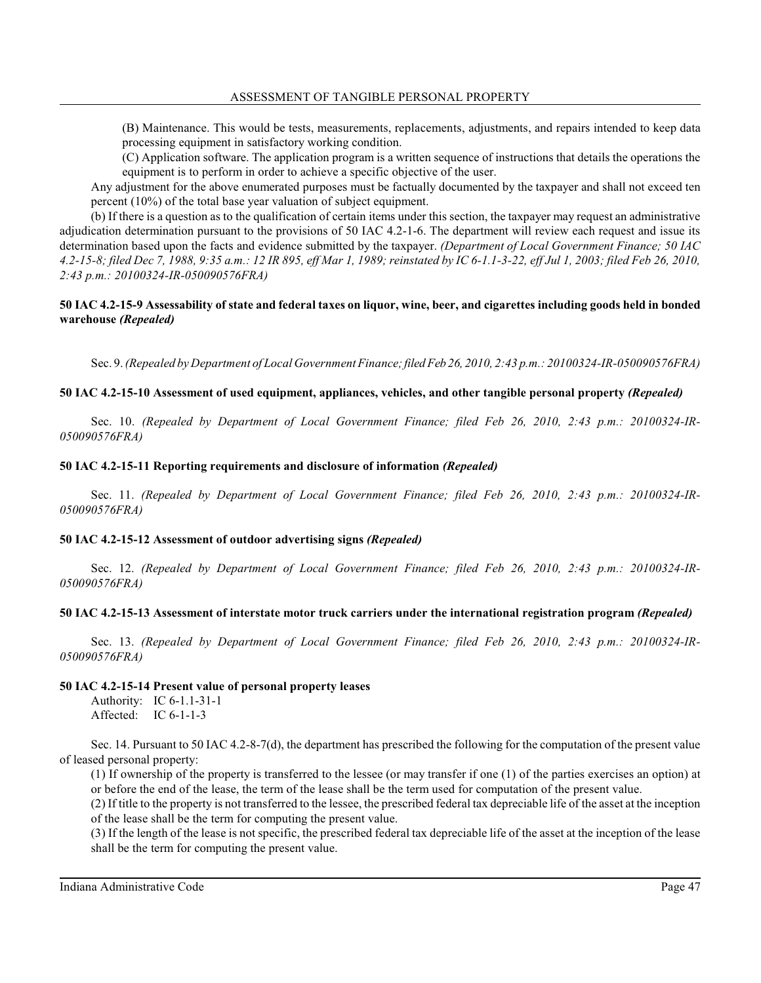(B) Maintenance. This would be tests, measurements, replacements, adjustments, and repairs intended to keep data processing equipment in satisfactory working condition.

(C) Application software. The application program is a written sequence of instructions that details the operations the equipment is to perform in order to achieve a specific objective of the user.

Any adjustment for the above enumerated purposes must be factually documented by the taxpayer and shall not exceed ten percent (10%) of the total base year valuation of subject equipment.

(b) If there is a question as to the qualification of certain items under this section, the taxpayer may request an administrative adjudication determination pursuant to the provisions of 50 IAC 4.2-1-6. The department will review each request and issue its determination based upon the facts and evidence submitted by the taxpayer. *(Department of Local Government Finance; 50 IAC 4.2-15-8; filed Dec 7, 1988, 9:35 a.m.: 12 IR 895, eff Mar 1, 1989; reinstated by IC 6-1.1-3-22, eff Jul 1, 2003; filed Feb 26, 2010, 2:43 p.m.: 20100324-IR-050090576FRA)*

## **50 IAC 4.2-15-9 Assessability of state and federal taxes on liquor, wine, beer, and cigarettes including goods held in bonded warehouse** *(Repealed)*

Sec. 9. *(Repealed by Department of Local Government Finance; filed Feb 26, 2010, 2:43 p.m.: 20100324-IR-050090576FRA)*

## **50 IAC 4.2-15-10 Assessment of used equipment, appliances, vehicles, and other tangible personal property** *(Repealed)*

Sec. 10. *(Repealed by Department of Local Government Finance; filed Feb 26, 2010, 2:43 p.m.: 20100324-IR-050090576FRA)*

### **50 IAC 4.2-15-11 Reporting requirements and disclosure of information** *(Repealed)*

Sec. 11. *(Repealed by Department of Local Government Finance; filed Feb 26, 2010, 2:43 p.m.: 20100324-IR-050090576FRA)*

### **50 IAC 4.2-15-12 Assessment of outdoor advertising signs** *(Repealed)*

Sec. 12. *(Repealed by Department of Local Government Finance; filed Feb 26, 2010, 2:43 p.m.: 20100324-IR-050090576FRA)*

### **50 IAC 4.2-15-13 Assessment of interstate motor truck carriers under the international registration program** *(Repealed)*

Sec. 13. *(Repealed by Department of Local Government Finance; filed Feb 26, 2010, 2:43 p.m.: 20100324-IR-050090576FRA)*

#### **50 IAC 4.2-15-14 Present value of personal property leases**

Authority: IC 6-1.1-31-1 Affected: IC 6-1-1-3

Sec. 14. Pursuant to 50 IAC 4.2-8-7(d), the department has prescribed the following for the computation of the present value of leased personal property:

(1) If ownership of the property is transferred to the lessee (or may transfer if one (1) of the parties exercises an option) at or before the end of the lease, the term of the lease shall be the term used for computation of the present value.

(2) If title to the property is not transferred to the lessee, the prescribed federal tax depreciable life of the asset at the inception of the lease shall be the term for computing the present value.

(3) If the length of the lease is not specific, the prescribed federal tax depreciable life of the asset at the inception of the lease shall be the term for computing the present value.